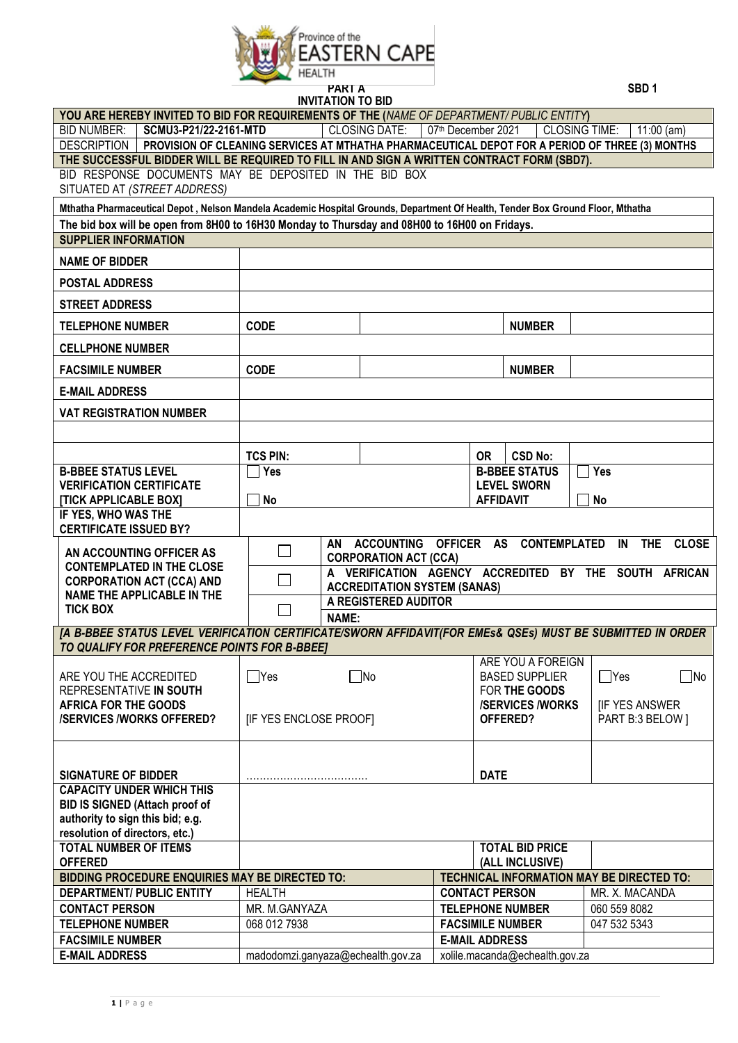

| <b>INVITATION TO BID</b>                                                                                                                                   |                                                                                                               |                                     |  |                                                    |                                           |              |
|------------------------------------------------------------------------------------------------------------------------------------------------------------|---------------------------------------------------------------------------------------------------------------|-------------------------------------|--|----------------------------------------------------|-------------------------------------------|--------------|
| YOU ARE HEREBY INVITED TO BID FOR REQUIREMENTS OF THE (NAME OF DEPARTMENT/PUBLIC ENTITY)                                                                   |                                                                                                               |                                     |  |                                                    |                                           |              |
| <b>CLOSING DATE:</b><br>07th December 2021<br><b>BID NUMBER:</b><br>SCMU3-P21/22-2161-MTD<br><b>CLOSING TIME:</b><br>$11:00$ (am)                          |                                                                                                               |                                     |  |                                                    |                                           |              |
|                                                                                                                                                            | DESCRIPTION   PROVISION OF CLEANING SERVICES AT MTHATHA PHARMACEUTICAL DEPOT FOR A PERIOD OF THREE (3) MONTHS |                                     |  |                                                    |                                           |              |
| THE SUCCESSFUL BIDDER WILL BE REQUIRED TO FILL IN AND SIGN A WRITTEN CONTRACT FORM (SBD7).                                                                 |                                                                                                               |                                     |  |                                                    |                                           |              |
| BID RESPONSE DOCUMENTS MAY BE DEPOSITED IN THE BID BOX<br>SITUATED AT (STREET ADDRESS)                                                                     |                                                                                                               |                                     |  |                                                    |                                           |              |
| Mthatha Pharmaceutical Depot, Nelson Mandela Academic Hospital Grounds, Department Of Health, Tender Box Ground Floor, Mthatha                             |                                                                                                               |                                     |  |                                                    |                                           |              |
| The bid box will be open from 8H00 to 16H30 Monday to Thursday and 08H00 to 16H00 on Fridays.                                                              |                                                                                                               |                                     |  |                                                    |                                           |              |
| <b>SUPPLIER INFORMATION</b>                                                                                                                                |                                                                                                               |                                     |  |                                                    |                                           |              |
| <b>NAME OF BIDDER</b>                                                                                                                                      |                                                                                                               |                                     |  |                                                    |                                           |              |
| <b>POSTAL ADDRESS</b>                                                                                                                                      |                                                                                                               |                                     |  |                                                    |                                           |              |
| <b>STREET ADDRESS</b>                                                                                                                                      |                                                                                                               |                                     |  |                                                    |                                           |              |
| <b>TELEPHONE NUMBER</b>                                                                                                                                    | <b>CODE</b>                                                                                                   |                                     |  | <b>NUMBER</b>                                      |                                           |              |
| <b>CELLPHONE NUMBER</b>                                                                                                                                    |                                                                                                               |                                     |  |                                                    |                                           |              |
| <b>FACSIMILE NUMBER</b>                                                                                                                                    | <b>CODE</b>                                                                                                   |                                     |  | <b>NUMBER</b>                                      |                                           |              |
| <b>E-MAIL ADDRESS</b>                                                                                                                                      |                                                                                                               |                                     |  |                                                    |                                           |              |
| <b>VAT REGISTRATION NUMBER</b>                                                                                                                             |                                                                                                               |                                     |  |                                                    |                                           |              |
|                                                                                                                                                            |                                                                                                               |                                     |  |                                                    |                                           |              |
|                                                                                                                                                            | <b>TCS PIN:</b>                                                                                               |                                     |  | <b>OR</b><br><b>CSD No:</b>                        |                                           |              |
| <b>B-BBEE STATUS LEVEL</b>                                                                                                                                 | ່ Yes                                                                                                         |                                     |  | <b>B-BBEE STATUS</b>                               | Yes                                       |              |
| <b>VERIFICATION CERTIFICATE</b>                                                                                                                            |                                                                                                               |                                     |  | <b>LEVEL SWORN</b>                                 |                                           |              |
| <b>[TICK APPLICABLE BOX]</b><br>IF YES, WHO WAS THE                                                                                                        | <b>No</b>                                                                                                     |                                     |  | <b>AFFIDAVIT</b>                                   | <b>No</b>                                 |              |
| <b>CERTIFICATE ISSUED BY?</b>                                                                                                                              |                                                                                                               |                                     |  |                                                    |                                           |              |
|                                                                                                                                                            |                                                                                                               |                                     |  | AN ACCOUNTING OFFICER AS CONTEMPLATED              | IN<br><b>THE</b>                          | <b>CLOSE</b> |
| AN ACCOUNTING OFFICER AS                                                                                                                                   | $\Box$<br><b>CORPORATION ACT (CCA)</b>                                                                        |                                     |  |                                                    |                                           |              |
| <b>CONTEMPLATED IN THE CLOSE</b>                                                                                                                           | A VERIFICATION AGENCY ACCREDITED BY THE SOUTH AFRICAN<br>$\mathbb{R}^n$                                       |                                     |  |                                                    |                                           |              |
| <b>CORPORATION ACT (CCA) AND</b><br><b>NAME THE APPLICABLE IN THE</b>                                                                                      |                                                                                                               | <b>ACCREDITATION SYSTEM (SANAS)</b> |  |                                                    |                                           |              |
| <b>TICK BOX</b>                                                                                                                                            |                                                                                                               | A REGISTERED AUDITOR                |  |                                                    |                                           |              |
|                                                                                                                                                            | <b>NAME:</b>                                                                                                  |                                     |  |                                                    |                                           |              |
| [A B-BBEE STATUS LEVEL VERIFICATION CERTIFICATE/SWORN AFFIDAVIT(FOR EMEs& QSEs) MUST BE SUBMITTED IN ORDER<br>TO QUALIFY FOR PREFERENCE POINTS FOR B-BBEET |                                                                                                               |                                     |  |                                                    |                                           |              |
|                                                                                                                                                            |                                                                                                               |                                     |  | ARE YOU A FOREIGN                                  |                                           |              |
| ARE YOU THE ACCREDITED                                                                                                                                     | 7Yes                                                                                                          | ∏No                                 |  | <b>BASED SUPPLIER</b>                              | $\Box$ Yes                                | ∃No          |
| REPRESENTATIVE IN SOUTH                                                                                                                                    |                                                                                                               |                                     |  | FOR THE GOODS                                      |                                           |              |
| <b>AFRICA FOR THE GOODS</b><br><b>/SERVICES/WORKS OFFERED?</b>                                                                                             | [IF YES ENCLOSE PROOF]                                                                                        |                                     |  | <b>/SERVICES/WORKS</b><br>OFFERED?                 | <b>IF YES ANSWER</b><br>PART B:3 BELOW 1  |              |
|                                                                                                                                                            |                                                                                                               |                                     |  |                                                    |                                           |              |
|                                                                                                                                                            |                                                                                                               |                                     |  |                                                    |                                           |              |
| <b>SIGNATURE OF BIDDER</b>                                                                                                                                 |                                                                                                               |                                     |  | <b>DATE</b>                                        |                                           |              |
| <b>CAPACITY UNDER WHICH THIS</b>                                                                                                                           |                                                                                                               |                                     |  |                                                    |                                           |              |
| BID IS SIGNED (Attach proof of                                                                                                                             |                                                                                                               |                                     |  |                                                    |                                           |              |
|                                                                                                                                                            |                                                                                                               |                                     |  |                                                    |                                           |              |
| authority to sign this bid; e.g.                                                                                                                           |                                                                                                               |                                     |  |                                                    |                                           |              |
| resolution of directors, etc.)                                                                                                                             |                                                                                                               |                                     |  |                                                    |                                           |              |
| <b>TOTAL NUMBER OF ITEMS</b>                                                                                                                               |                                                                                                               |                                     |  | <b>TOTAL BID PRICE</b>                             |                                           |              |
| <b>OFFERED</b>                                                                                                                                             |                                                                                                               |                                     |  | (ALL INCLUSIVE)                                    |                                           |              |
| BIDDING PROCEDURE ENQUIRIES MAY BE DIRECTED TO:                                                                                                            |                                                                                                               |                                     |  |                                                    | TECHNICAL INFORMATION MAY BE DIRECTED TO: |              |
| <b>DEPARTMENT/ PUBLIC ENTITY</b>                                                                                                                           | <b>HEALTH</b>                                                                                                 |                                     |  | <b>CONTACT PERSON</b>                              | MR. X. MACANDA                            |              |
| <b>CONTACT PERSON</b><br><b>TELEPHONE NUMBER</b>                                                                                                           | MR. M.GANYAZA<br>068 012 7938                                                                                 |                                     |  | <b>TELEPHONE NUMBER</b><br><b>FACSIMILE NUMBER</b> | 060 559 8082<br>047 532 5343              |              |
| <b>FACSIMILE NUMBER</b>                                                                                                                                    |                                                                                                               |                                     |  | <b>E-MAIL ADDRESS</b>                              |                                           |              |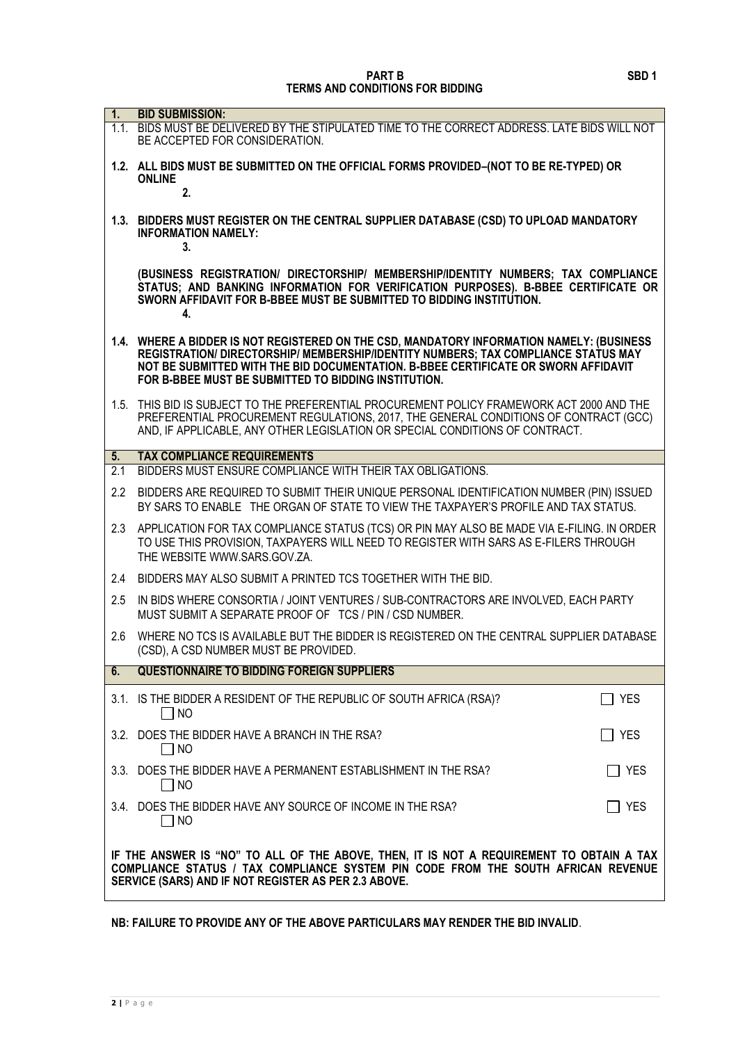| 1 <sub>1</sub>   | <b>BID SUBMISSION:</b>                                                                                                                                                                                                                                                                                                        |            |
|------------------|-------------------------------------------------------------------------------------------------------------------------------------------------------------------------------------------------------------------------------------------------------------------------------------------------------------------------------|------------|
|                  | 1.1. BIDS MUST BE DELIVERED BY THE STIPULATED TIME TO THE CORRECT ADDRESS. LATE BIDS WILL NOT<br>BE ACCEPTED FOR CONSIDERATION.                                                                                                                                                                                               |            |
|                  | 1.2. ALL BIDS MUST BE SUBMITTED ON THE OFFICIAL FORMS PROVIDED-(NOT TO BE RE-TYPED) OR<br><b>ONLINE</b><br>2.                                                                                                                                                                                                                 |            |
|                  | 1.3. BIDDERS MUST REGISTER ON THE CENTRAL SUPPLIER DATABASE (CSD) TO UPLOAD MANDATORY<br><b>INFORMATION NAMELY:</b><br>3.                                                                                                                                                                                                     |            |
|                  | (BUSINESS REGISTRATION/ DIRECTORSHIP/ MEMBERSHIP/IDENTITY NUMBERS; TAX COMPLIANCE<br>STATUS: AND BANKING INFORMATION FOR VERIFICATION PURPOSES). B-BBEE CERTIFICATE OR<br>SWORN AFFIDAVIT FOR B-BBEE MUST BE SUBMITTED TO BIDDING INSTITUTION.<br>4.                                                                          |            |
|                  | 1.4. WHERE A BIDDER IS NOT REGISTERED ON THE CSD, MANDATORY INFORMATION NAMELY: (BUSINESS<br>REGISTRATION/ DIRECTORSHIP/ MEMBERSHIP/IDENTITY NUMBERS; TAX COMPLIANCE STATUS MAY<br>NOT BE SUBMITTED WITH THE BID DOCUMENTATION. B-BBEE CERTIFICATE OR SWORN AFFIDAVIT<br>FOR B-BBEE MUST BE SUBMITTED TO BIDDING INSTITUTION. |            |
|                  | 1.5. THIS BID IS SUBJECT TO THE PREFERENTIAL PROCUREMENT POLICY FRAMEWORK ACT 2000 AND THE<br>PREFERENTIAL PROCUREMENT REGULATIONS, 2017, THE GENERAL CONDITIONS OF CONTRACT (GCC)<br>AND, IF APPLICABLE, ANY OTHER LEGISLATION OR SPECIAL CONDITIONS OF CONTRACT.                                                            |            |
| 5.               | <b>TAX COMPLIANCE REQUIREMENTS</b>                                                                                                                                                                                                                                                                                            |            |
| $\overline{2.1}$ | BIDDERS MUST ENSURE COMPLIANCE WITH THEIR TAX OBLIGATIONS.                                                                                                                                                                                                                                                                    |            |
| $2.2\phantom{0}$ | BIDDERS ARE REQUIRED TO SUBMIT THEIR UNIQUE PERSONAL IDENTIFICATION NUMBER (PIN) ISSUED<br>BY SARS TO ENABLE THE ORGAN OF STATE TO VIEW THE TAXPAYER'S PROFILE AND TAX STATUS.                                                                                                                                                |            |
| 2.3              | APPLICATION FOR TAX COMPLIANCE STATUS (TCS) OR PIN MAY ALSO BE MADE VIA E-FILING. IN ORDER<br>TO USE THIS PROVISION, TAXPAYERS WILL NEED TO REGISTER WITH SARS AS E-FILERS THROUGH<br>THE WEBSITE WWW.SARS.GOV.ZA.                                                                                                            |            |
| 2.4              | BIDDERS MAY ALSO SUBMIT A PRINTED TCS TOGETHER WITH THE BID.                                                                                                                                                                                                                                                                  |            |
| 2.5              | IN BIDS WHERE CONSORTIA / JOINT VENTURES / SUB-CONTRACTORS ARE INVOLVED, EACH PARTY<br>MUST SUBMIT A SEPARATE PROOF OF TCS / PIN / CSD NUMBER.                                                                                                                                                                                |            |
| 2.6              | WHERE NO TCS IS AVAILABLE BUT THE BIDDER IS REGISTERED ON THE CENTRAL SUPPLIER DATABASE<br>(CSD), A CSD NUMBER MUST BE PROVIDED.                                                                                                                                                                                              |            |
| 6.               | <b>QUESTIONNAIRE TO BIDDING FOREIGN SUPPLIERS</b>                                                                                                                                                                                                                                                                             |            |
|                  | 3.1. IS THE BIDDER A RESIDENT OF THE REPUBLIC OF SOUTH AFRICA (RSA)?<br>$\Box$ NO                                                                                                                                                                                                                                             | <b>YES</b> |
|                  | 3.2. DOES THE BIDDER HAVE A BRANCH IN THE RSA?<br><b>NO</b>                                                                                                                                                                                                                                                                   | ∐ YES      |
|                  | 3.3. DOES THE BIDDER HAVE A PERMANENT ESTABLISHMENT IN THE RSA?<br>$\Box$ NO                                                                                                                                                                                                                                                  | $\Box$ Yes |
|                  | 3.4. DOES THE BIDDER HAVE ANY SOURCE OF INCOME IN THE RSA?<br>NO                                                                                                                                                                                                                                                              | YES        |
|                  | IF THE ANSWER IS "NO" TO ALL OF THE ABOVE, THEN, IT IS NOT A REQUIREMENT TO OBTAIN A TAX<br>COMPLIANCE STATUS / TAX COMPLIANCE SYSTEM PIN CODE FROM THE SOUTH AFRICAN REVENUE<br>SERVICE (SARS) AND IF NOT REGISTER AS PER 2.3 ABOVE.                                                                                         |            |

**NB: FAILURE TO PROVIDE ANY OF THE ABOVE PARTICULARS MAY RENDER THE BID INVALID**.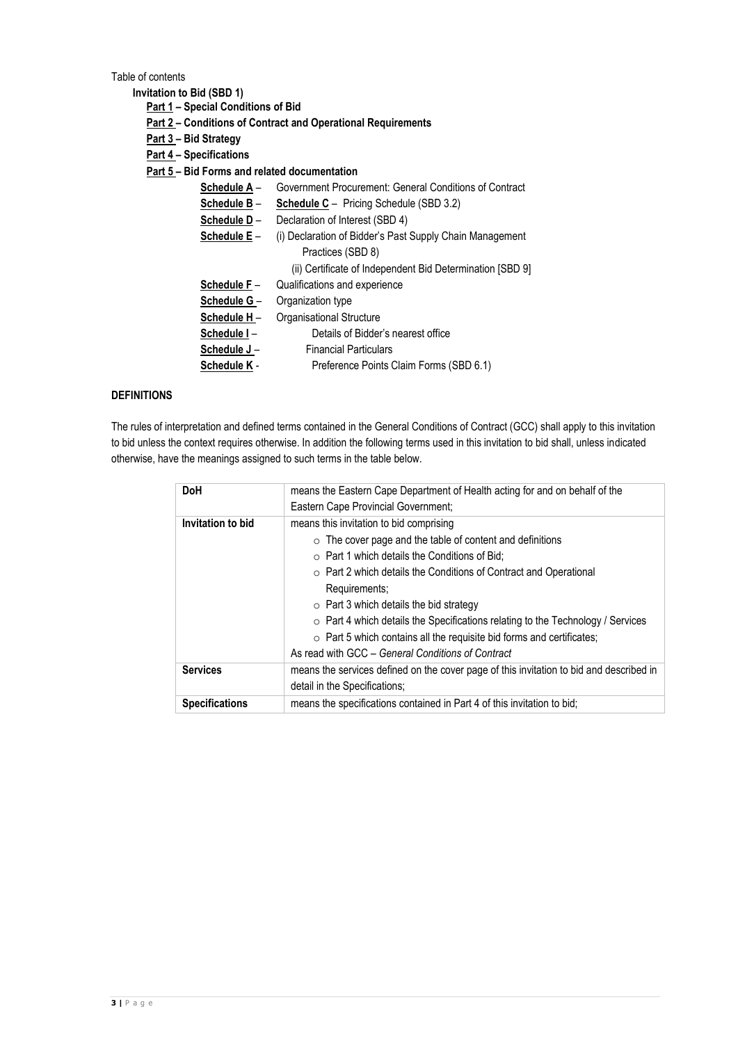Table of contents

**Invitation to Bid (SBD 1)**

**Part 1 – Special Conditions of Bid**

- **Part 2 – Conditions of Contract and Operational Requirements**
- **Part 3 – Bid Strategy**
- **Part 4 – Specifications**
- **Part 5 – Bid Forms and related documentation**
	- **Schedule A** Government Procurement: General Conditions of Contract
	- **Schedule B Schedule C** Pricing Schedule (SBD 3.2)
	- **Schedule D** Declaration of Interest (SBD 4)
	- **<u>Schedule E</u>** (i) Declaration of Bidder's Past Supply Chain Management Practices (SBD 8) (ii) Certificate of Independent Bid Determination [SBD 9]
	- **Schedule F** Qualifications and experience
	- **<u>Schedule G</u>** Organization type
	- **Schedule H** Organisational Structure **Schedule I** – Details of Bidder's nearest office
	- **Schedule J** Financial Particulars
	- **Schedule K** Preference Points Claim Forms (SBD 6.1)

### **DEFINITIONS**

The rules of interpretation and defined terms contained in the General Conditions of Contract (GCC) shall apply to this invitation to bid unless the context requires otherwise. In addition the following terms used in this invitation to bid shall, unless indicated otherwise, have the meanings assigned to such terms in the table below.

| <b>DoH</b>            | means the Eastern Cape Department of Health acting for and on behalf of the             |
|-----------------------|-----------------------------------------------------------------------------------------|
|                       | Eastern Cape Provincial Government;                                                     |
| Invitation to bid     | means this invitation to bid comprising                                                 |
|                       | $\circ$ The cover page and the table of content and definitions                         |
|                       | $\circ$ Part 1 which details the Conditions of Bid;                                     |
|                       | ○ Part 2 which details the Conditions of Contract and Operational                       |
|                       | Requirements;                                                                           |
|                       | $\circ$ Part 3 which details the bid strategy                                           |
|                       | ○ Part 4 which details the Specifications relating to the Technology / Services         |
|                       | $\circ$ Part 5 which contains all the requisite bid forms and certificates;             |
|                       | As read with GCC – General Conditions of Contract                                       |
| <b>Services</b>       | means the services defined on the cover page of this invitation to bid and described in |
|                       | detail in the Specifications:                                                           |
| <b>Specifications</b> | means the specifications contained in Part 4 of this invitation to bid;                 |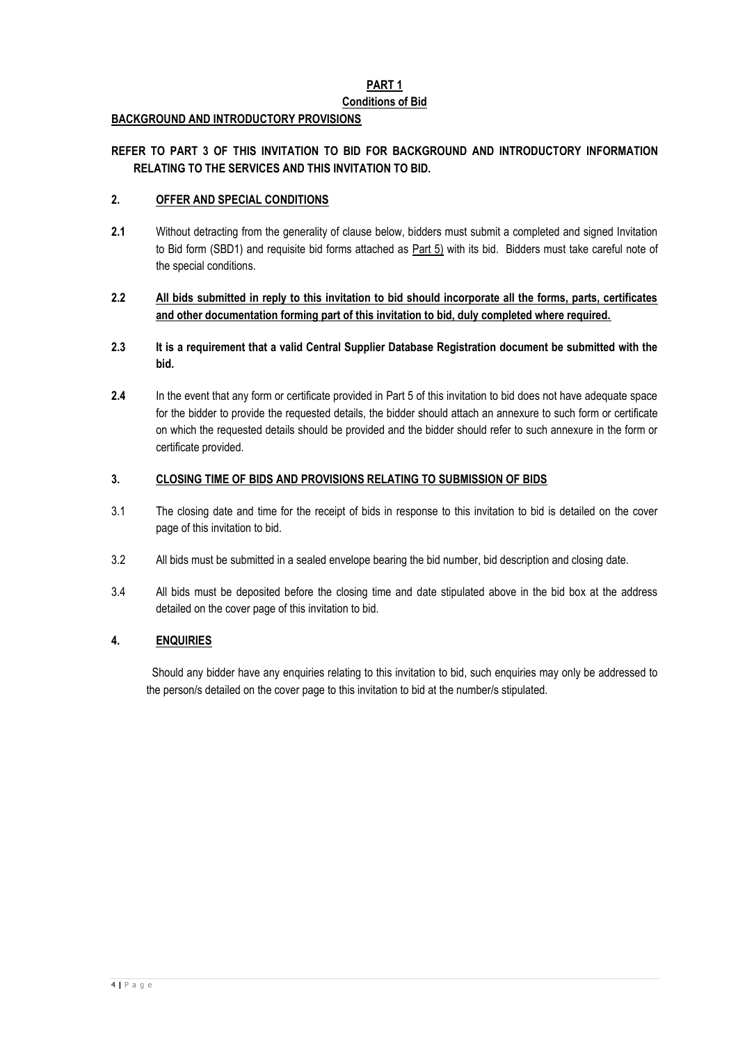# **PART 1**

# **Conditions of Bid**

# **BACKGROUND AND INTRODUCTORY PROVISIONS**

# **REFER TO PART 3 OF THIS INVITATION TO BID FOR BACKGROUND AND INTRODUCTORY INFORMATION RELATING TO THE SERVICES AND THIS INVITATION TO BID.**

# **2. OFFER AND SPECIAL CONDITIONS**

**2.1** Without detracting from the generality of clause below, bidders must submit a completed and signed Invitation to Bid form (SBD1) and requisite bid forms attached as **Part 5)** with its bid. Bidders must take careful note of the special conditions.

# **2.2 All bids submitted in reply to this invitation to bid should incorporate all the forms, parts, certificates and other documentation forming part of this invitation to bid, duly completed where required.**

- **2.3 It is a requirement that a valid Central Supplier Database Registration document be submitted with the bid.**
- **2.4** In the event that any form or certificate provided in Part 5 of this invitation to bid does not have adequate space for the bidder to provide the requested details, the bidder should attach an annexure to such form or certificate on which the requested details should be provided and the bidder should refer to such annexure in the form or certificate provided.

# **3. CLOSING TIME OF BIDS AND PROVISIONS RELATING TO SUBMISSION OF BIDS**

- 3.1 The closing date and time for the receipt of bids in response to this invitation to bid is detailed on the cover page of this invitation to bid.
- 3.2 All bids must be submitted in a sealed envelope bearing the bid number, bid description and closing date.
- 3.4 All bids must be deposited before the closing time and date stipulated above in the bid box at the address detailed on the cover page of this invitation to bid.

# **4. ENQUIRIES**

 Should any bidder have any enquiries relating to this invitation to bid, such enquiries may only be addressed to the person/s detailed on the cover page to this invitation to bid at the number/s stipulated.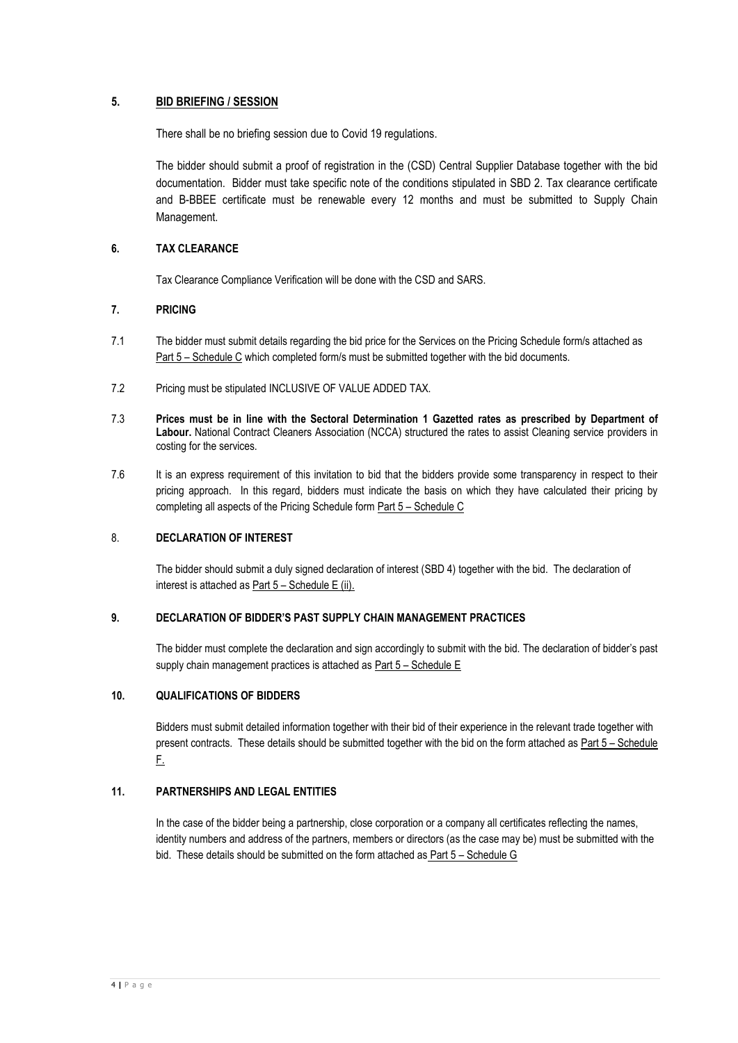# **5. BID BRIEFING / SESSION**

There shall be no briefing session due to Covid 19 regulations.

The bidder should submit a proof of registration in the (CSD) Central Supplier Database together with the bid documentation. Bidder must take specific note of the conditions stipulated in SBD 2. Tax clearance certificate and B-BBEE certificate must be renewable every 12 months and must be submitted to Supply Chain Management.

# **6. TAX CLEARANCE**

Tax Clearance Compliance Verification will be done with the CSD and SARS.

### **7. PRICING**

- 7.1 The bidder must submit details regarding the bid price for the Services on the Pricing Schedule form/s attached as Part 5 – Schedule C which completed form/s must be submitted together with the bid documents.
- 7.2 Pricing must be stipulated INCLUSIVE OF VALUE ADDED TAX.
- 7.3 **Prices must be in line with the Sectoral Determination 1 Gazetted rates as prescribed by Department of Labour.** National Contract Cleaners Association (NCCA) structured the rates to assist Cleaning service providers in costing for the services.
- 7.6 It is an express requirement of this invitation to bid that the bidders provide some transparency in respect to their pricing approach. In this regard, bidders must indicate the basis on which they have calculated their pricing by completing all aspects of the Pricing Schedule form Part 5 - Schedule C

## 8. **DECLARATION OF INTEREST**

The bidder should submit a duly signed declaration of interest (SBD 4) together with the bid. The declaration of interest is attached as Part 5 – Schedule E (ii).

# **9. DECLARATION OF BIDDER'S PAST SUPPLY CHAIN MANAGEMENT PRACTICES**

The bidder must complete the declaration and sign accordingly to submit with the bid. The declaration of bidder's past supply chain management practices is attached as Part 5 – Schedule E

### **10. QUALIFICATIONS OF BIDDERS**

Bidders must submit detailed information together with their bid of their experience in the relevant trade together with present contracts. These details should be submitted together with the bid on the form attached as Part 5 – Schedule F.

## **11. PARTNERSHIPS AND LEGAL ENTITIES**

In the case of the bidder being a partnership, close corporation or a company all certificates reflecting the names, identity numbers and address of the partners, members or directors (as the case may be) must be submitted with the bid. These details should be submitted on the form attached as Part 5 – Schedule G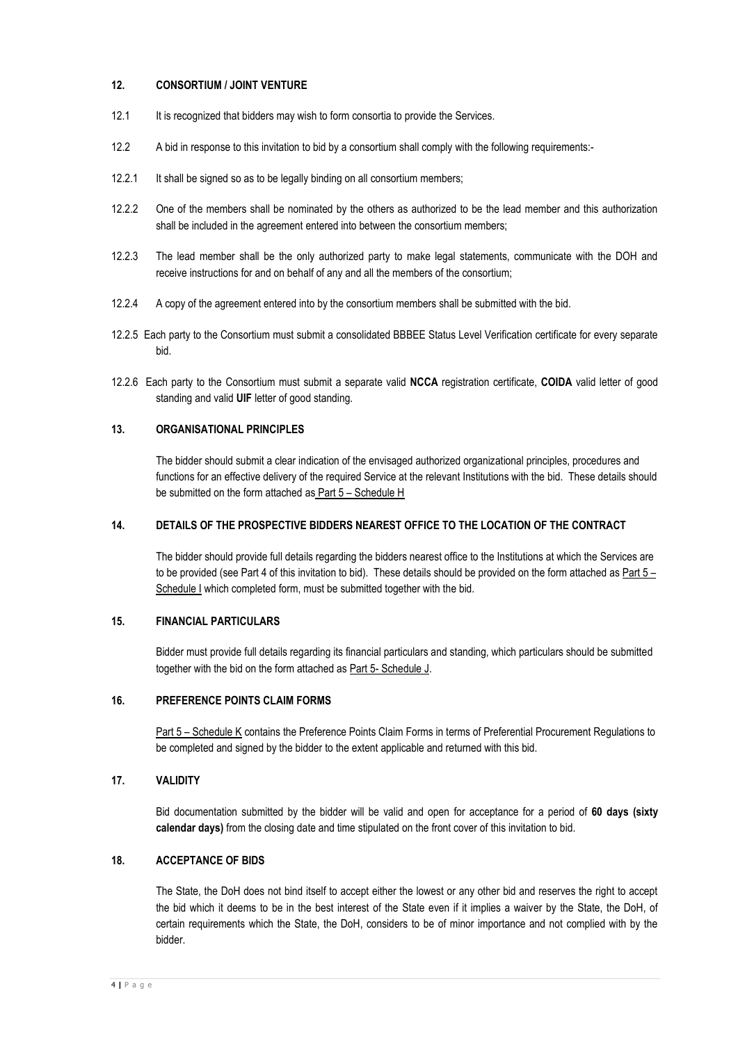# **12. CONSORTIUM / JOINT VENTURE**

- 12.1 It is recognized that bidders may wish to form consortia to provide the Services.
- 12.2 A bid in response to this invitation to bid by a consortium shall comply with the following requirements:-
- 12.2.1 It shall be signed so as to be legally binding on all consortium members;
- 12.2.2 One of the members shall be nominated by the others as authorized to be the lead member and this authorization shall be included in the agreement entered into between the consortium members;
- 12.2.3 The lead member shall be the only authorized party to make legal statements, communicate with the DOH and receive instructions for and on behalf of any and all the members of the consortium;
- 12.2.4 A copy of the agreement entered into by the consortium members shall be submitted with the bid.
- 12.2.5 Each party to the Consortium must submit a consolidated BBBEE Status Level Verification certificate for every separate bid.
- 12.2.6 Each party to the Consortium must submit a separate valid **NCCA** registration certificate, **COIDA** valid letter of good standing and valid **UIF** letter of good standing.

### **13. ORGANISATIONAL PRINCIPLES**

The bidder should submit a clear indication of the envisaged authorized organizational principles, procedures and functions for an effective delivery of the required Service at the relevant Institutions with the bid. These details should be submitted on the form attached as Part 5 – Schedule H

#### **14. DETAILS OF THE PROSPECTIVE BIDDERS NEAREST OFFICE TO THE LOCATION OF THE CONTRACT**

The bidder should provide full details regarding the bidders nearest office to the Institutions at which the Services are to be provided (see Part 4 of this invitation to bid). These details should be provided on the form attached as  $Part 5 -$ Schedule I which completed form, must be submitted together with the bid.

### **15. FINANCIAL PARTICULARS**

Bidder must provide full details regarding its financial particulars and standing, which particulars should be submitted together with the bid on the form attached as Part 5- Schedule J.

### **16. PREFERENCE POINTS CLAIM FORMS**

Part 5 – Schedule K contains the Preference Points Claim Forms in terms of Preferential Procurement Regulations to be completed and signed by the bidder to the extent applicable and returned with this bid.

## **17. VALIDITY**

Bid documentation submitted by the bidder will be valid and open for acceptance for a period of **60 days (sixty calendar days)** from the closing date and time stipulated on the front cover of this invitation to bid.

## **18. ACCEPTANCE OF BIDS**

The State, the DoH does not bind itself to accept either the lowest or any other bid and reserves the right to accept the bid which it deems to be in the best interest of the State even if it implies a waiver by the State, the DoH, of certain requirements which the State, the DoH, considers to be of minor importance and not complied with by the bidder.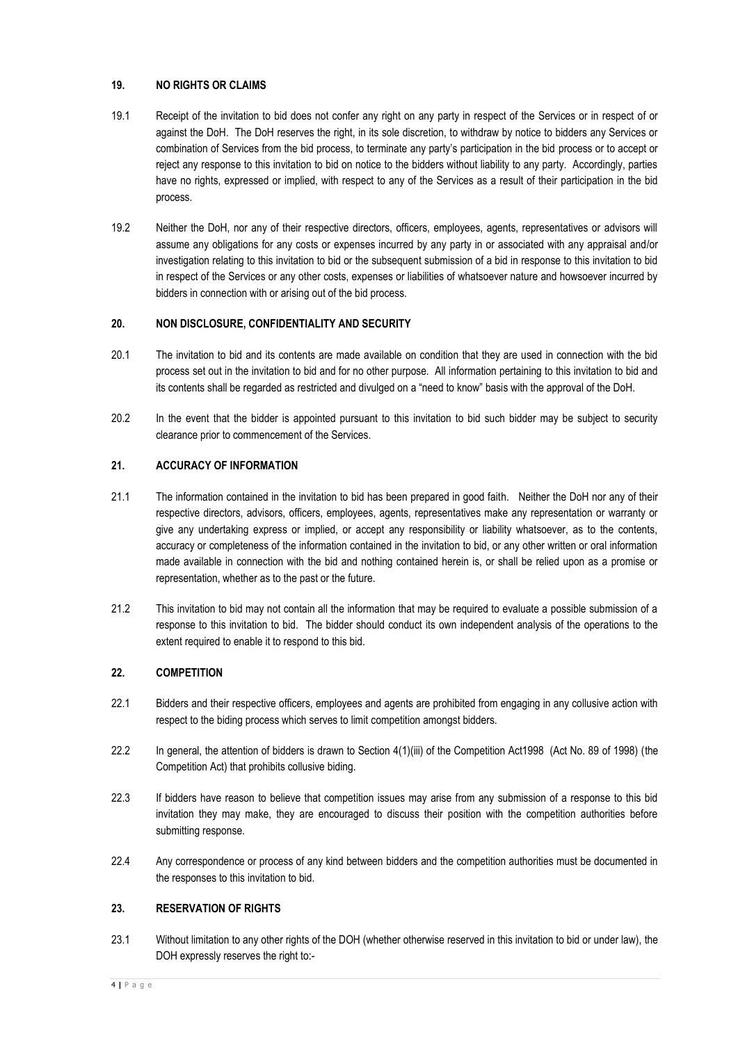# **19. NO RIGHTS OR CLAIMS**

- 19.1 Receipt of the invitation to bid does not confer any right on any party in respect of the Services or in respect of or against the DoH. The DoH reserves the right, in its sole discretion, to withdraw by notice to bidders any Services or combination of Services from the bid process, to terminate any party's participation in the bid process or to accept or reject any response to this invitation to bid on notice to the bidders without liability to any party. Accordingly, parties have no rights, expressed or implied, with respect to any of the Services as a result of their participation in the bid process.
- 19.2 Neither the DoH, nor any of their respective directors, officers, employees, agents, representatives or advisors will assume any obligations for any costs or expenses incurred by any party in or associated with any appraisal and/or investigation relating to this invitation to bid or the subsequent submission of a bid in response to this invitation to bid in respect of the Services or any other costs, expenses or liabilities of whatsoever nature and howsoever incurred by bidders in connection with or arising out of the bid process.

# **20. NON DISCLOSURE, CONFIDENTIALITY AND SECURITY**

- 20.1 The invitation to bid and its contents are made available on condition that they are used in connection with the bid process set out in the invitation to bid and for no other purpose. All information pertaining to this invitation to bid and its contents shall be regarded as restricted and divulged on a "need to know" basis with the approval of the DoH.
- 20.2 In the event that the bidder is appointed pursuant to this invitation to bid such bidder may be subject to security clearance prior to commencement of the Services.

# **21. ACCURACY OF INFORMATION**

- 21.1 The information contained in the invitation to bid has been prepared in good faith. Neither the DoH nor any of their respective directors, advisors, officers, employees, agents, representatives make any representation or warranty or give any undertaking express or implied, or accept any responsibility or liability whatsoever, as to the contents, accuracy or completeness of the information contained in the invitation to bid, or any other written or oral information made available in connection with the bid and nothing contained herein is, or shall be relied upon as a promise or representation, whether as to the past or the future.
- 21.2 This invitation to bid may not contain all the information that may be required to evaluate a possible submission of a response to this invitation to bid. The bidder should conduct its own independent analysis of the operations to the extent required to enable it to respond to this bid.

# **22. COMPETITION**

- 22.1 Bidders and their respective officers, employees and agents are prohibited from engaging in any collusive action with respect to the biding process which serves to limit competition amongst bidders.
- 22.2 In general, the attention of bidders is drawn to Section 4(1)(iii) of the Competition Act1998 (Act No. 89 of 1998) (the Competition Act) that prohibits collusive biding.
- 22.3 If bidders have reason to believe that competition issues may arise from any submission of a response to this bid invitation they may make, they are encouraged to discuss their position with the competition authorities before submitting response.
- 22.4 Any correspondence or process of any kind between bidders and the competition authorities must be documented in the responses to this invitation to bid.

### **23. RESERVATION OF RIGHTS**

23.1 Without limitation to any other rights of the DOH (whether otherwise reserved in this invitation to bid or under law), the DOH expressly reserves the right to:-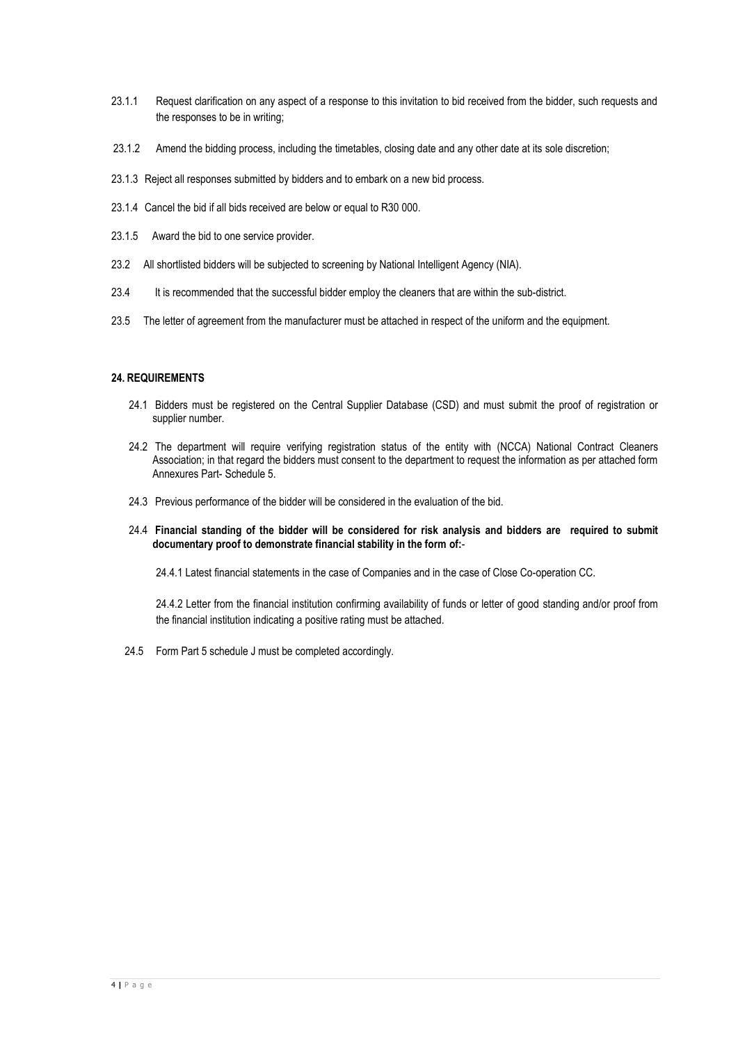- 23.1.1 Request clarification on any aspect of a response to this invitation to bid received from the bidder, such requests and the responses to be in writing;
- 23.1.2 Amend the bidding process, including the timetables, closing date and any other date at its sole discretion;
- 23.1.3 Reject all responses submitted by bidders and to embark on a new bid process.
- 23.1.4 Cancel the bid if all bids received are below or equal to R30 000.
- 23.1.5 Award the bid to one service provider.
- 23.2 All shortlisted bidders will be subjected to screening by National Intelligent Agency (NIA).
- 23.4 It is recommended that the successful bidder employ the cleaners that are within the sub-district.
- 23.5 The letter of agreement from the manufacturer must be attached in respect of the uniform and the equipment.

#### **24. REQUIREMENTS**

- 24.1 Bidders must be registered on the Central Supplier Database (CSD) and must submit the proof of registration or supplier number.
- 24.2 The department will require verifying registration status of the entity with (NCCA) National Contract Cleaners Association; in that regard the bidders must consent to the department to request the information as per attached form Annexures Part- Schedule 5.
- 24.3 Previous performance of the bidder will be considered in the evaluation of the bid.
- 24.4 **Financial standing of the bidder will be considered for risk analysis and bidders are required to submit documentary proof to demonstrate financial stability in the form of:**-

24.4.1 Latest financial statements in the case of Companies and in the case of Close Co-operation CC.

24.4.2 Letter from the financial institution confirming availability of funds or letter of good standing and/or proof from the financial institution indicating a positive rating must be attached.

24.5 Form Part 5 schedule J must be completed accordingly.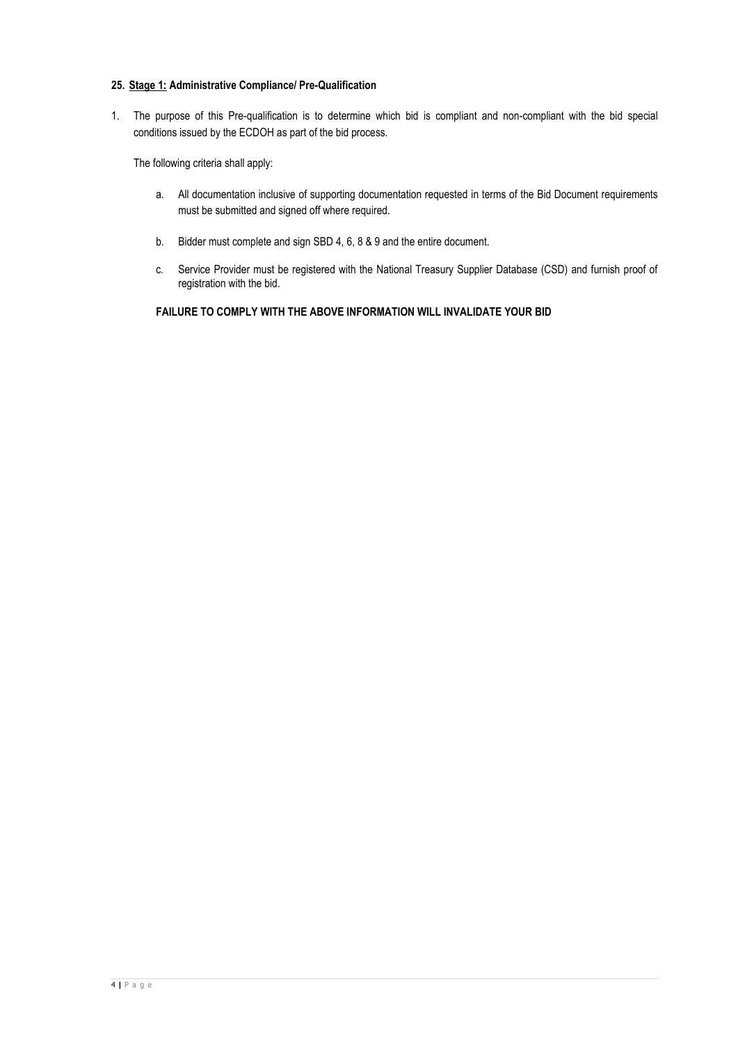### **25. Stage 1: Administrative Compliance/ Pre-Qualification**

1. The purpose of this Pre-qualification is to determine which bid is compliant and non-compliant with the bid special conditions issued by the ECDOH as part of the bid process.

The following criteria shall apply:

- a. All documentation inclusive of supporting documentation requested in terms of the Bid Document requirements must be submitted and signed off where required.
- b. Bidder must complete and sign SBD 4, 6, 8 & 9 and the entire document.
- c. Service Provider must be registered with the National Treasury Supplier Database (CSD) and furnish proof of registration with the bid.

# **FAILURE TO COMPLY WITH THE ABOVE INFORMATION WILL INVALIDATE YOUR BID**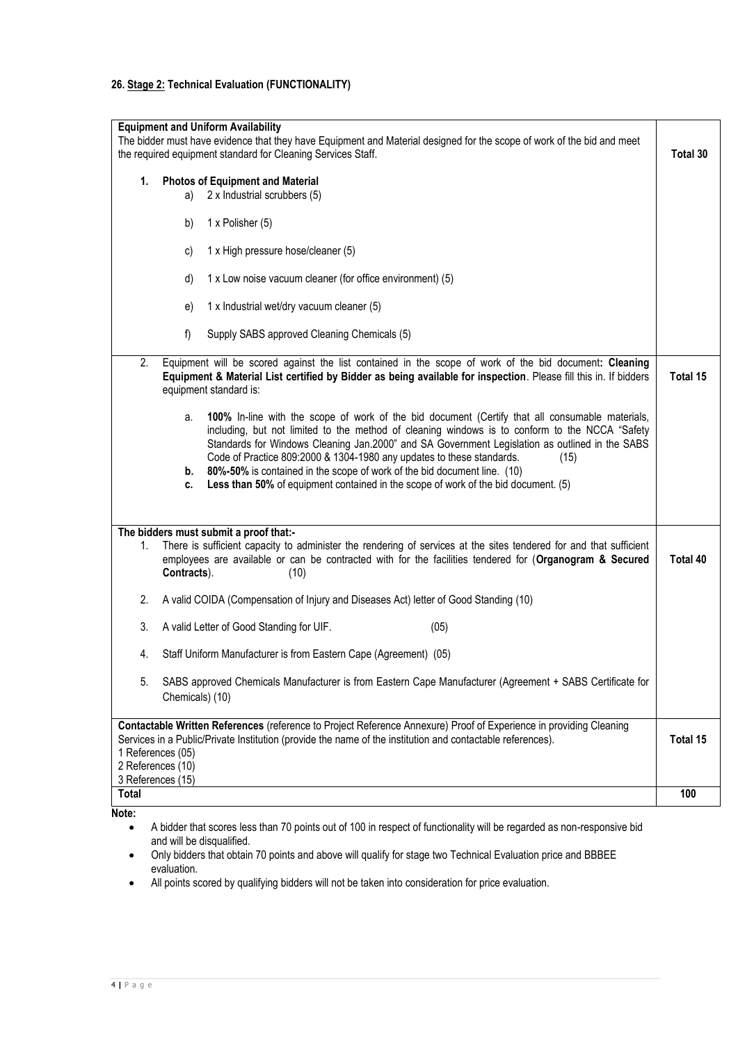# **26. Stage 2: Technical Evaluation (FUNCTIONALITY)**

|       |                                                             | <b>Equipment and Uniform Availability</b><br>The bidder must have evidence that they have Equipment and Material designed for the scope of work of the bid and meet<br>the required equipment standard for Cleaning Services Staff.                                                                                                                                                                                                                                                                                                                    | Total 30 |
|-------|-------------------------------------------------------------|--------------------------------------------------------------------------------------------------------------------------------------------------------------------------------------------------------------------------------------------------------------------------------------------------------------------------------------------------------------------------------------------------------------------------------------------------------------------------------------------------------------------------------------------------------|----------|
|       |                                                             |                                                                                                                                                                                                                                                                                                                                                                                                                                                                                                                                                        |          |
| 1.    | a)                                                          | <b>Photos of Equipment and Material</b><br>2 x Industrial scrubbers (5)                                                                                                                                                                                                                                                                                                                                                                                                                                                                                |          |
|       | b)                                                          | 1 x Polisher (5)                                                                                                                                                                                                                                                                                                                                                                                                                                                                                                                                       |          |
|       | c)                                                          | 1 x High pressure hose/cleaner (5)                                                                                                                                                                                                                                                                                                                                                                                                                                                                                                                     |          |
|       | d)                                                          | 1 x Low noise vacuum cleaner (for office environment) (5)                                                                                                                                                                                                                                                                                                                                                                                                                                                                                              |          |
|       | e)                                                          | 1 x Industrial wet/dry vacuum cleaner (5)                                                                                                                                                                                                                                                                                                                                                                                                                                                                                                              |          |
|       | f)                                                          | Supply SABS approved Cleaning Chemicals (5)                                                                                                                                                                                                                                                                                                                                                                                                                                                                                                            |          |
| 2.    |                                                             | Equipment will be scored against the list contained in the scope of work of the bid document: Cleaning<br>Equipment & Material List certified by Bidder as being available for inspection. Please fill this in. If bidders<br>equipment standard is:                                                                                                                                                                                                                                                                                                   | Total 15 |
|       | a.<br>b.<br>C.                                              | 100% In-line with the scope of work of the bid document (Certify that all consumable materials,<br>including, but not limited to the method of cleaning windows is to conform to the NCCA "Safety<br>Standards for Windows Cleaning Jan.2000" and SA Government Legislation as outlined in the SABS<br>Code of Practice 809:2000 & 1304-1980 any updates to these standards.<br>(15)<br>80%-50% is contained in the scope of work of the bid document line. (10)<br>Less than 50% of equipment contained in the scope of work of the bid document. (5) |          |
|       |                                                             | The bidders must submit a proof that:-                                                                                                                                                                                                                                                                                                                                                                                                                                                                                                                 |          |
| 1.    | Contracts).                                                 | There is sufficient capacity to administer the rendering of services at the sites tendered for and that sufficient<br>employees are available or can be contracted with for the facilities tendered for (Organogram & Secured<br>(10)                                                                                                                                                                                                                                                                                                                  | Total 40 |
| 2.    |                                                             | A valid COIDA (Compensation of Injury and Diseases Act) letter of Good Standing (10)                                                                                                                                                                                                                                                                                                                                                                                                                                                                   |          |
| 3.    |                                                             | (05)<br>A valid Letter of Good Standing for UIF.                                                                                                                                                                                                                                                                                                                                                                                                                                                                                                       |          |
| 4.    |                                                             | Staff Uniform Manufacturer is from Eastern Cape (Agreement) (05)                                                                                                                                                                                                                                                                                                                                                                                                                                                                                       |          |
| 5.    | Chemicals) (10)                                             | SABS approved Chemicals Manufacturer is from Eastern Cape Manufacturer (Agreement + SABS Certificate for                                                                                                                                                                                                                                                                                                                                                                                                                                               |          |
|       | 1 References (05)<br>2 References (10)<br>3 References (15) | Contactable Written References (reference to Project Reference Annexure) Proof of Experience in providing Cleaning<br>Services in a Public/Private Institution (provide the name of the institution and contactable references).                                                                                                                                                                                                                                                                                                                       | Total 15 |
| Total |                                                             |                                                                                                                                                                                                                                                                                                                                                                                                                                                                                                                                                        | 100      |
| Note: |                                                             |                                                                                                                                                                                                                                                                                                                                                                                                                                                                                                                                                        |          |

**Note:** 

- A bidder that scores less than 70 points out of 100 in respect of functionality will be regarded as non-responsive bid and will be disqualified.
- Only bidders that obtain 70 points and above will qualify for stage two Technical Evaluation price and BBBEE evaluation.
- All points scored by qualifying bidders will not be taken into consideration for price evaluation.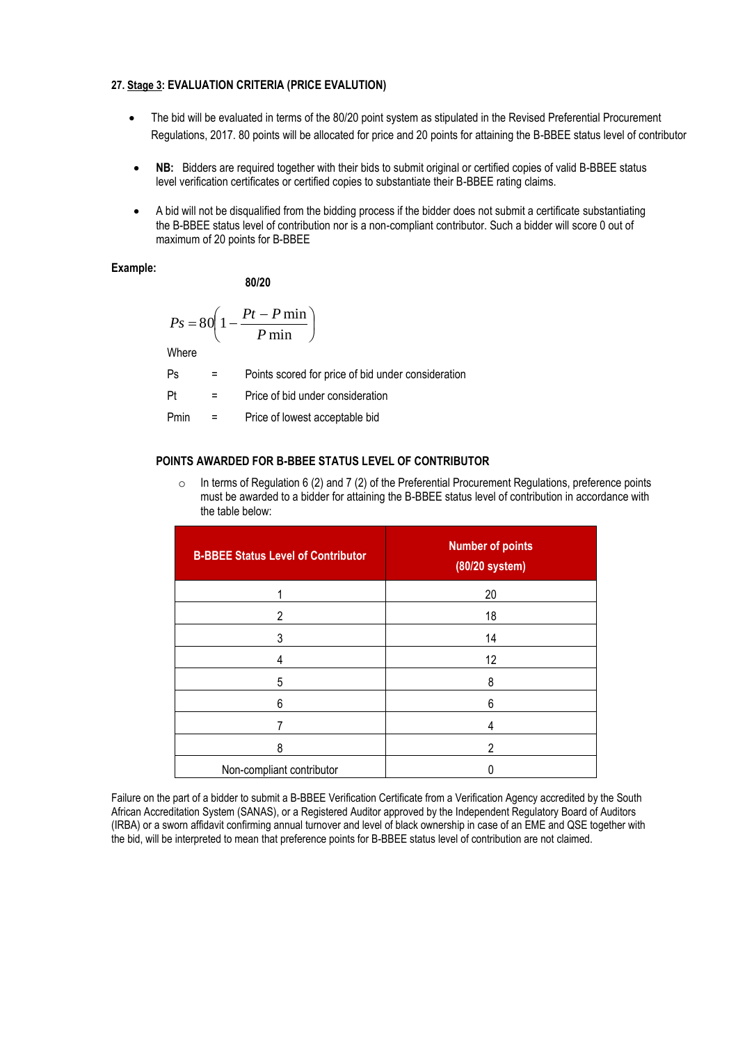#### **27. Stage 3: EVALUATION CRITERIA (PRICE EVALUTION)**

- The bid will be evaluated in terms of the 80/20 point system as stipulated in the Revised Preferential Procurement Regulations, 2017. 80 points will be allocated for price and 20 points for attaining the B-BBEE status level of contributor
- **NB:** Bidders are required together with their bids to submit original or certified copies of valid B-BBEE status level verification certificates or certified copies to substantiate their B-BBEE rating claims.
- A bid will not be disqualified from the bidding process if the bidder does not submit a certificate substantiating the B-BBEE status level of contribution nor is a non-compliant contributor. Such a bidder will score 0 out of maximum of 20 points for B-BBEE

### **Example:**

**80/20**

$$
P_s = 80 \left( 1 - \frac{Pt - P \min}{P \min} \right)
$$

**Where** 

- Ps = Points scored for price of bid under consideration
- Pt = Price of bid under consideration
- Pmin = Price of lowest acceptable bid

### **POINTS AWARDED FOR B-BBEE STATUS LEVEL OF CONTRIBUTOR**

 $\circ$  In terms of Regulation 6 (2) and 7 (2) of the Preferential Procurement Regulations, preference points must be awarded to a bidder for attaining the B-BBEE status level of contribution in accordance with the table below:

| <b>B-BBEE Status Level of Contributor</b> | <b>Number of points</b><br>(80/20 system) |
|-------------------------------------------|-------------------------------------------|
|                                           | 20                                        |
| 2                                         | 18                                        |
| 3                                         | 14                                        |
| 4                                         | 12                                        |
| 5                                         | 8                                         |
| 6                                         | 6                                         |
| 7                                         | 4                                         |
| 8                                         | 2                                         |
| Non-compliant contributor                 |                                           |

Failure on the part of a bidder to submit a B-BBEE Verification Certificate from a Verification Agency accredited by the South African Accreditation System (SANAS), or a Registered Auditor approved by the Independent Regulatory Board of Auditors (IRBA) or a sworn affidavit confirming annual turnover and level of black ownership in case of an EME and QSE together with the bid, will be interpreted to mean that preference points for B-BBEE status level of contribution are not claimed.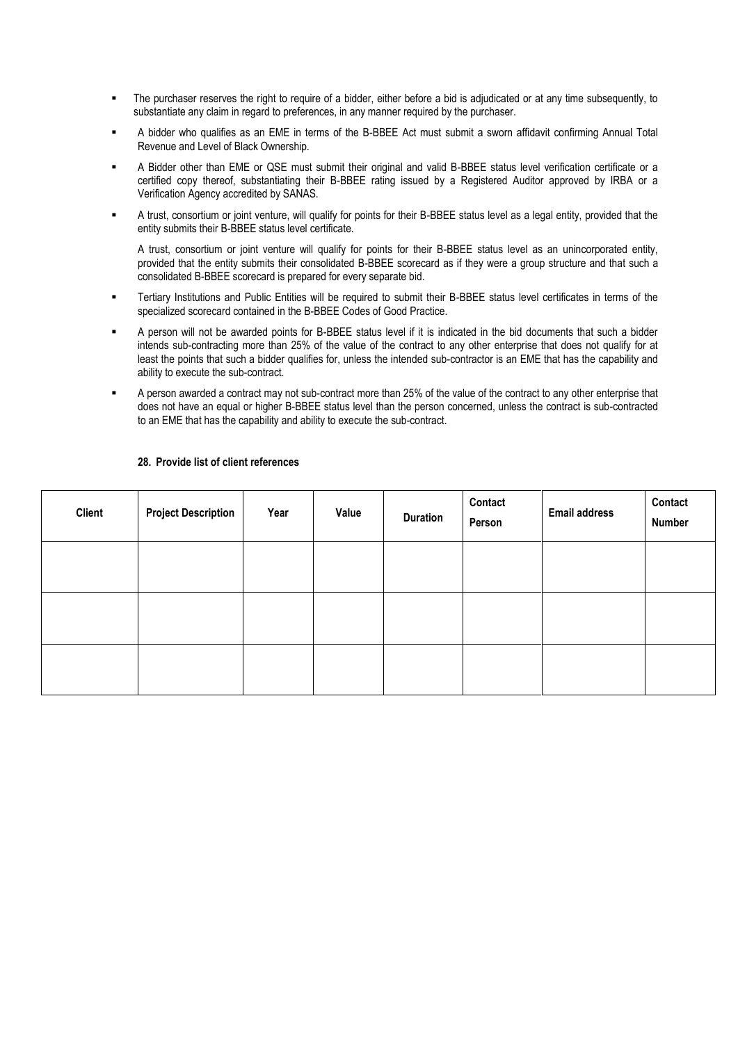- The purchaser reserves the right to require of a bidder, either before a bid is adjudicated or at any time subsequently, to substantiate any claim in regard to preferences, in any manner required by the purchaser.
- A bidder who qualifies as an EME in terms of the B-BBEE Act must submit a sworn affidavit confirming Annual Total Revenue and Level of Black Ownership.
- A Bidder other than EME or QSE must submit their original and valid B-BBEE status level verification certificate or a certified copy thereof, substantiating their B-BBEE rating issued by a Registered Auditor approved by IRBA or a Verification Agency accredited by SANAS.
- A trust, consortium or joint venture, will qualify for points for their B-BBEE status level as a legal entity, provided that the entity submits their B-BBEE status level certificate.

A trust, consortium or joint venture will qualify for points for their B-BBEE status level as an unincorporated entity, provided that the entity submits their consolidated B-BBEE scorecard as if they were a group structure and that such a consolidated B-BBEE scorecard is prepared for every separate bid.

- Tertiary Institutions and Public Entities will be required to submit their B-BBEE status level certificates in terms of the specialized scorecard contained in the B-BBEE Codes of Good Practice.
- A person will not be awarded points for B-BBEE status level if it is indicated in the bid documents that such a bidder intends sub-contracting more than 25% of the value of the contract to any other enterprise that does not qualify for at least the points that such a bidder qualifies for, unless the intended sub-contractor is an EME that has the capability and ability to execute the sub-contract.
- A person awarded a contract may not sub-contract more than 25% of the value of the contract to any other enterprise that does not have an equal or higher B-BBEE status level than the person concerned, unless the contract is sub-contracted to an EME that has the capability and ability to execute the sub-contract.

| Client | <b>Project Description</b> | Year | Value | <b>Duration</b> | Contact<br>Person | <b>Email address</b> | Contact<br><b>Number</b> |
|--------|----------------------------|------|-------|-----------------|-------------------|----------------------|--------------------------|
|        |                            |      |       |                 |                   |                      |                          |
|        |                            |      |       |                 |                   |                      |                          |
|        |                            |      |       |                 |                   |                      |                          |

#### **28. Provide list of client references**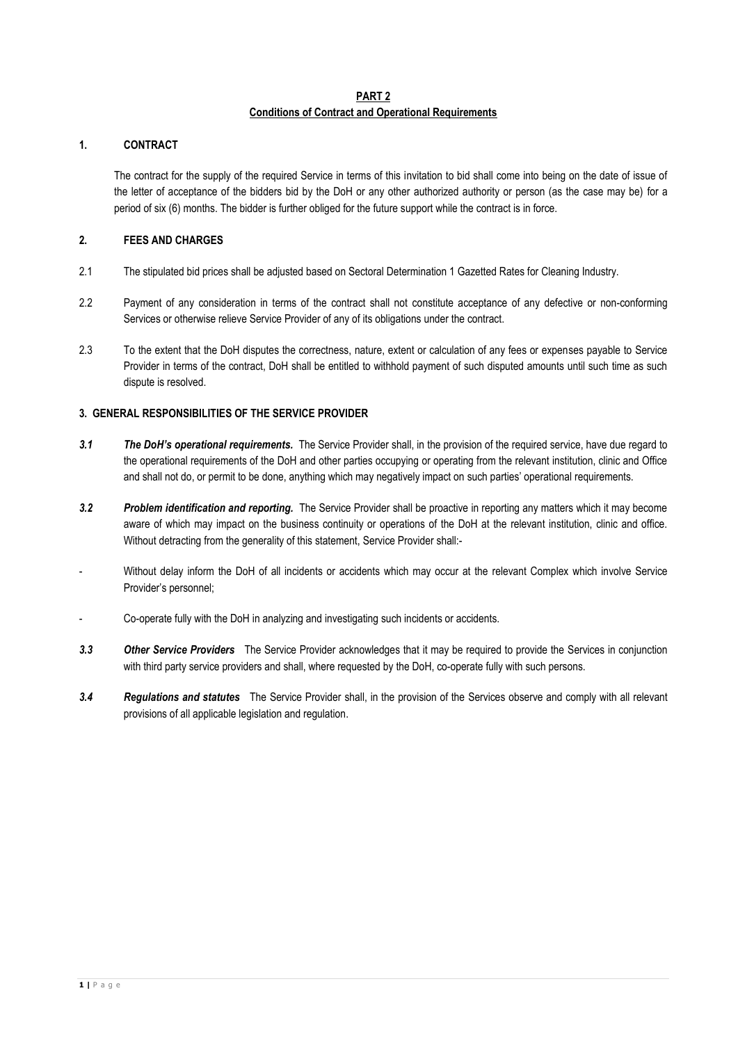### **PART 2 Conditions of Contract and Operational Requirements**

# **1. CONTRACT**

The contract for the supply of the required Service in terms of this invitation to bid shall come into being on the date of issue of the letter of acceptance of the bidders bid by the DoH or any other authorized authority or person (as the case may be) for a period of six (6) months. The bidder is further obliged for the future support while the contract is in force.

# **2. FEES AND CHARGES**

- 2.1 The stipulated bid prices shall be adjusted based on Sectoral Determination 1 Gazetted Rates for Cleaning Industry.
- 2.2 Payment of any consideration in terms of the contract shall not constitute acceptance of any defective or non-conforming Services or otherwise relieve Service Provider of any of its obligations under the contract.
- 2.3 To the extent that the DoH disputes the correctness, nature, extent or calculation of any fees or expenses payable to Service Provider in terms of the contract, DoH shall be entitled to withhold payment of such disputed amounts until such time as such dispute is resolved.

# **3. GENERAL RESPONSIBILITIES OF THE SERVICE PROVIDER**

- *3.1 The DoH's operational requirements.* The Service Provider shall, in the provision of the required service, have due regard to the operational requirements of the DoH and other parties occupying or operating from the relevant institution, clinic and Office and shall not do, or permit to be done, anything which may negatively impact on such parties' operational requirements.
- *3.2 Problem identification and reporting.* The Service Provider shall be proactive in reporting any matters which it may become aware of which may impact on the business continuity or operations of the DoH at the relevant institution, clinic and office. Without detracting from the generality of this statement, Service Provider shall:-
- Without delay inform the DoH of all incidents or accidents which may occur at the relevant Complex which involve Service Provider's personnel;
- Co-operate fully with the DoH in analyzing and investigating such incidents or accidents.
- *3.3 Other Service Providers* The Service Provider acknowledges that it may be required to provide the Services in conjunction with third party service providers and shall, where requested by the DoH, co-operate fully with such persons.
- *3.4 Regulations and statutes*The Service Provider shall, in the provision of the Services observe and comply with all relevant provisions of all applicable legislation and regulation.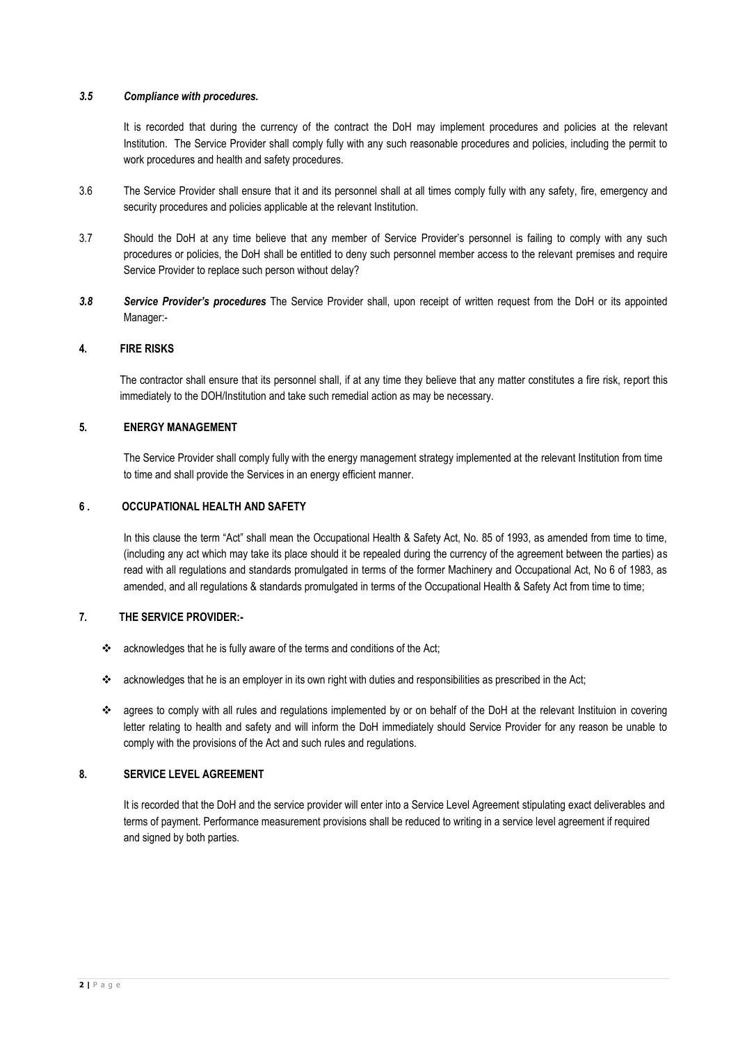### *3.5 Compliance with procedures.*

It is recorded that during the currency of the contract the DoH may implement procedures and policies at the relevant Institution. The Service Provider shall comply fully with any such reasonable procedures and policies, including the permit to work procedures and health and safety procedures.

- 3.6 The Service Provider shall ensure that it and its personnel shall at all times comply fully with any safety, fire, emergency and security procedures and policies applicable at the relevant Institution.
- 3.7 Should the DoH at any time believe that any member of Service Provider's personnel is failing to comply with any such procedures or policies, the DoH shall be entitled to deny such personnel member access to the relevant premises and require Service Provider to replace such person without delay?
- *3.8 Service Provider's procedures* The Service Provider shall, upon receipt of written request from the DoH or its appointed Manager:-

# **4. FIRE RISKS**

The contractor shall ensure that its personnel shall, if at any time they believe that any matter constitutes a fire risk, report this immediately to the DOH/Institution and take such remedial action as may be necessary.

# **5. ENERGY MANAGEMENT**

The Service Provider shall comply fully with the energy management strategy implemented at the relevant Institution from time to time and shall provide the Services in an energy efficient manner.

### **6 . OCCUPATIONAL HEALTH AND SAFETY**

In this clause the term "Act" shall mean the Occupational Health & Safety Act, No. 85 of 1993, as amended from time to time, (including any act which may take its place should it be repealed during the currency of the agreement between the parties) as read with all regulations and standards promulgated in terms of the former Machinery and Occupational Act, No 6 of 1983, as amended, and all regulations & standards promulgated in terms of the Occupational Health & Safety Act from time to time;

# **7. THE SERVICE PROVIDER:-**

- \* acknowledges that he is fully aware of the terms and conditions of the Act;
- acknowledges that he is an employer in its own right with duties and responsibilities as prescribed in the Act;
- \* agrees to comply with all rules and regulations implemented by or on behalf of the DoH at the relevant Instituion in covering letter relating to health and safety and will inform the DoH immediately should Service Provider for any reason be unable to comply with the provisions of the Act and such rules and regulations.

# **8. SERVICE LEVEL AGREEMENT**

It is recorded that the DoH and the service provider will enter into a Service Level Agreement stipulating exact deliverables and terms of payment. Performance measurement provisions shall be reduced to writing in a service level agreement if required and signed by both parties.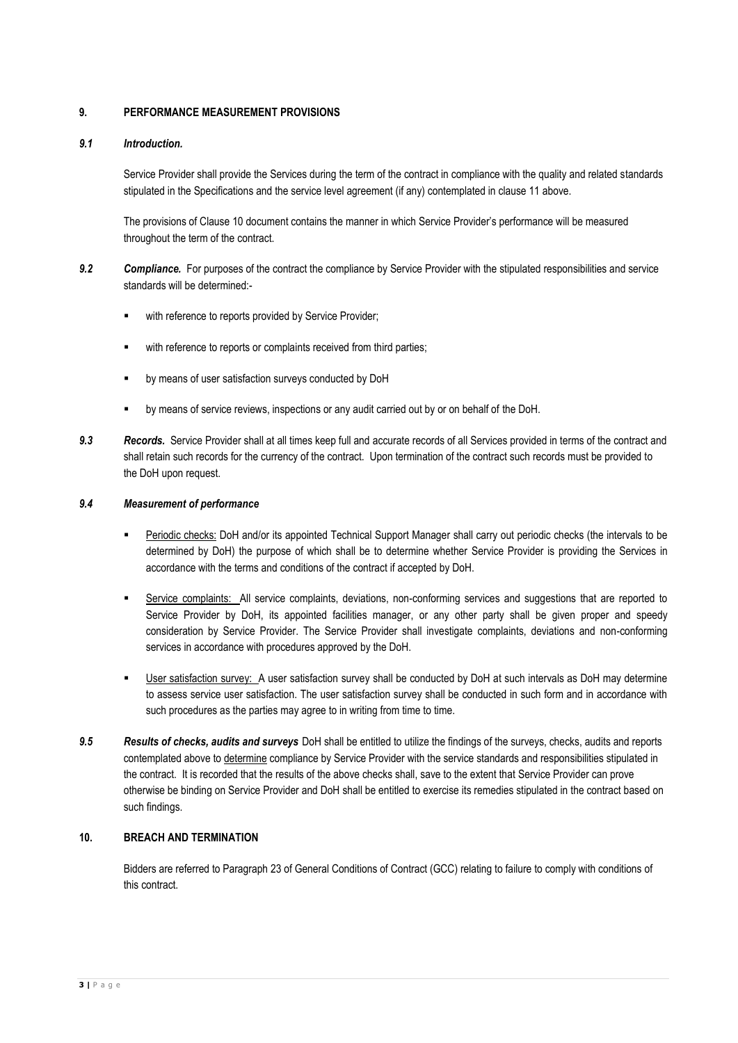# **9. PERFORMANCE MEASUREMENT PROVISIONS**

# *9.1 Introduction.*

Service Provider shall provide the Services during the term of the contract in compliance with the quality and related standards stipulated in the Specifications and the service level agreement (if any) contemplated in clause 11 above.

The provisions of Clause 10 document contains the manner in which Service Provider's performance will be measured throughout the term of the contract.

- *9.2 Compliance.* For purposes of the contract the compliance by Service Provider with the stipulated responsibilities and service standards will be determined:
	- with reference to reports provided by Service Provider;
	- with reference to reports or complaints received from third parties;
	- by means of user satisfaction surveys conducted by DoH
	- by means of service reviews, inspections or any audit carried out by or on behalf of the DoH.
- *9.3 Records.* Service Provider shall at all times keep full and accurate records of all Services provided in terms of the contract and shall retain such records for the currency of the contract. Upon termination of the contract such records must be provided to the DoH upon request.

#### *9.4 Measurement of performance*

- Periodic checks: DoH and/or its appointed Technical Support Manager shall carry out periodic checks (the intervals to be determined by DoH) the purpose of which shall be to determine whether Service Provider is providing the Services in accordance with the terms and conditions of the contract if accepted by DoH.
- Service complaints: All service complaints, deviations, non-conforming services and suggestions that are reported to Service Provider by DoH, its appointed facilities manager, or any other party shall be given proper and speedy consideration by Service Provider. The Service Provider shall investigate complaints, deviations and non-conforming services in accordance with procedures approved by the DoH.
- User satisfaction survey: A user satisfaction survey shall be conducted by DoH at such intervals as DoH may determine to assess service user satisfaction. The user satisfaction survey shall be conducted in such form and in accordance with such procedures as the parties may agree to in writing from time to time.
- *9.5 Results of checks, audits and surveys* DoH shall be entitled to utilize the findings of the surveys, checks, audits and reports contemplated above to determine compliance by Service Provider with the service standards and responsibilities stipulated in the contract. It is recorded that the results of the above checks shall, save to the extent that Service Provider can prove otherwise be binding on Service Provider and DoH shall be entitled to exercise its remedies stipulated in the contract based on such findings.

# **10. BREACH AND TERMINATION**

Bidders are referred to Paragraph 23 of General Conditions of Contract (GCC) relating to failure to comply with conditions of this contract.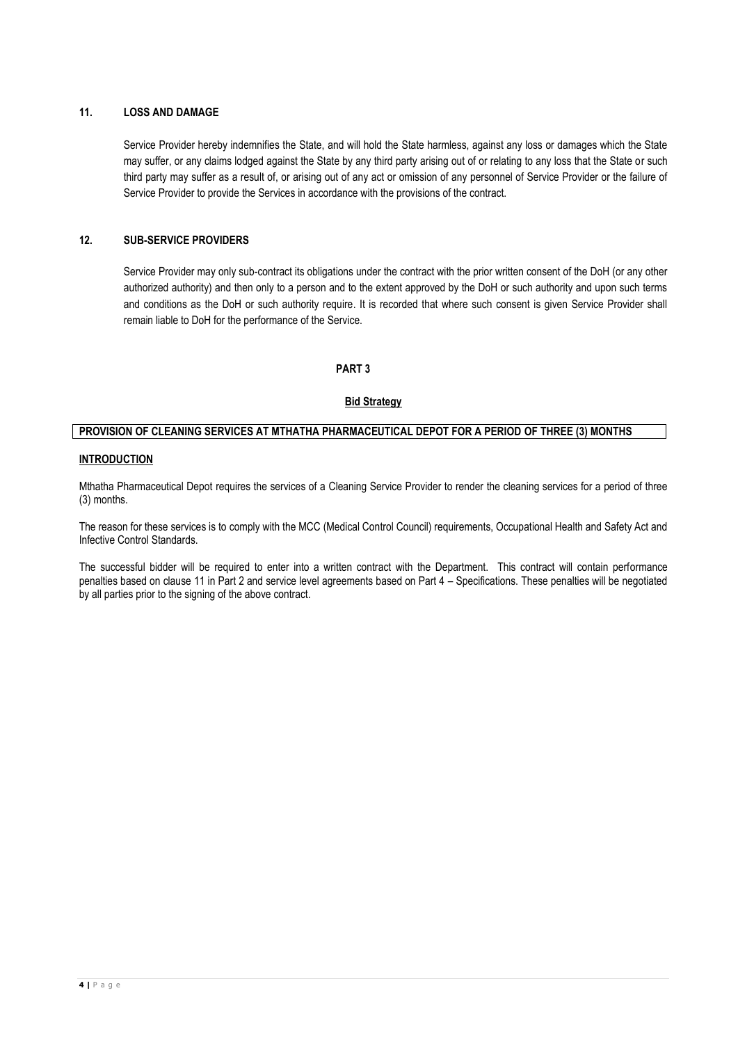# **11. LOSS AND DAMAGE**

Service Provider hereby indemnifies the State, and will hold the State harmless, against any loss or damages which the State may suffer, or any claims lodged against the State by any third party arising out of or relating to any loss that the State or such third party may suffer as a result of, or arising out of any act or omission of any personnel of Service Provider or the failure of Service Provider to provide the Services in accordance with the provisions of the contract.

# **12. SUB-SERVICE PROVIDERS**

Service Provider may only sub-contract its obligations under the contract with the prior written consent of the DoH (or any other authorized authority) and then only to a person and to the extent approved by the DoH or such authority and upon such terms and conditions as the DoH or such authority require. It is recorded that where such consent is given Service Provider shall remain liable to DoH for the performance of the Service.

### **PART 3**

### **Bid Strategy**

# **PROVISION OF CLEANING SERVICES AT MTHATHA PHARMACEUTICAL DEPOT FOR A PERIOD OF THREE (3) MONTHS**

### **INTRODUCTION**

Mthatha Pharmaceutical Depot requires the services of a Cleaning Service Provider to render the cleaning services for a period of three (3) months.

The reason for these services is to comply with the MCC (Medical Control Council) requirements, Occupational Health and Safety Act and Infective Control Standards.

The successful bidder will be required to enter into a written contract with the Department. This contract will contain performance penalties based on clause 11 in Part 2 and service level agreements based on Part 4 – Specifications. These penalties will be negotiated by all parties prior to the signing of the above contract.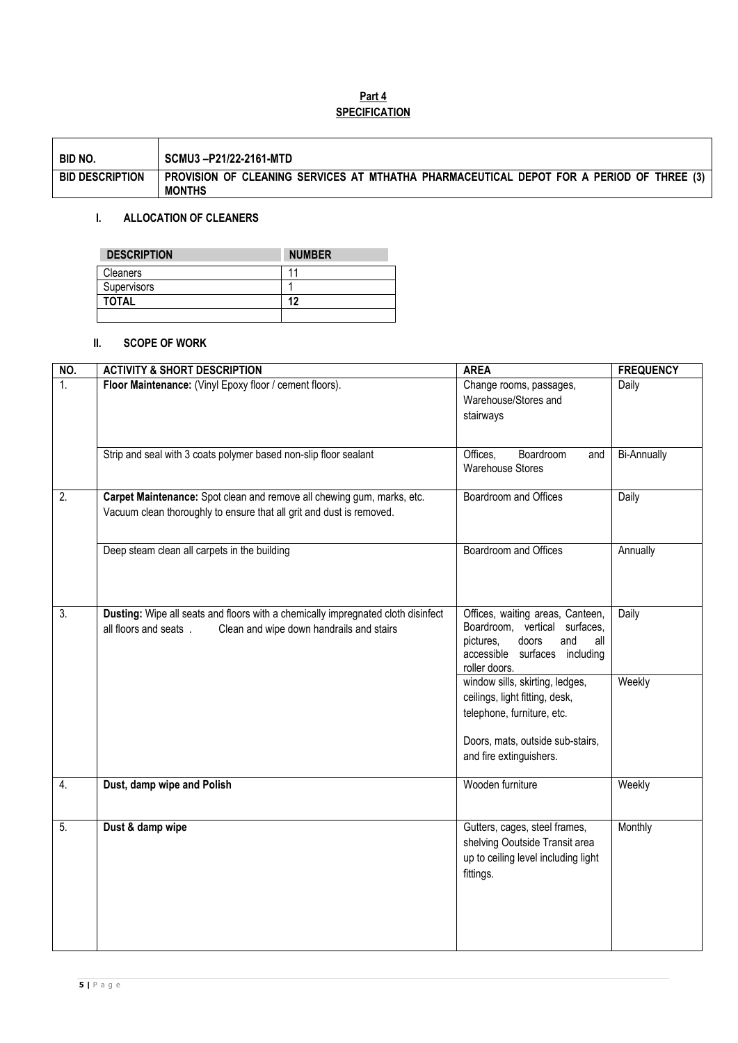# **Part 4 SPECIFICATION**

| BID NO.                | SCMU3-P21/22-2161-MTD                                                                                     |
|------------------------|-----------------------------------------------------------------------------------------------------------|
| <b>BID DESCRIPTION</b> | PROVISION OF CLEANING SERVICES AT MTHATHA PHARMACEUTICAL DEPOT FOR A PERIOD OF THREE (3)<br><b>MONTHS</b> |

# **I. ALLOCATION OF CLEANERS**

| <b>DESCRIPTION</b> | <b>NUMBER</b> |
|--------------------|---------------|
| <b>Cleaners</b>    |               |
| Supervisors        |               |
| <b>TOTAL</b>       | 12            |
|                    |               |

# **II. SCOPE OF WORK**

| NO.              | <b>ACTIVITY &amp; SHORT DESCRIPTION</b>                                                                                                               | <b>AREA</b>                                                                                                                                             | <b>FREQUENCY</b>   |
|------------------|-------------------------------------------------------------------------------------------------------------------------------------------------------|---------------------------------------------------------------------------------------------------------------------------------------------------------|--------------------|
| $\overline{1}$ . | Floor Maintenance: (Vinyl Epoxy floor / cement floors).                                                                                               | Change rooms, passages,<br>Warehouse/Stores and<br>stairways                                                                                            | Daily              |
|                  | Strip and seal with 3 coats polymer based non-slip floor sealant                                                                                      | Boardroom<br>Offices,<br>and<br><b>Warehouse Stores</b>                                                                                                 | <b>Bi-Annually</b> |
| $\overline{2}$ . | Carpet Maintenance: Spot clean and remove all chewing gum, marks, etc.<br>Vacuum clean thoroughly to ensure that all grit and dust is removed.        | Boardroom and Offices                                                                                                                                   | Daily              |
|                  | Deep steam clean all carpets in the building                                                                                                          | Boardroom and Offices                                                                                                                                   | Annually           |
| $\overline{3}$ . | Dusting: Wipe all seats and floors with a chemically impregnated cloth disinfect<br>all floors and seats.<br>Clean and wipe down handrails and stairs | Offices, waiting areas, Canteen,<br>Boardroom, vertical surfaces,<br>and<br>pictures,<br>doors<br>all<br>accessible surfaces including<br>roller doors. | Daily              |
|                  |                                                                                                                                                       | window sills, skirting, ledges,<br>ceilings, light fitting, desk,<br>telephone, furniture, etc.                                                         | Weekly             |
|                  |                                                                                                                                                       | Doors, mats, outside sub-stairs,<br>and fire extinguishers.                                                                                             |                    |
| 4.               | Dust, damp wipe and Polish                                                                                                                            | Wooden furniture                                                                                                                                        | Weekly             |
| $\overline{5}$ . | Dust & damp wipe                                                                                                                                      | Gutters, cages, steel frames,<br>shelving Ooutside Transit area<br>up to ceiling level including light<br>fittings.                                     | Monthly            |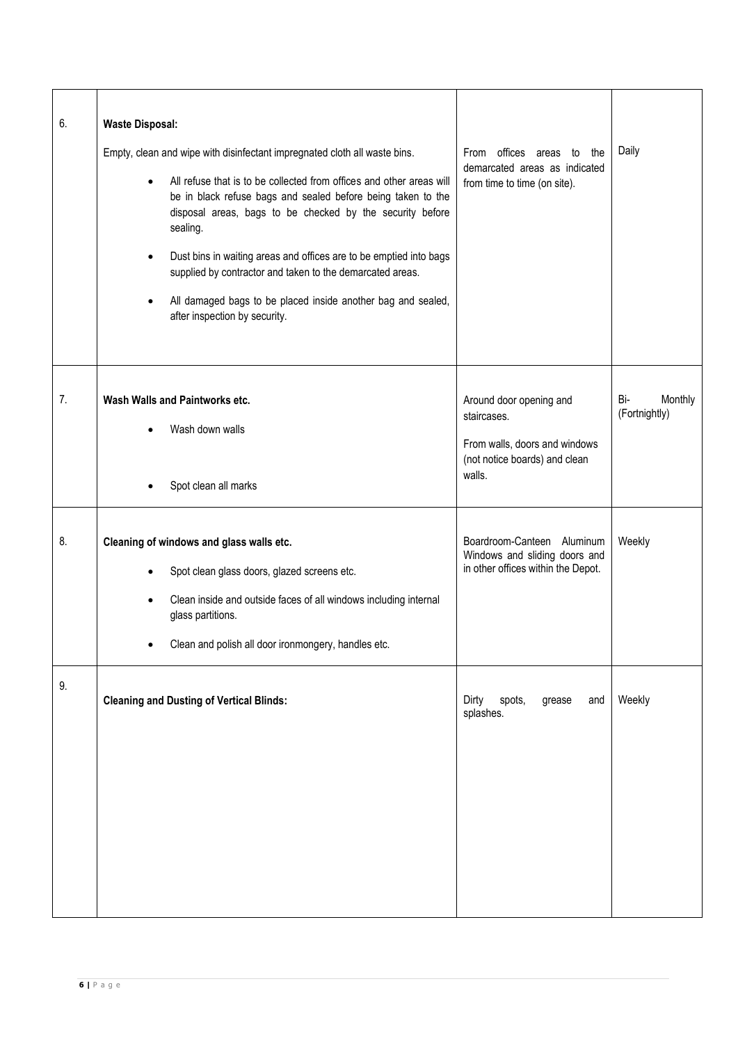| 6. | <b>Waste Disposal:</b><br>Empty, clean and wipe with disinfectant impregnated cloth all waste bins.<br>All refuse that is to be collected from offices and other areas will<br>$\bullet$<br>be in black refuse bags and sealed before being taken to the<br>disposal areas, bags to be checked by the security before<br>sealing.<br>Dust bins in waiting areas and offices are to be emptied into bags<br>$\bullet$<br>supplied by contractor and taken to the demarcated areas.<br>All damaged bags to be placed inside another bag and sealed,<br>$\bullet$<br>after inspection by security. | From offices areas to the<br>demarcated areas as indicated<br>from time to time (on site).                         | Daily                           |
|----|-------------------------------------------------------------------------------------------------------------------------------------------------------------------------------------------------------------------------------------------------------------------------------------------------------------------------------------------------------------------------------------------------------------------------------------------------------------------------------------------------------------------------------------------------------------------------------------------------|--------------------------------------------------------------------------------------------------------------------|---------------------------------|
| 7. | Wash Walls and Paintworks etc.<br>Wash down walls<br>Spot clean all marks                                                                                                                                                                                                                                                                                                                                                                                                                                                                                                                       | Around door opening and<br>staircases.<br>From walls, doors and windows<br>(not notice boards) and clean<br>walls. | Bi-<br>Monthly<br>(Fortnightly) |
| 8. | Cleaning of windows and glass walls etc.<br>Spot clean glass doors, glazed screens etc.<br>Clean inside and outside faces of all windows including internal<br>$\bullet$<br>glass partitions.<br>Clean and polish all door ironmongery, handles etc.                                                                                                                                                                                                                                                                                                                                            | Boardroom-Canteen Aluminum<br>Windows and sliding doors and<br>in other offices within the Depot.                  | Weekly                          |
| 9. | <b>Cleaning and Dusting of Vertical Blinds:</b>                                                                                                                                                                                                                                                                                                                                                                                                                                                                                                                                                 | Dirty<br>spots,<br>grease<br>and<br>splashes.                                                                      | Weekly                          |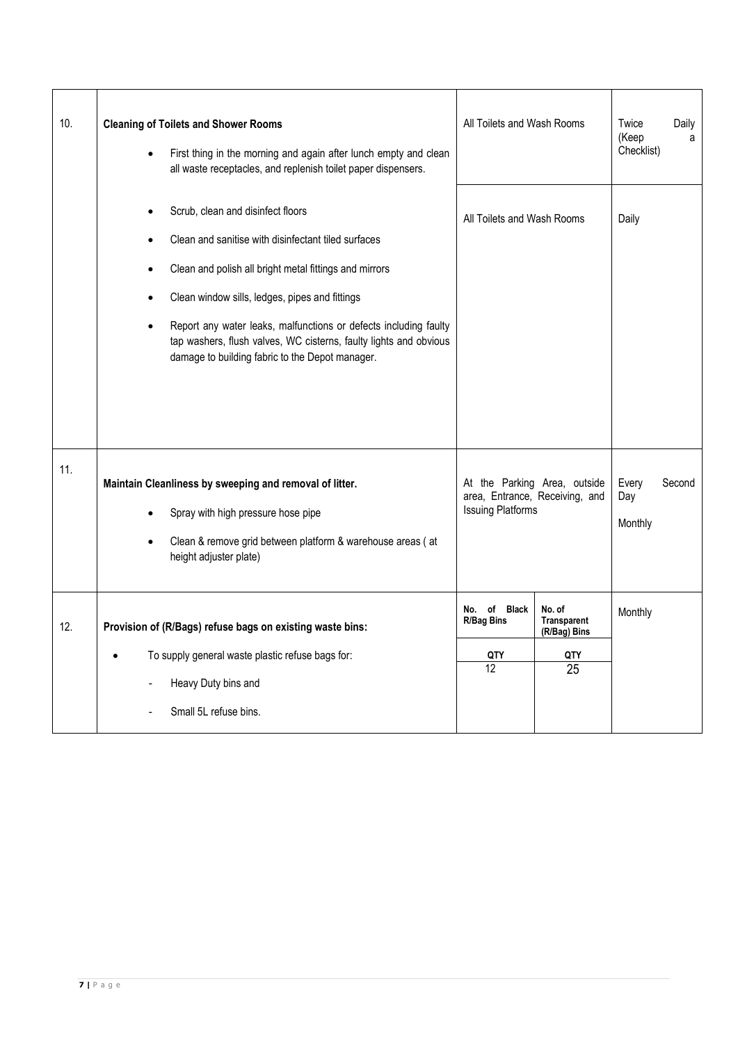| 10. | <b>Cleaning of Toilets and Shower Rooms</b><br>First thing in the morning and again after lunch empty and clean<br>$\bullet$<br>all waste receptacles, and replenish toilet paper dispensers.                                                                                                                                                                                                                      | All Toilets and Wash Rooms                                                                 | Twice<br>(Keep<br>Checklist)                              | Daily<br>a              |        |
|-----|--------------------------------------------------------------------------------------------------------------------------------------------------------------------------------------------------------------------------------------------------------------------------------------------------------------------------------------------------------------------------------------------------------------------|--------------------------------------------------------------------------------------------|-----------------------------------------------------------|-------------------------|--------|
|     | Scrub, clean and disinfect floors<br>Clean and sanitise with disinfectant tiled surfaces<br>Clean and polish all bright metal fittings and mirrors<br>٠<br>Clean window sills, ledges, pipes and fittings<br>Report any water leaks, malfunctions or defects including faulty<br>$\bullet$<br>tap washers, flush valves, WC cisterns, faulty lights and obvious<br>damage to building fabric to the Depot manager. | All Toilets and Wash Rooms                                                                 |                                                           | Daily                   |        |
| 11. | Maintain Cleanliness by sweeping and removal of litter.<br>Spray with high pressure hose pipe<br>Clean & remove grid between platform & warehouse areas (at<br>$\bullet$<br>height adjuster plate)                                                                                                                                                                                                                 | At the Parking Area, outside<br>area, Entrance, Receiving, and<br><b>Issuing Platforms</b> |                                                           | Every<br>Day<br>Monthly | Second |
| 12. | Provision of (R/Bags) refuse bags on existing waste bins:<br>To supply general waste plastic refuse bags for:<br>Heavy Duty bins and<br>Small 5L refuse bins.                                                                                                                                                                                                                                                      | No. of Black<br><b>R/Bag Bins</b><br>QTY<br>12 <sup>2</sup>                                | No. of<br><b>Transparent</b><br>(R/Bag) Bins<br>QTY<br>25 | Monthly                 |        |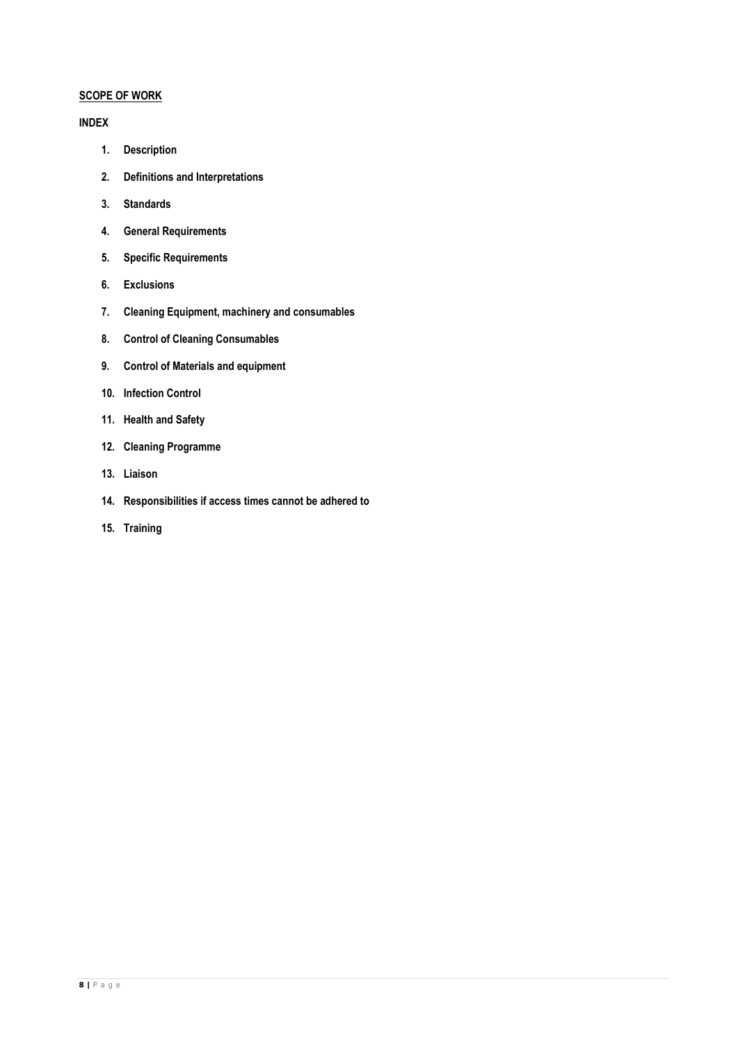# **SCOPE OF WORK**

## **INDEX**

- **1. Description**
- **2. Definitions and Interpretations**
- **3. Standards**
- **4. General Requirements**
- **5. Specific Requirements**
- **6. Exclusions**
- **7. Cleaning Equipment, machinery and consumables**
- **8. Control of Cleaning Consumables**
- **9. Control of Materials and equipment**
- **10. Infection Control**
- **11. Health and Safety**
- **12. Cleaning Programme**
- **13. Liaison**
- **14. Responsibilities if access times cannot be adhered to**
- **15. Training**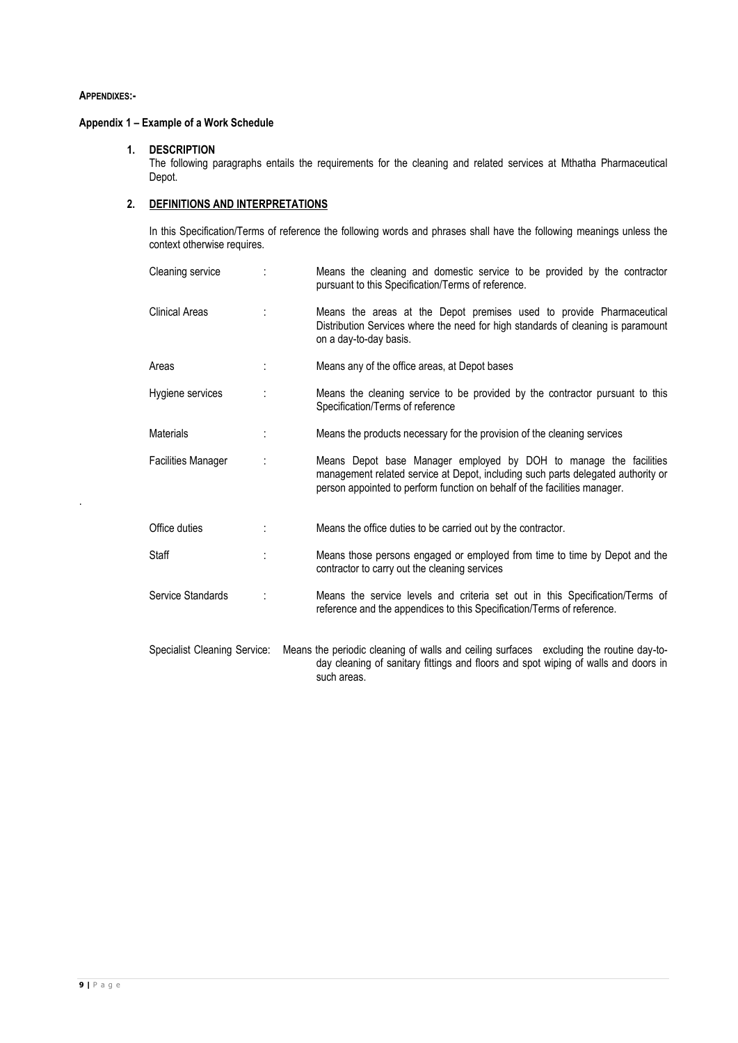### **APPENDIXES:-**

.

# **Appendix 1 – Example of a Work Schedule**

#### **1. DESCRIPTION**

The following paragraphs entails the requirements for the cleaning and related services at Mthatha Pharmaceutical Depot.

# **2. DEFINITIONS AND INTERPRETATIONS**

In this Specification/Terms of reference the following words and phrases shall have the following meanings unless the context otherwise requires.

| Cleaning service             |   | Means the cleaning and domestic service to be provided by the contractor<br>pursuant to this Specification/Terms of reference.                                                                                                     |
|------------------------------|---|------------------------------------------------------------------------------------------------------------------------------------------------------------------------------------------------------------------------------------|
| <b>Clinical Areas</b>        | ÷ | Means the areas at the Depot premises used to provide Pharmaceutical<br>Distribution Services where the need for high standards of cleaning is paramount<br>on a day-to-day basis.                                                 |
| Areas                        |   | Means any of the office areas, at Depot bases                                                                                                                                                                                      |
| Hygiene services             |   | Means the cleaning service to be provided by the contractor pursuant to this<br>Specification/Terms of reference                                                                                                                   |
| <b>Materials</b>             |   | Means the products necessary for the provision of the cleaning services                                                                                                                                                            |
| <b>Facilities Manager</b>    |   | Means Depot base Manager employed by DOH to manage the facilities<br>management related service at Depot, including such parts delegated authority or<br>person appointed to perform function on behalf of the facilities manager. |
| Office duties                |   | Means the office duties to be carried out by the contractor.                                                                                                                                                                       |
| Staff                        |   | Means those persons engaged or employed from time to time by Depot and the<br>contractor to carry out the cleaning services                                                                                                        |
| Service Standards            |   | Means the service levels and criteria set out in this Specification/Terms of<br>reference and the appendices to this Specification/Terms of reference.                                                                             |
| Specialist Cleaning Service: |   | Means the periodic cleaning of walls and ceiling surfaces excluding the routine day-to-<br>day cleaning of sanitary fittings and floors and spot wiping of walls and doors in<br>such areas.                                       |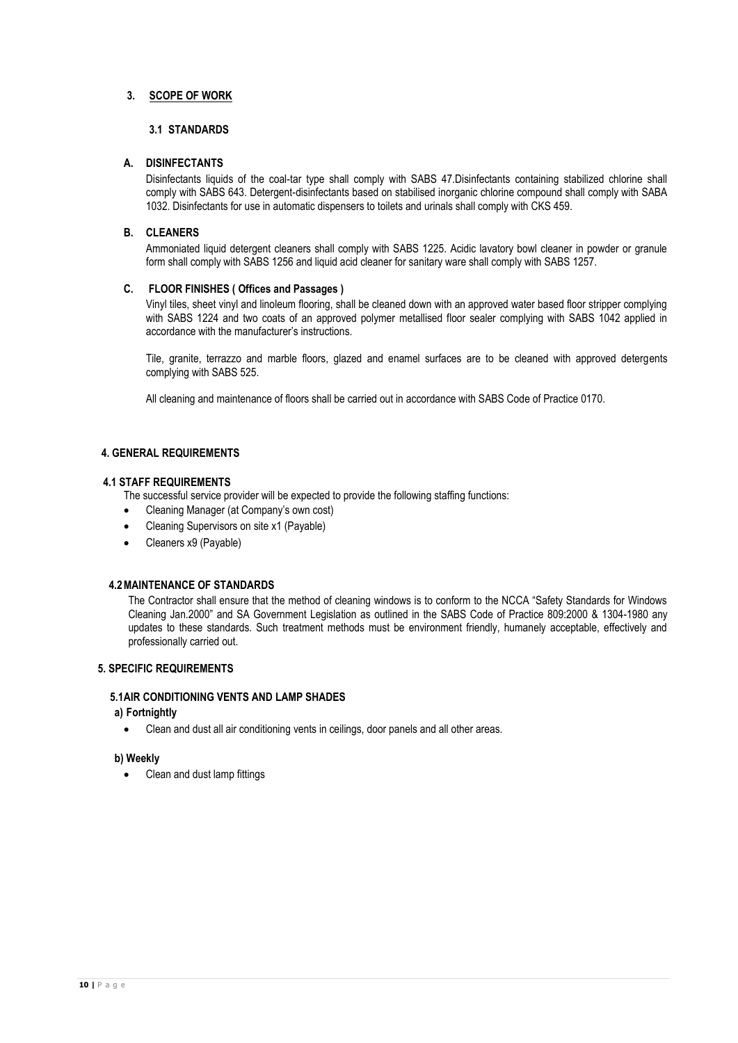# **3. SCOPE OF WORK**

## **3.1 STANDARDS**

#### **A. DISINFECTANTS**

Disinfectants liquids of the coal-tar type shall comply with SABS 47.Disinfectants containing stabilized chlorine shall comply with SABS 643. Detergent-disinfectants based on stabilised inorganic chlorine compound shall comply with SABA 1032. Disinfectants for use in automatic dispensers to toilets and urinals shall comply with CKS 459.

#### **B. CLEANERS**

Ammoniated liquid detergent cleaners shall comply with SABS 1225. Acidic lavatory bowl cleaner in powder or granule form shall comply with SABS 1256 and liquid acid cleaner for sanitary ware shall comply with SABS 1257.

#### **C. FLOOR FINISHES ( Offices and Passages )**

Vinyl tiles, sheet vinyl and linoleum flooring, shall be cleaned down with an approved water based floor stripper complying with SABS 1224 and two coats of an approved polymer metallised floor sealer complying with SABS 1042 applied in accordance with the manufacturer's instructions.

Tile, granite, terrazzo and marble floors, glazed and enamel surfaces are to be cleaned with approved detergents complying with SABS 525.

All cleaning and maintenance of floors shall be carried out in accordance with SABS Code of Practice 0170.

### **4. GENERAL REQUIREMENTS**

#### **4.1 STAFF REQUIREMENTS**

The successful service provider will be expected to provide the following staffing functions:

- Cleaning Manager (at Company's own cost)
- Cleaning Supervisors on site x1 (Payable)
- Cleaners x9 (Payable)

### **4.2MAINTENANCE OF STANDARDS**

The Contractor shall ensure that the method of cleaning windows is to conform to the NCCA "Safety Standards for Windows Cleaning Jan.2000" and SA Government Legislation as outlined in the SABS Code of Practice 809:2000 & 1304-1980 any updates to these standards. Such treatment methods must be environment friendly, humanely acceptable, effectively and professionally carried out.

#### **5. SPECIFIC REQUIREMENTS**

#### **5.1AIR CONDITIONING VENTS AND LAMP SHADES**

### **a) Fortnightly**

Clean and dust all air conditioning vents in ceilings, door panels and all other areas.

# **b) Weekly**

• Clean and dust lamp fittings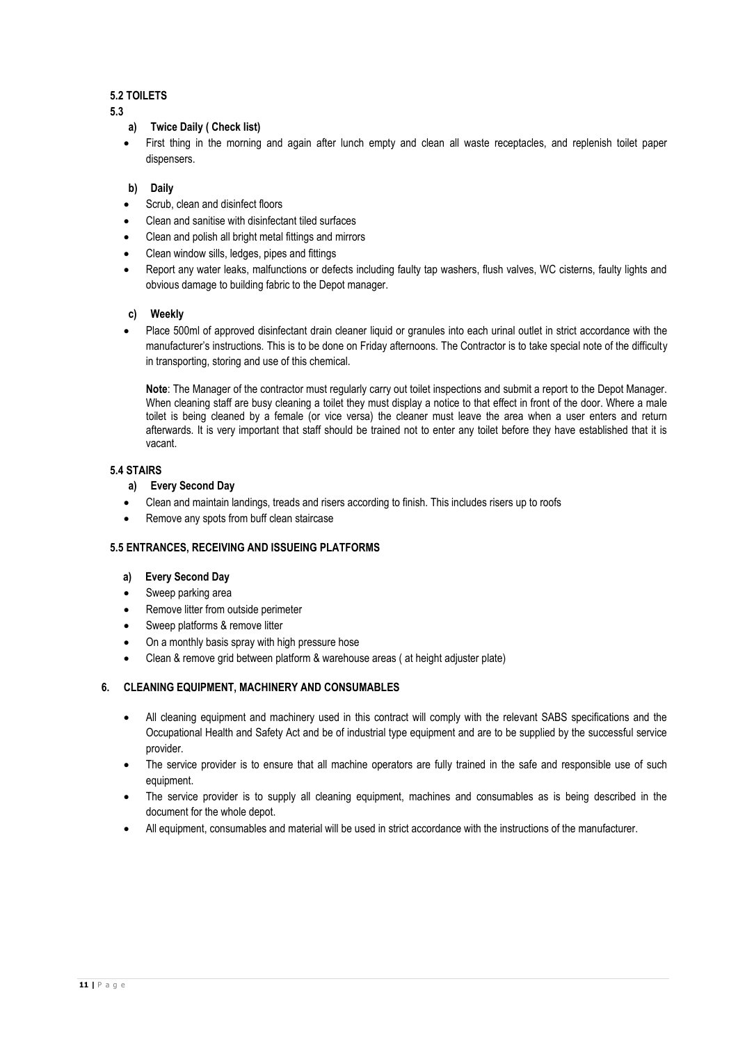# **5.2 TOILETS**

**5.3**

- **a) Twice Daily ( Check list)**
- First thing in the morning and again after lunch empty and clean all waste receptacles, and replenish toilet paper dispensers.

# **b) Daily**

- Scrub, clean and disinfect floors
- Clean and sanitise with disinfectant tiled surfaces
- Clean and polish all bright metal fittings and mirrors
- Clean window sills, ledges, pipes and fittings
- Report any water leaks, malfunctions or defects including faulty tap washers, flush valves, WC cisterns, faulty lights and obvious damage to building fabric to the Depot manager.

### **c) Weekly**

 Place 500ml of approved disinfectant drain cleaner liquid or granules into each urinal outlet in strict accordance with the manufacturer's instructions. This is to be done on Friday afternoons. The Contractor is to take special note of the difficulty in transporting, storing and use of this chemical.

**Note**: The Manager of the contractor must regularly carry out toilet inspections and submit a report to the Depot Manager. When cleaning staff are busy cleaning a toilet they must display a notice to that effect in front of the door. Where a male toilet is being cleaned by a female (or vice versa) the cleaner must leave the area when a user enters and return afterwards. It is very important that staff should be trained not to enter any toilet before they have established that it is vacant.

# **5.4 STAIRS**

# **a) Every Second Day**

- Clean and maintain landings, treads and risers according to finish. This includes risers up to roofs
- Remove any spots from buff clean staircase

### **5.5 ENTRANCES, RECEIVING AND ISSUEING PLATFORMS**

### **a) Every Second Day**

- Sweep parking area
- Remove litter from outside perimeter
- Sweep platforms & remove litter
- On a monthly basis spray with high pressure hose
- Clean & remove grid between platform & warehouse areas ( at height adjuster plate)

# **6. CLEANING EQUIPMENT, MACHINERY AND CONSUMABLES**

- All cleaning equipment and machinery used in this contract will comply with the relevant SABS specifications and the Occupational Health and Safety Act and be of industrial type equipment and are to be supplied by the successful service provider.
- The service provider is to ensure that all machine operators are fully trained in the safe and responsible use of such equipment.
- The service provider is to supply all cleaning equipment, machines and consumables as is being described in the document for the whole depot.
- All equipment, consumables and material will be used in strict accordance with the instructions of the manufacturer.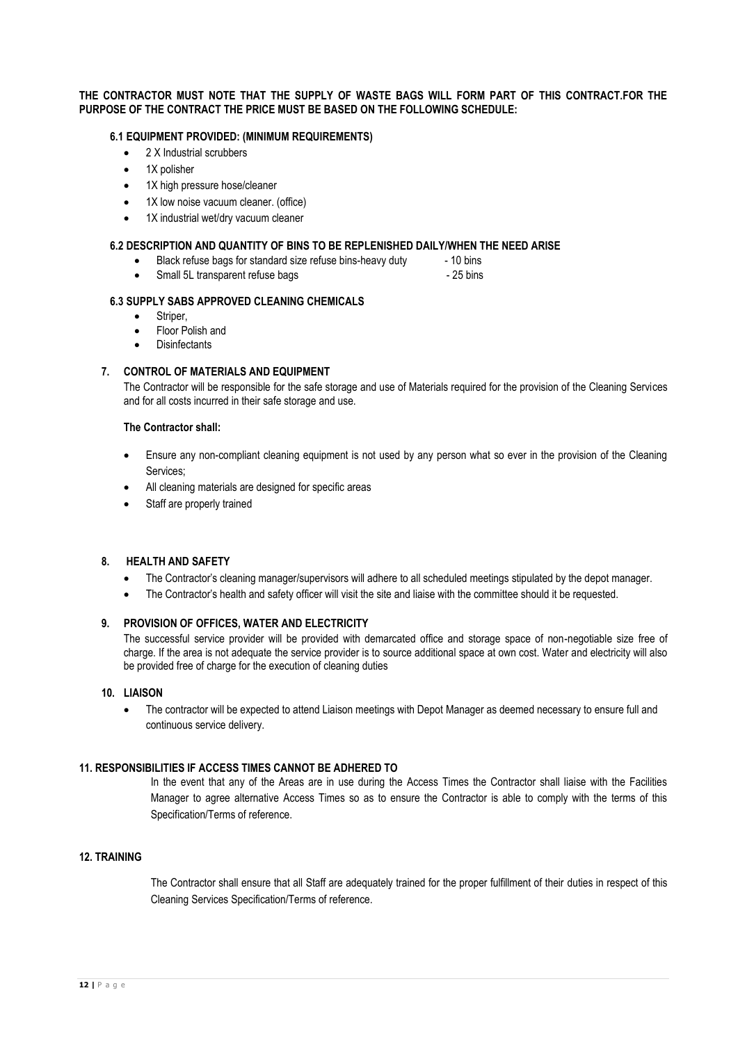#### **THE CONTRACTOR MUST NOTE THAT THE SUPPLY OF WASTE BAGS WILL FORM PART OF THIS CONTRACT.FOR THE PURPOSE OF THE CONTRACT THE PRICE MUST BE BASED ON THE FOLLOWING SCHEDULE:**

#### **6.1 EQUIPMENT PROVIDED: (MINIMUM REQUIREMENTS)**

- 2 X Industrial scrubbers
- 1X polisher
- 1X high pressure hose/cleaner
- 1X low noise vacuum cleaner. (office)
- 1X industrial wet/dry vacuum cleaner

#### **6.2 DESCRIPTION AND QUANTITY OF BINS TO BE REPLENISHED DAILY/WHEN THE NEED ARISE**

- Black refuse bags for standard size refuse bins-heavy duty 10 bins
- Small 5L transparent refuse bags 25 bins

#### **6.3 SUPPLY SABS APPROVED CLEANING CHEMICALS**

- Striper,
- Floor Polish and
- **Disinfectants**

### **7. CONTROL OF MATERIALS AND EQUIPMENT**

The Contractor will be responsible for the safe storage and use of Materials required for the provision of the Cleaning Services and for all costs incurred in their safe storage and use.

#### **The Contractor shall:**

- Ensure any non-compliant cleaning equipment is not used by any person what so ever in the provision of the Cleaning Services;
- All cleaning materials are designed for specific areas
- Staff are properly trained

### **8. HEALTH AND SAFETY**

- The Contractor's cleaning manager/supervisors will adhere to all scheduled meetings stipulated by the depot manager.
- The Contractor's health and safety officer will visit the site and liaise with the committee should it be requested.

#### **9. PROVISION OF OFFICES, WATER AND ELECTRICITY**

The successful service provider will be provided with demarcated office and storage space of non-negotiable size free of charge. If the area is not adequate the service provider is to source additional space at own cost. Water and electricity will also be provided free of charge for the execution of cleaning duties

#### **10. LIAISON**

 The contractor will be expected to attend Liaison meetings with Depot Manager as deemed necessary to ensure full and continuous service delivery.

### **11. RESPONSIBILITIES IF ACCESS TIMES CANNOT BE ADHERED TO**

In the event that any of the Areas are in use during the Access Times the Contractor shall liaise with the Facilities Manager to agree alternative Access Times so as to ensure the Contractor is able to comply with the terms of this Specification/Terms of reference.

#### **12. TRAINING**

The Contractor shall ensure that all Staff are adequately trained for the proper fulfillment of their duties in respect of this Cleaning Services Specification/Terms of reference.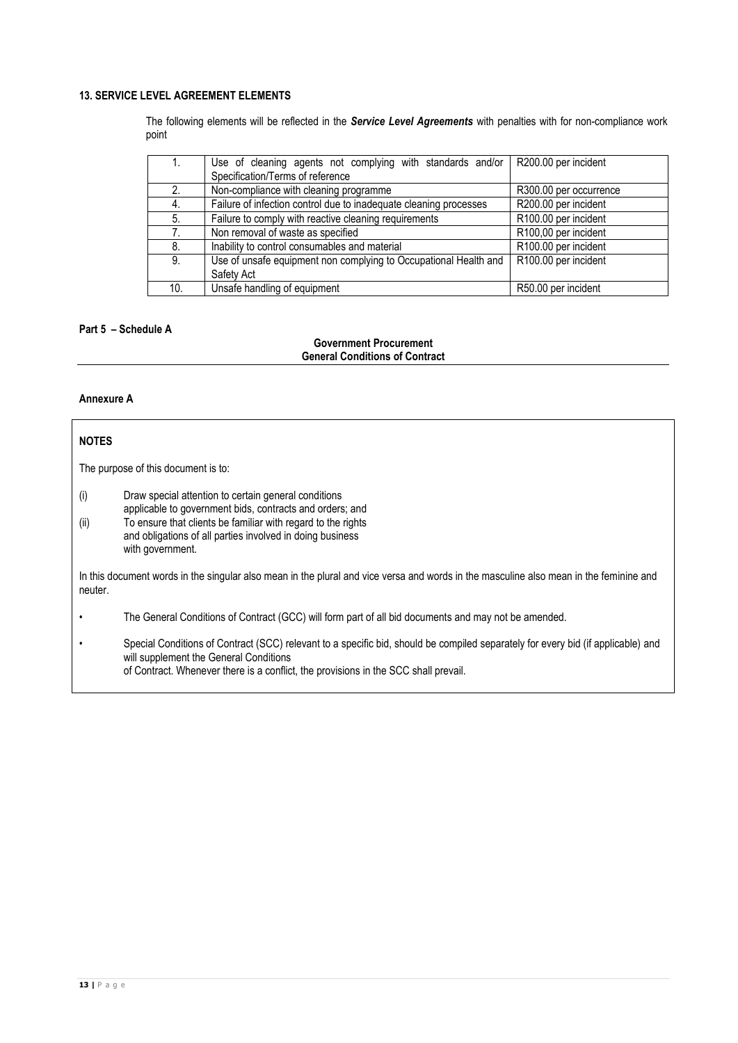# **13. SERVICE LEVEL AGREEMENT ELEMENTS**

The following elements will be reflected in the *Service Level Agreements* with penalties with for non-compliance work point

|     | Use of cleaning agents not complying with standards and/or        | R200.00 per incident   |  |  |
|-----|-------------------------------------------------------------------|------------------------|--|--|
|     | Specification/Terms of reference                                  |                        |  |  |
| 2.  | Non-compliance with cleaning programme                            | R300.00 per occurrence |  |  |
| 4.  | Failure of infection control due to inadequate cleaning processes | R200.00 per incident   |  |  |
| 5.  | Failure to comply with reactive cleaning requirements             | R100.00 per incident   |  |  |
| 7.  | Non removal of waste as specified                                 | R100,00 per incident   |  |  |
| 8.  | Inability to control consumables and material                     | R100.00 per incident   |  |  |
| 9.  | Use of unsafe equipment non complying to Occupational Health and  | R100.00 per incident   |  |  |
|     | Safety Act                                                        |                        |  |  |
| 10. | Unsafe handling of equipment                                      | R50.00 per incident    |  |  |

# **Part 5 – Schedule A**

#### **Government Procurement General Conditions of Contract**

### **Annexure A**

# **NOTES**

The purpose of this document is to:

(i) Draw special attention to certain general conditions

- applicable to government bids, contracts and orders; and
- (ii) To ensure that clients be familiar with regard to the rights and obligations of all parties involved in doing business with government.

In this document words in the singular also mean in the plural and vice versa and words in the masculine also mean in the feminine and neuter.

- The General Conditions of Contract (GCC) will form part of all bid documents and may not be amended.
- Special Conditions of Contract (SCC) relevant to a specific bid, should be compiled separately for every bid (if applicable) and will supplement the General Conditions of Contract. Whenever there is a conflict, the provisions in the SCC shall prevail.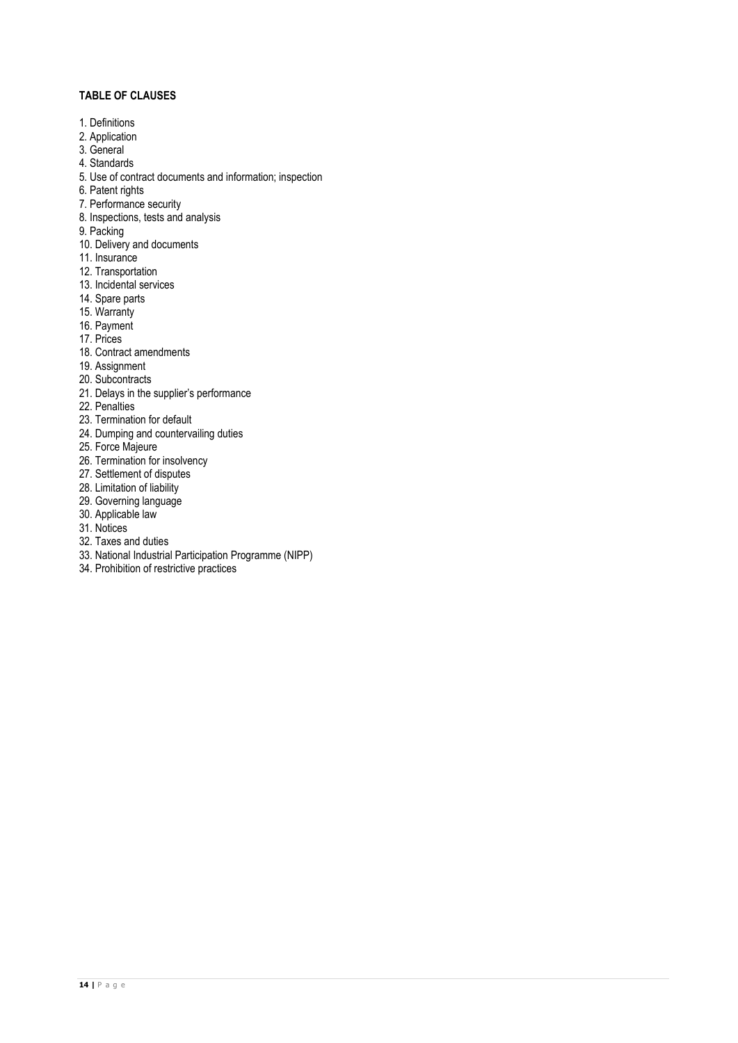# **TABLE OF CLAUSES**

- 1. Definitions
- 2. Application
- 3. General
- 4. Standards
- 5. Use of contract documents and information; inspection
- 6. Patent rights
- 7. Performance security
- 8. Inspections, tests and analysis
- 9. Packing
- 10. Delivery and documents
- 11. Insurance
- 12. Transportation
- 13. Incidental services
- 14. Spare parts
- 15. Warranty
- 16. Payment
- 17. Prices
- 18. Contract amendments
- 19. Assignment
- 20. Subcontracts
- 21. Delays in the supplier's performance
- 22. Penalties
- 23. Termination for default
- 24. Dumping and countervailing duties
- 25. Force Majeure
- 26. Termination for insolvency
- 27. Settlement of disputes
- 28. Limitation of liability
- 29. Governing language
- 30. Applicable law
- 31. Notices
- 32. Taxes and duties
- 33. National Industrial Participation Programme (NIPP)
- 34. Prohibition of restrictive practices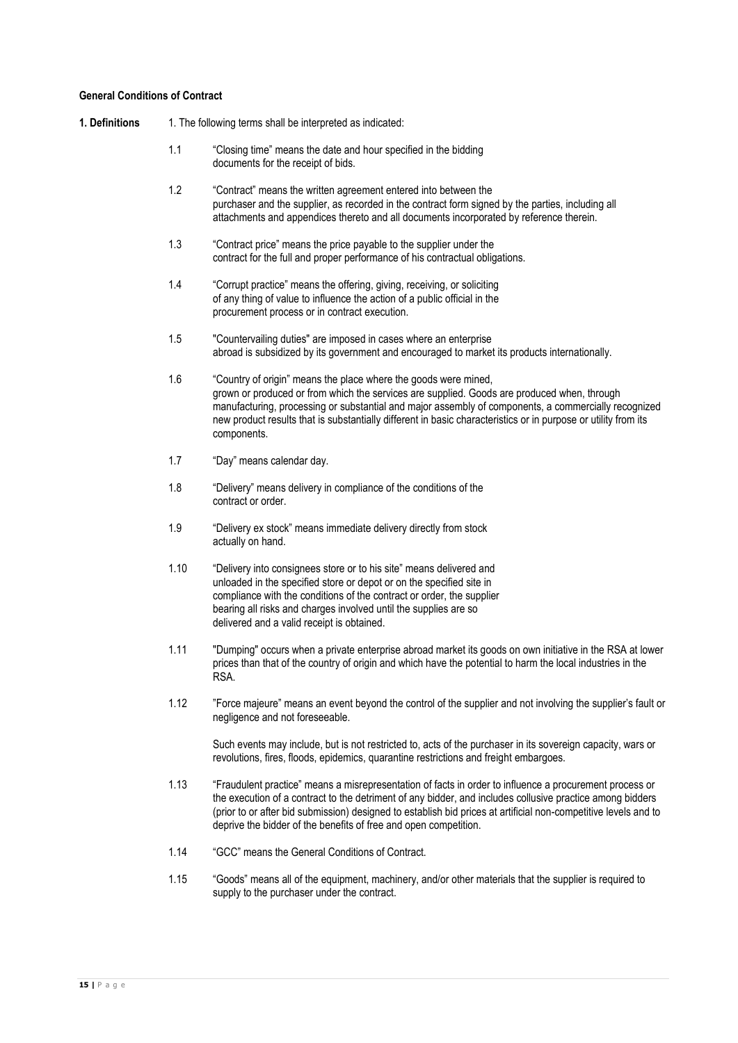#### **General Conditions of Contract**

#### **1. Definitions** 1. The following terms shall be interpreted as indicated:

- 1.1 "Closing time" means the date and hour specified in the bidding documents for the receipt of bids.
- 1.2 "Contract" means the written agreement entered into between the purchaser and the supplier, as recorded in the contract form signed by the parties, including all attachments and appendices thereto and all documents incorporated by reference therein.
- 1.3 "Contract price" means the price payable to the supplier under the contract for the full and proper performance of his contractual obligations.
- 1.4 "Corrupt practice" means the offering, giving, receiving, or soliciting of any thing of value to influence the action of a public official in the procurement process or in contract execution.
- 1.5 "Countervailing duties" are imposed in cases where an enterprise abroad is subsidized by its government and encouraged to market its products internationally.
- 1.6 "Country of origin" means the place where the goods were mined, grown or produced or from which the services are supplied. Goods are produced when, through manufacturing, processing or substantial and major assembly of components, a commercially recognized new product results that is substantially different in basic characteristics or in purpose or utility from its components.
- 1.7 "Day" means calendar day.
- 1.8 "Delivery" means delivery in compliance of the conditions of the contract or order.
- 1.9 "Delivery ex stock" means immediate delivery directly from stock actually on hand.
- 1.10 "Delivery into consignees store or to his site" means delivered and unloaded in the specified store or depot or on the specified site in compliance with the conditions of the contract or order, the supplier bearing all risks and charges involved until the supplies are so delivered and a valid receipt is obtained.
- 1.11 "Dumping" occurs when a private enterprise abroad market its goods on own initiative in the RSA at lower prices than that of the country of origin and which have the potential to harm the local industries in the RSA.
- 1.12 "Force majeure" means an event beyond the control of the supplier and not involving the supplier's fault or negligence and not foreseeable.

Such events may include, but is not restricted to, acts of the purchaser in its sovereign capacity, wars or revolutions, fires, floods, epidemics, quarantine restrictions and freight embargoes.

- 1.13 "Fraudulent practice" means a misrepresentation of facts in order to influence a procurement process or the execution of a contract to the detriment of any bidder, and includes collusive practice among bidders (prior to or after bid submission) designed to establish bid prices at artificial non-competitive levels and to deprive the bidder of the benefits of free and open competition.
- 1.14 "GCC" means the General Conditions of Contract.
- 1.15 "Goods" means all of the equipment, machinery, and/or other materials that the supplier is required to supply to the purchaser under the contract.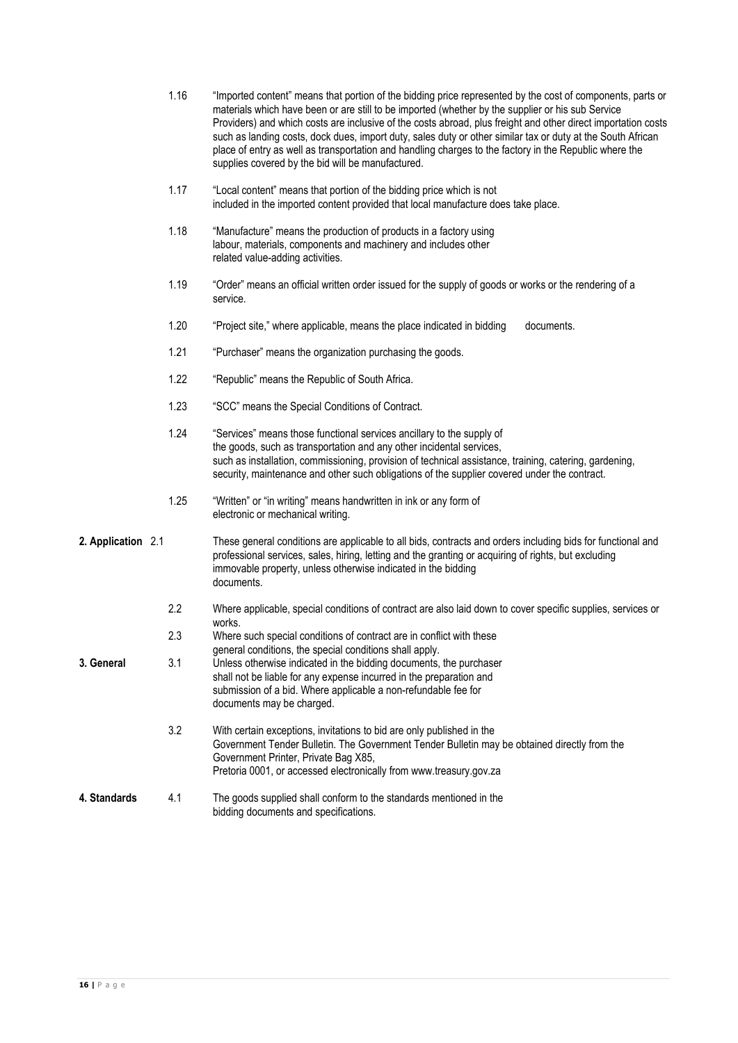|                    | 1.16 | "Imported content" means that portion of the bidding price represented by the cost of components, parts or<br>materials which have been or are still to be imported (whether by the supplier or his sub Service<br>Providers) and which costs are inclusive of the costs abroad, plus freight and other direct importation costs<br>such as landing costs, dock dues, import duty, sales duty or other similar tax or duty at the South African<br>place of entry as well as transportation and handling charges to the factory in the Republic where the<br>supplies covered by the bid will be manufactured. |
|--------------------|------|----------------------------------------------------------------------------------------------------------------------------------------------------------------------------------------------------------------------------------------------------------------------------------------------------------------------------------------------------------------------------------------------------------------------------------------------------------------------------------------------------------------------------------------------------------------------------------------------------------------|
|                    | 1.17 | "Local content" means that portion of the bidding price which is not<br>included in the imported content provided that local manufacture does take place.                                                                                                                                                                                                                                                                                                                                                                                                                                                      |
|                    | 1.18 | "Manufacture" means the production of products in a factory using<br>labour, materials, components and machinery and includes other<br>related value-adding activities.                                                                                                                                                                                                                                                                                                                                                                                                                                        |
|                    | 1.19 | "Order" means an official written order issued for the supply of goods or works or the rendering of a<br>service.                                                                                                                                                                                                                                                                                                                                                                                                                                                                                              |
|                    | 1.20 | "Project site," where applicable, means the place indicated in bidding<br>documents.                                                                                                                                                                                                                                                                                                                                                                                                                                                                                                                           |
|                    | 1.21 | "Purchaser" means the organization purchasing the goods.                                                                                                                                                                                                                                                                                                                                                                                                                                                                                                                                                       |
|                    | 1.22 | "Republic" means the Republic of South Africa.                                                                                                                                                                                                                                                                                                                                                                                                                                                                                                                                                                 |
|                    | 1.23 | "SCC" means the Special Conditions of Contract.                                                                                                                                                                                                                                                                                                                                                                                                                                                                                                                                                                |
|                    | 1.24 | "Services" means those functional services ancillary to the supply of<br>the goods, such as transportation and any other incidental services,<br>such as installation, commissioning, provision of technical assistance, training, catering, gardening,<br>security, maintenance and other such obligations of the supplier covered under the contract.                                                                                                                                                                                                                                                        |
|                    | 1.25 | "Written" or "in writing" means handwritten in ink or any form of<br>electronic or mechanical writing.                                                                                                                                                                                                                                                                                                                                                                                                                                                                                                         |
| 2. Application 2.1 |      | These general conditions are applicable to all bids, contracts and orders including bids for functional and<br>professional services, sales, hiring, letting and the granting or acquiring of rights, but excluding<br>immovable property, unless otherwise indicated in the bidding<br>documents.                                                                                                                                                                                                                                                                                                             |
|                    | 2.2  | Where applicable, special conditions of contract are also laid down to cover specific supplies, services or<br>works.                                                                                                                                                                                                                                                                                                                                                                                                                                                                                          |
|                    | 2.3  | Where such special conditions of contract are in conflict with these<br>general conditions, the special conditions shall apply.                                                                                                                                                                                                                                                                                                                                                                                                                                                                                |
| 3. General         | 3.1  | Unless otherwise indicated in the bidding documents, the purchaser<br>shall not be liable for any expense incurred in the preparation and<br>submission of a bid. Where applicable a non-refundable fee for<br>documents may be charged.                                                                                                                                                                                                                                                                                                                                                                       |
|                    | 3.2  | With certain exceptions, invitations to bid are only published in the<br>Government Tender Bulletin. The Government Tender Bulletin may be obtained directly from the<br>Government Printer, Private Bag X85,<br>Pretoria 0001, or accessed electronically from www.treasury.gov.za                                                                                                                                                                                                                                                                                                                            |
| 4. Standards       | 4.1  | The goods supplied shall conform to the standards mentioned in the<br>bidding documents and specifications.                                                                                                                                                                                                                                                                                                                                                                                                                                                                                                    |
|                    |      |                                                                                                                                                                                                                                                                                                                                                                                                                                                                                                                                                                                                                |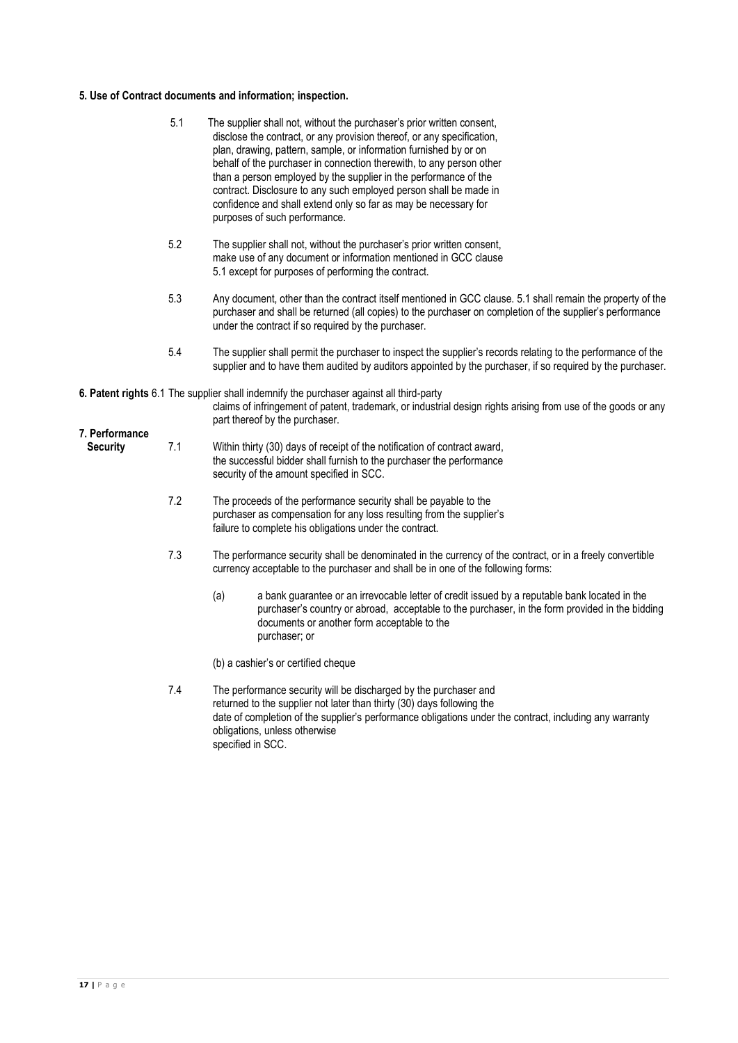# **5. Use of Contract documents and information; inspection.**

|                                   | 5.1                                                                                                                                                                                                                                                                                   | The supplier shall not, without the purchaser's prior written consent,<br>disclose the contract, or any provision thereof, or any specification,<br>plan, drawing, pattern, sample, or information furnished by or on<br>behalf of the purchaser in connection therewith, to any person other<br>than a person employed by the supplier in the performance of the<br>contract. Disclosure to any such employed person shall be made in<br>confidence and shall extend only so far as may be necessary for<br>purposes of such performance. |  |  |  |  |
|-----------------------------------|---------------------------------------------------------------------------------------------------------------------------------------------------------------------------------------------------------------------------------------------------------------------------------------|--------------------------------------------------------------------------------------------------------------------------------------------------------------------------------------------------------------------------------------------------------------------------------------------------------------------------------------------------------------------------------------------------------------------------------------------------------------------------------------------------------------------------------------------|--|--|--|--|
|                                   | 5.2                                                                                                                                                                                                                                                                                   | The supplier shall not, without the purchaser's prior written consent,<br>make use of any document or information mentioned in GCC clause<br>5.1 except for purposes of performing the contract.                                                                                                                                                                                                                                                                                                                                           |  |  |  |  |
|                                   | 5.3<br>Any document, other than the contract itself mentioned in GCC clause. 5.1 shall remain the property of the<br>purchaser and shall be returned (all copies) to the purchaser on completion of the supplier's performance<br>under the contract if so required by the purchaser. |                                                                                                                                                                                                                                                                                                                                                                                                                                                                                                                                            |  |  |  |  |
|                                   | 5.4                                                                                                                                                                                                                                                                                   | The supplier shall permit the purchaser to inspect the supplier's records relating to the performance of the<br>supplier and to have them audited by auditors appointed by the purchaser, if so required by the purchaser.                                                                                                                                                                                                                                                                                                                 |  |  |  |  |
|                                   |                                                                                                                                                                                                                                                                                       | 6. Patent rights 6.1 The supplier shall indemnify the purchaser against all third-party<br>claims of infringement of patent, trademark, or industrial design rights arising from use of the goods or any<br>part thereof by the purchaser.                                                                                                                                                                                                                                                                                                 |  |  |  |  |
| 7. Performance<br><b>Security</b> | 7.1                                                                                                                                                                                                                                                                                   | Within thirty (30) days of receipt of the notification of contract award,<br>the successful bidder shall furnish to the purchaser the performance<br>security of the amount specified in SCC.                                                                                                                                                                                                                                                                                                                                              |  |  |  |  |
|                                   | 7.2                                                                                                                                                                                                                                                                                   | The proceeds of the performance security shall be payable to the<br>purchaser as compensation for any loss resulting from the supplier's<br>failure to complete his obligations under the contract.                                                                                                                                                                                                                                                                                                                                        |  |  |  |  |
|                                   | 7.3                                                                                                                                                                                                                                                                                   | The performance security shall be denominated in the currency of the contract, or in a freely convertible<br>currency acceptable to the purchaser and shall be in one of the following forms:                                                                                                                                                                                                                                                                                                                                              |  |  |  |  |
|                                   |                                                                                                                                                                                                                                                                                       | (a)<br>a bank guarantee or an irrevocable letter of credit issued by a reputable bank located in the<br>purchaser's country or abroad, acceptable to the purchaser, in the form provided in the bidding<br>documents or another form acceptable to the<br>purchaser; or                                                                                                                                                                                                                                                                    |  |  |  |  |
|                                   |                                                                                                                                                                                                                                                                                       | (b) a cashier's or certified cheque                                                                                                                                                                                                                                                                                                                                                                                                                                                                                                        |  |  |  |  |
|                                   | 7.4                                                                                                                                                                                                                                                                                   | The performance security will be discharged by the purchaser and<br>returned to the supplier not later than thirty (30) days following the<br>date of completion of the supplier's performance obligations under the contract, including any warranty<br>obligations, unless otherwise<br>specified in SCC.                                                                                                                                                                                                                                |  |  |  |  |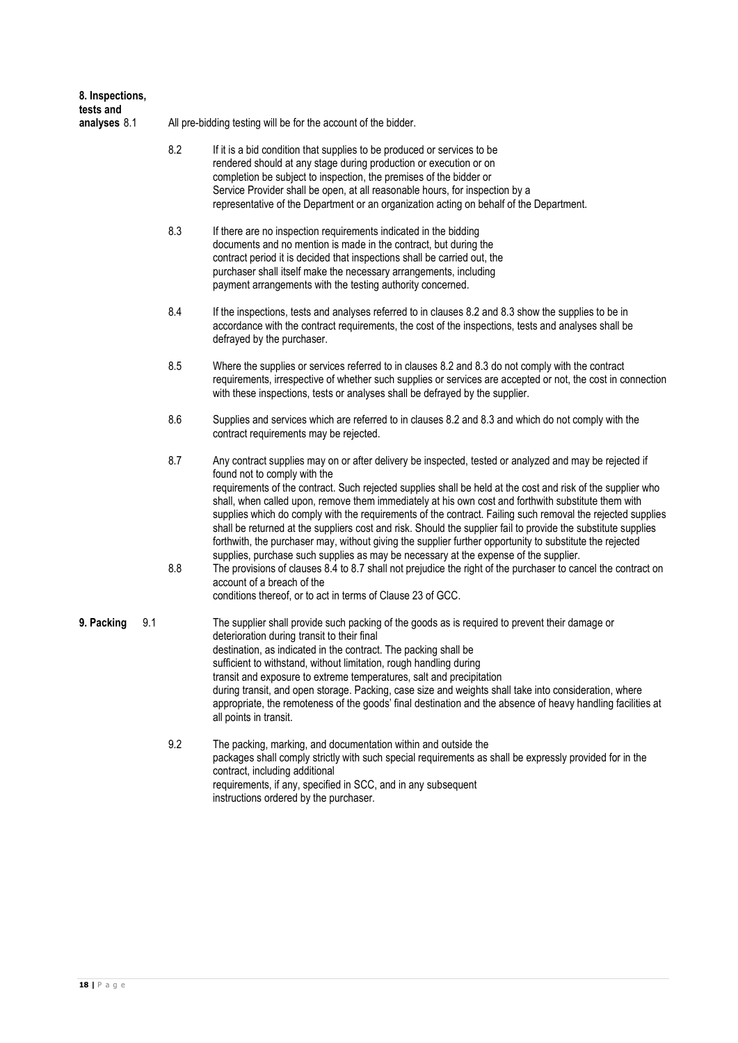| 8. Inspections,           |     |                                                                |                                                                                                                                                                                                                                                                                                                                                                                                                                                                                                                                                                                                                                                                                                                                                                                                                                                                                                                                                                                                               |  |  |  |  |  |
|---------------------------|-----|----------------------------------------------------------------|---------------------------------------------------------------------------------------------------------------------------------------------------------------------------------------------------------------------------------------------------------------------------------------------------------------------------------------------------------------------------------------------------------------------------------------------------------------------------------------------------------------------------------------------------------------------------------------------------------------------------------------------------------------------------------------------------------------------------------------------------------------------------------------------------------------------------------------------------------------------------------------------------------------------------------------------------------------------------------------------------------------|--|--|--|--|--|
| tests and<br>analyses 8.1 |     | All pre-bidding testing will be for the account of the bidder. |                                                                                                                                                                                                                                                                                                                                                                                                                                                                                                                                                                                                                                                                                                                                                                                                                                                                                                                                                                                                               |  |  |  |  |  |
|                           |     | 8.2                                                            | If it is a bid condition that supplies to be produced or services to be<br>rendered should at any stage during production or execution or on<br>completion be subject to inspection, the premises of the bidder or<br>Service Provider shall be open, at all reasonable hours, for inspection by a<br>representative of the Department or an organization acting on behalf of the Department.                                                                                                                                                                                                                                                                                                                                                                                                                                                                                                                                                                                                                 |  |  |  |  |  |
|                           |     | 8.3                                                            | If there are no inspection requirements indicated in the bidding<br>documents and no mention is made in the contract, but during the<br>contract period it is decided that inspections shall be carried out, the<br>purchaser shall itself make the necessary arrangements, including<br>payment arrangements with the testing authority concerned.                                                                                                                                                                                                                                                                                                                                                                                                                                                                                                                                                                                                                                                           |  |  |  |  |  |
|                           |     | 8.4                                                            | If the inspections, tests and analyses referred to in clauses 8.2 and 8.3 show the supplies to be in<br>accordance with the contract requirements, the cost of the inspections, tests and analyses shall be<br>defrayed by the purchaser.                                                                                                                                                                                                                                                                                                                                                                                                                                                                                                                                                                                                                                                                                                                                                                     |  |  |  |  |  |
|                           |     | 8.5                                                            | Where the supplies or services referred to in clauses 8.2 and 8.3 do not comply with the contract<br>requirements, irrespective of whether such supplies or services are accepted or not, the cost in connection<br>with these inspections, tests or analyses shall be defrayed by the supplier.                                                                                                                                                                                                                                                                                                                                                                                                                                                                                                                                                                                                                                                                                                              |  |  |  |  |  |
|                           |     | 8.6                                                            | Supplies and services which are referred to in clauses 8.2 and 8.3 and which do not comply with the<br>contract requirements may be rejected.                                                                                                                                                                                                                                                                                                                                                                                                                                                                                                                                                                                                                                                                                                                                                                                                                                                                 |  |  |  |  |  |
|                           |     | 8.7<br>8.8                                                     | Any contract supplies may on or after delivery be inspected, tested or analyzed and may be rejected if<br>found not to comply with the<br>requirements of the contract. Such rejected supplies shall be held at the cost and risk of the supplier who<br>shall, when called upon, remove them immediately at his own cost and forthwith substitute them with<br>supplies which do comply with the requirements of the contract. Failing such removal the rejected supplies<br>shall be returned at the suppliers cost and risk. Should the supplier fail to provide the substitute supplies<br>forthwith, the purchaser may, without giving the supplier further opportunity to substitute the rejected<br>supplies, purchase such supplies as may be necessary at the expense of the supplier.<br>The provisions of clauses 8.4 to 8.7 shall not prejudice the right of the purchaser to cancel the contract on<br>account of a breach of the<br>conditions thereof, or to act in terms of Clause 23 of GCC. |  |  |  |  |  |
| 9. Packing                | 9.1 |                                                                | The supplier shall provide such packing of the goods as is required to prevent their damage or<br>deterioration during transit to their final<br>destination, as indicated in the contract. The packing shall be<br>sufficient to withstand, without limitation, rough handling during<br>transit and exposure to extreme temperatures, salt and precipitation<br>during transit, and open storage. Packing, case size and weights shall take into consideration, where<br>appropriate, the remoteness of the goods' final destination and the absence of heavy handling facilities at<br>all points in transit.                                                                                                                                                                                                                                                                                                                                                                                              |  |  |  |  |  |
|                           |     | 9.2                                                            | The packing, marking, and documentation within and outside the<br>packages shall comply strictly with such special requirements as shall be expressly provided for in the<br>contract, including additional<br>requirements, if any, specified in SCC, and in any subsequent<br>instructions ordered by the purchaser.                                                                                                                                                                                                                                                                                                                                                                                                                                                                                                                                                                                                                                                                                        |  |  |  |  |  |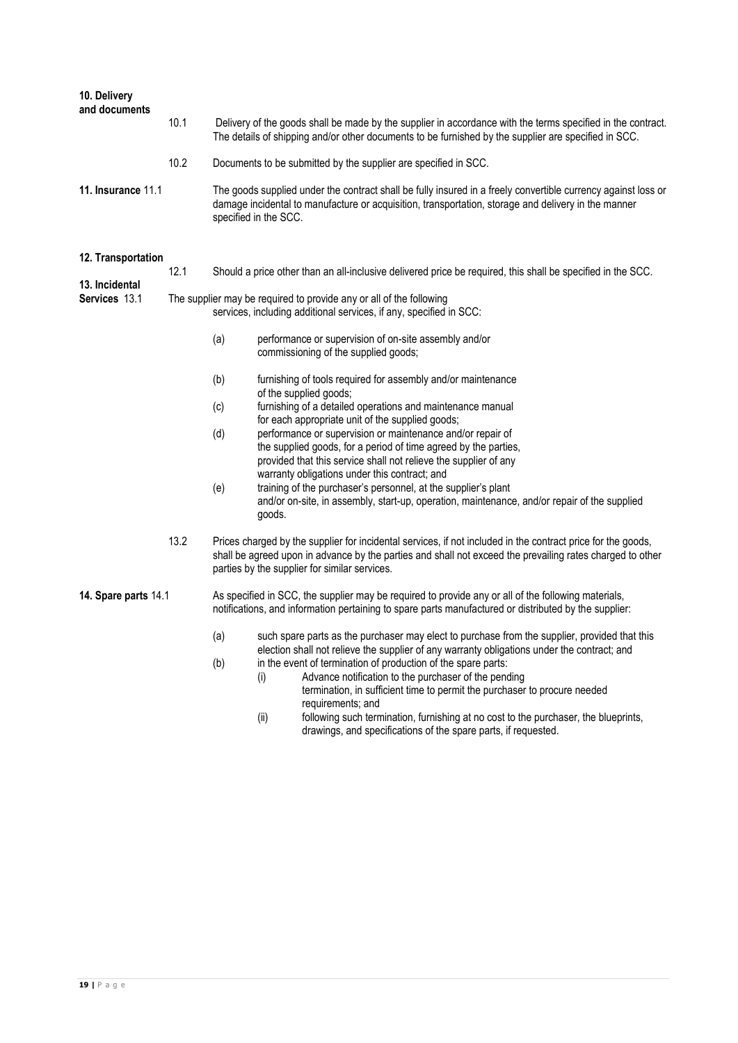| 10. Delivery<br>and documents                                                                                                                                                                                                                                              |      |                                                                                                                                           |                                                                                                                                                                                                                                                                                                                               |  |  |  |  |
|----------------------------------------------------------------------------------------------------------------------------------------------------------------------------------------------------------------------------------------------------------------------------|------|-------------------------------------------------------------------------------------------------------------------------------------------|-------------------------------------------------------------------------------------------------------------------------------------------------------------------------------------------------------------------------------------------------------------------------------------------------------------------------------|--|--|--|--|
|                                                                                                                                                                                                                                                                            | 10.1 |                                                                                                                                           | Delivery of the goods shall be made by the supplier in accordance with the terms specified in the contract.<br>The details of shipping and/or other documents to be furnished by the supplier are specified in SCC.                                                                                                           |  |  |  |  |
|                                                                                                                                                                                                                                                                            | 10.2 |                                                                                                                                           | Documents to be submitted by the supplier are specified in SCC.                                                                                                                                                                                                                                                               |  |  |  |  |
| <b>11. Insurance 11.1</b><br>The goods supplied under the contract shall be fully insured in a freely convertible currency against loss or<br>damage incidental to manufacture or acquisition, transportation, storage and delivery in the manner<br>specified in the SCC. |      |                                                                                                                                           |                                                                                                                                                                                                                                                                                                                               |  |  |  |  |
| 12. Transportation                                                                                                                                                                                                                                                         |      |                                                                                                                                           |                                                                                                                                                                                                                                                                                                                               |  |  |  |  |
|                                                                                                                                                                                                                                                                            | 12.1 |                                                                                                                                           | Should a price other than an all-inclusive delivered price be required, this shall be specified in the SCC.                                                                                                                                                                                                                   |  |  |  |  |
| 13. Incidental<br><b>Services 13.1</b>                                                                                                                                                                                                                                     |      | The supplier may be required to provide any or all of the following<br>services, including additional services, if any, specified in SCC: |                                                                                                                                                                                                                                                                                                                               |  |  |  |  |
|                                                                                                                                                                                                                                                                            |      | (a)                                                                                                                                       | performance or supervision of on-site assembly and/or<br>commissioning of the supplied goods;                                                                                                                                                                                                                                 |  |  |  |  |
|                                                                                                                                                                                                                                                                            |      | (b)                                                                                                                                       | furnishing of tools required for assembly and/or maintenance<br>of the supplied goods;                                                                                                                                                                                                                                        |  |  |  |  |
|                                                                                                                                                                                                                                                                            |      | (c)                                                                                                                                       | furnishing of a detailed operations and maintenance manual                                                                                                                                                                                                                                                                    |  |  |  |  |
|                                                                                                                                                                                                                                                                            |      | (d)                                                                                                                                       | for each appropriate unit of the supplied goods;<br>performance or supervision or maintenance and/or repair of<br>the supplied goods, for a period of time agreed by the parties,<br>provided that this service shall not relieve the supplier of any                                                                         |  |  |  |  |
|                                                                                                                                                                                                                                                                            |      | (e)                                                                                                                                       | warranty obligations under this contract; and<br>training of the purchaser's personnel, at the supplier's plant<br>and/or on-site, in assembly, start-up, operation, maintenance, and/or repair of the supplied<br>goods.                                                                                                     |  |  |  |  |
|                                                                                                                                                                                                                                                                            | 13.2 |                                                                                                                                           | Prices charged by the supplier for incidental services, if not included in the contract price for the goods,<br>shall be agreed upon in advance by the parties and shall not exceed the prevailing rates charged to other<br>parties by the supplier for similar services.                                                    |  |  |  |  |
| 14. Spare parts 14.1                                                                                                                                                                                                                                                       |      |                                                                                                                                           | As specified in SCC, the supplier may be required to provide any or all of the following materials,<br>notifications, and information pertaining to spare parts manufactured or distributed by the supplier:                                                                                                                  |  |  |  |  |
|                                                                                                                                                                                                                                                                            |      | (a)                                                                                                                                       | such spare parts as the purchaser may elect to purchase from the supplier, provided that this<br>election shall not relieve the supplier of any warranty obligations under the contract; and                                                                                                                                  |  |  |  |  |
|                                                                                                                                                                                                                                                                            |      | (b)                                                                                                                                       | in the event of termination of production of the spare parts:<br>Advance notification to the purchaser of the pending<br>(i)<br>termination, in sufficient time to permit the purchaser to procure needed<br>requirements; and<br>following such termination, furnishing at no cost to the purchaser, the blueprints,<br>(ii) |  |  |  |  |
|                                                                                                                                                                                                                                                                            |      |                                                                                                                                           | drawings, and specifications of the spare parts, if requested.                                                                                                                                                                                                                                                                |  |  |  |  |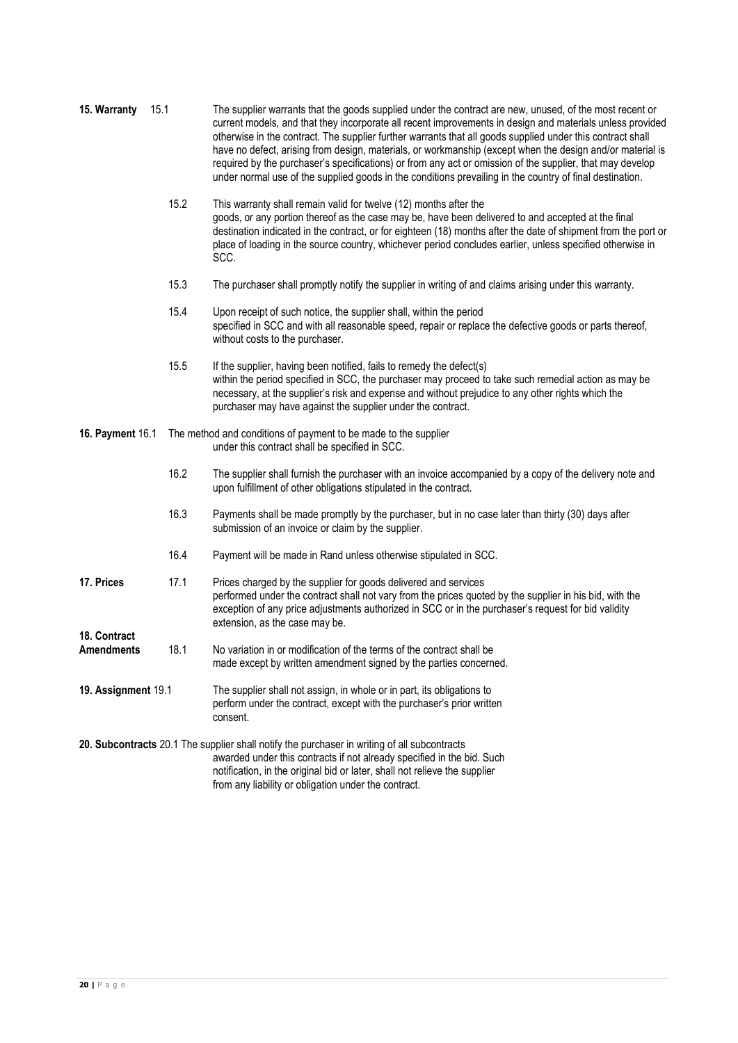| 15. Warranty                      | 15.1 | The supplier warrants that the goods supplied under the contract are new, unused, of the most recent or<br>current models, and that they incorporate all recent improvements in design and materials unless provided<br>otherwise in the contract. The supplier further warrants that all goods supplied under this contract shall<br>have no defect, arising from design, materials, or workmanship (except when the design and/or material is<br>required by the purchaser's specifications) or from any act or omission of the supplier, that may develop<br>under normal use of the supplied goods in the conditions prevailing in the country of final destination. |  |  |  |  |  |
|-----------------------------------|------|--------------------------------------------------------------------------------------------------------------------------------------------------------------------------------------------------------------------------------------------------------------------------------------------------------------------------------------------------------------------------------------------------------------------------------------------------------------------------------------------------------------------------------------------------------------------------------------------------------------------------------------------------------------------------|--|--|--|--|--|
|                                   | 15.2 | This warranty shall remain valid for twelve (12) months after the<br>goods, or any portion thereof as the case may be, have been delivered to and accepted at the final<br>destination indicated in the contract, or for eighteen (18) months after the date of shipment from the port or<br>place of loading in the source country, whichever period concludes earlier, unless specified otherwise in<br>SCC.                                                                                                                                                                                                                                                           |  |  |  |  |  |
|                                   | 15.3 | The purchaser shall promptly notify the supplier in writing of and claims arising under this warranty.                                                                                                                                                                                                                                                                                                                                                                                                                                                                                                                                                                   |  |  |  |  |  |
|                                   | 15.4 | Upon receipt of such notice, the supplier shall, within the period<br>specified in SCC and with all reasonable speed, repair or replace the defective goods or parts thereof,<br>without costs to the purchaser.                                                                                                                                                                                                                                                                                                                                                                                                                                                         |  |  |  |  |  |
|                                   | 15.5 | If the supplier, having been notified, fails to remedy the defect(s)<br>within the period specified in SCC, the purchaser may proceed to take such remedial action as may be<br>necessary, at the supplier's risk and expense and without prejudice to any other rights which the<br>purchaser may have against the supplier under the contract.                                                                                                                                                                                                                                                                                                                         |  |  |  |  |  |
| 16. Payment 16.1                  |      | The method and conditions of payment to be made to the supplier<br>under this contract shall be specified in SCC.                                                                                                                                                                                                                                                                                                                                                                                                                                                                                                                                                        |  |  |  |  |  |
|                                   | 16.2 | The supplier shall furnish the purchaser with an invoice accompanied by a copy of the delivery note and<br>upon fulfillment of other obligations stipulated in the contract.                                                                                                                                                                                                                                                                                                                                                                                                                                                                                             |  |  |  |  |  |
|                                   | 16.3 | Payments shall be made promptly by the purchaser, but in no case later than thirty (30) days after<br>submission of an invoice or claim by the supplier.                                                                                                                                                                                                                                                                                                                                                                                                                                                                                                                 |  |  |  |  |  |
|                                   | 16.4 | Payment will be made in Rand unless otherwise stipulated in SCC.                                                                                                                                                                                                                                                                                                                                                                                                                                                                                                                                                                                                         |  |  |  |  |  |
| 17. Prices                        | 17.1 | Prices charged by the supplier for goods delivered and services<br>performed under the contract shall not vary from the prices quoted by the supplier in his bid, with the<br>exception of any price adjustments authorized in SCC or in the purchaser's request for bid validity<br>extension, as the case may be.                                                                                                                                                                                                                                                                                                                                                      |  |  |  |  |  |
| 18. Contract<br><b>Amendments</b> | 18.1 | No variation in or modification of the terms of the contract shall be<br>made except by written amendment signed by the parties concerned.                                                                                                                                                                                                                                                                                                                                                                                                                                                                                                                               |  |  |  |  |  |
| 19. Assignment 19.1               |      | The supplier shall not assign, in whole or in part, its obligations to<br>perform under the contract, except with the purchaser's prior written<br>consent.                                                                                                                                                                                                                                                                                                                                                                                                                                                                                                              |  |  |  |  |  |
|                                   |      | 20. Subcontracts 20.1 The supplier shall notify the purchaser in writing of all subcontracts<br>awarded under this contracts if not already specified in the bid. Such<br>notification, in the original bid or later, shall not relieve the supplier<br>from any liability or obligation under the contract.                                                                                                                                                                                                                                                                                                                                                             |  |  |  |  |  |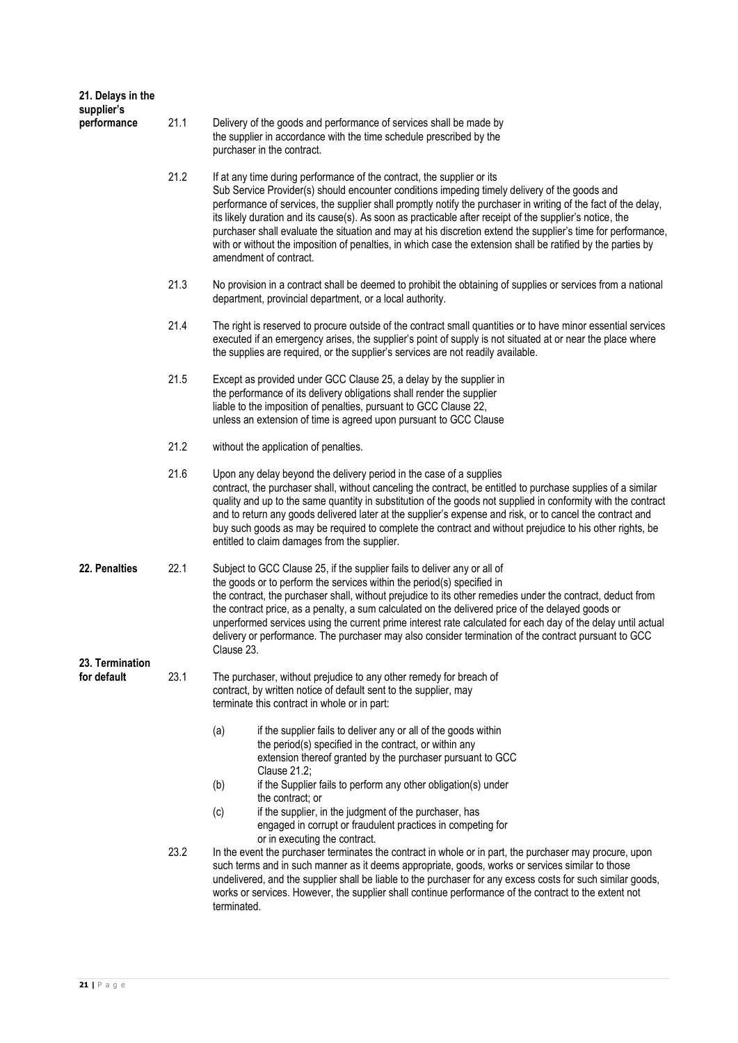| 21. Delays in the<br>supplier's |      |                                                                                                                                                                                                                                                                                                                                                                                                                                                                                                                                                                                                                                                                 |  |  |  |  |  |
|---------------------------------|------|-----------------------------------------------------------------------------------------------------------------------------------------------------------------------------------------------------------------------------------------------------------------------------------------------------------------------------------------------------------------------------------------------------------------------------------------------------------------------------------------------------------------------------------------------------------------------------------------------------------------------------------------------------------------|--|--|--|--|--|
| performance                     | 21.1 | Delivery of the goods and performance of services shall be made by<br>the supplier in accordance with the time schedule prescribed by the<br>purchaser in the contract.                                                                                                                                                                                                                                                                                                                                                                                                                                                                                         |  |  |  |  |  |
|                                 | 21.2 | If at any time during performance of the contract, the supplier or its<br>Sub Service Provider(s) should encounter conditions impeding timely delivery of the goods and<br>performance of services, the supplier shall promptly notify the purchaser in writing of the fact of the delay,<br>its likely duration and its cause(s). As soon as practicable after receipt of the supplier's notice, the<br>purchaser shall evaluate the situation and may at his discretion extend the supplier's time for performance,<br>with or without the imposition of penalties, in which case the extension shall be ratified by the parties by<br>amendment of contract. |  |  |  |  |  |
|                                 | 21.3 | No provision in a contract shall be deemed to prohibit the obtaining of supplies or services from a national<br>department, provincial department, or a local authority.                                                                                                                                                                                                                                                                                                                                                                                                                                                                                        |  |  |  |  |  |
|                                 | 21.4 | The right is reserved to procure outside of the contract small quantities or to have minor essential services<br>executed if an emergency arises, the supplier's point of supply is not situated at or near the place where<br>the supplies are required, or the supplier's services are not readily available.                                                                                                                                                                                                                                                                                                                                                 |  |  |  |  |  |
|                                 | 21.5 | Except as provided under GCC Clause 25, a delay by the supplier in<br>the performance of its delivery obligations shall render the supplier<br>liable to the imposition of penalties, pursuant to GCC Clause 22,<br>unless an extension of time is agreed upon pursuant to GCC Clause                                                                                                                                                                                                                                                                                                                                                                           |  |  |  |  |  |
|                                 | 21.2 | without the application of penalties.                                                                                                                                                                                                                                                                                                                                                                                                                                                                                                                                                                                                                           |  |  |  |  |  |
|                                 | 21.6 | Upon any delay beyond the delivery period in the case of a supplies<br>contract, the purchaser shall, without canceling the contract, be entitled to purchase supplies of a similar<br>quality and up to the same quantity in substitution of the goods not supplied in conformity with the contract<br>and to return any goods delivered later at the supplier's expense and risk, or to cancel the contract and<br>buy such goods as may be required to complete the contract and without prejudice to his other rights, be<br>entitled to claim damages from the supplier.                                                                                   |  |  |  |  |  |
| 22. Penalties                   | 22.1 | Subject to GCC Clause 25, if the supplier fails to deliver any or all of<br>the goods or to perform the services within the period(s) specified in<br>the contract, the purchaser shall, without prejudice to its other remedies under the contract, deduct from<br>the contract price, as a penalty, a sum calculated on the delivered price of the delayed goods or<br>unperformed services using the current prime interest rate calculated for each day of the delay until actual<br>delivery or performance. The purchaser may also consider termination of the contract pursuant to GCC<br>Clause 23.                                                     |  |  |  |  |  |
| 23. Termination                 |      |                                                                                                                                                                                                                                                                                                                                                                                                                                                                                                                                                                                                                                                                 |  |  |  |  |  |
| for default                     | 23.1 | The purchaser, without prejudice to any other remedy for breach of<br>contract, by written notice of default sent to the supplier, may<br>terminate this contract in whole or in part:                                                                                                                                                                                                                                                                                                                                                                                                                                                                          |  |  |  |  |  |
|                                 |      | (a)<br>if the supplier fails to deliver any or all of the goods within<br>the period(s) specified in the contract, or within any<br>extension thereof granted by the purchaser pursuant to GCC<br>Clause 21.2;                                                                                                                                                                                                                                                                                                                                                                                                                                                  |  |  |  |  |  |
|                                 |      | if the Supplier fails to perform any other obligation(s) under<br>(b)<br>the contract; or                                                                                                                                                                                                                                                                                                                                                                                                                                                                                                                                                                       |  |  |  |  |  |
|                                 |      | if the supplier, in the judgment of the purchaser, has<br>(c)<br>engaged in corrupt or fraudulent practices in competing for<br>or in executing the contract.                                                                                                                                                                                                                                                                                                                                                                                                                                                                                                   |  |  |  |  |  |
|                                 | 23.2 | In the event the purchaser terminates the contract in whole or in part, the purchaser may procure, upon<br>such terms and in such manner as it deems appropriate, goods, works or services similar to those<br>undelivered, and the supplier shall be liable to the purchaser for any excess costs for such similar goods,<br>works or services. However, the supplier shall continue performance of the contract to the extent not<br>terminated.                                                                                                                                                                                                              |  |  |  |  |  |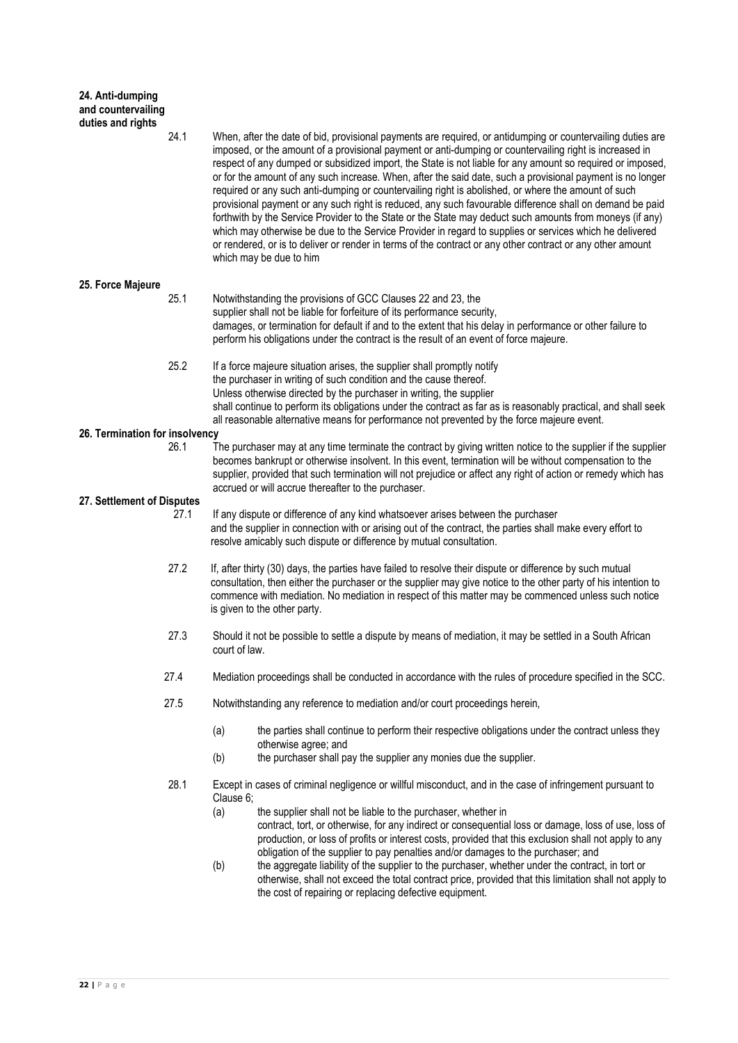| 24. Anti-dumping<br>and countervailing<br>duties and rights |      |               |                                                                                                                                                                                                                                                                                                                                                                                                                                                                                                                                                                                                                                                                                                                                                                                                                                                                                                                                                                                                                                       |
|-------------------------------------------------------------|------|---------------|---------------------------------------------------------------------------------------------------------------------------------------------------------------------------------------------------------------------------------------------------------------------------------------------------------------------------------------------------------------------------------------------------------------------------------------------------------------------------------------------------------------------------------------------------------------------------------------------------------------------------------------------------------------------------------------------------------------------------------------------------------------------------------------------------------------------------------------------------------------------------------------------------------------------------------------------------------------------------------------------------------------------------------------|
|                                                             | 24.1 |               | When, after the date of bid, provisional payments are required, or antidumping or countervailing duties are<br>imposed, or the amount of a provisional payment or anti-dumping or countervailing right is increased in<br>respect of any dumped or subsidized import, the State is not liable for any amount so required or imposed,<br>or for the amount of any such increase. When, after the said date, such a provisional payment is no longer<br>required or any such anti-dumping or countervailing right is abolished, or where the amount of such<br>provisional payment or any such right is reduced, any such favourable difference shall on demand be paid<br>forthwith by the Service Provider to the State or the State may deduct such amounts from moneys (if any)<br>which may otherwise be due to the Service Provider in regard to supplies or services which he delivered<br>or rendered, or is to deliver or render in terms of the contract or any other contract or any other amount<br>which may be due to him |
| 25. Force Majeure                                           |      |               |                                                                                                                                                                                                                                                                                                                                                                                                                                                                                                                                                                                                                                                                                                                                                                                                                                                                                                                                                                                                                                       |
|                                                             | 25.1 |               | Notwithstanding the provisions of GCC Clauses 22 and 23, the<br>supplier shall not be liable for forfeiture of its performance security,<br>damages, or termination for default if and to the extent that his delay in performance or other failure to<br>perform his obligations under the contract is the result of an event of force majeure.                                                                                                                                                                                                                                                                                                                                                                                                                                                                                                                                                                                                                                                                                      |
|                                                             | 25.2 |               | If a force majeure situation arises, the supplier shall promptly notify<br>the purchaser in writing of such condition and the cause thereof.<br>Unless otherwise directed by the purchaser in writing, the supplier                                                                                                                                                                                                                                                                                                                                                                                                                                                                                                                                                                                                                                                                                                                                                                                                                   |
|                                                             |      |               | shall continue to perform its obligations under the contract as far as is reasonably practical, and shall seek<br>all reasonable alternative means for performance not prevented by the force majeure event.                                                                                                                                                                                                                                                                                                                                                                                                                                                                                                                                                                                                                                                                                                                                                                                                                          |
| 26. Termination for insolvency                              |      |               |                                                                                                                                                                                                                                                                                                                                                                                                                                                                                                                                                                                                                                                                                                                                                                                                                                                                                                                                                                                                                                       |
|                                                             | 26.1 |               | The purchaser may at any time terminate the contract by giving written notice to the supplier if the supplier<br>becomes bankrupt or otherwise insolvent. In this event, termination will be without compensation to the<br>supplier, provided that such termination will not prejudice or affect any right of action or remedy which has<br>accrued or will accrue thereafter to the purchaser.                                                                                                                                                                                                                                                                                                                                                                                                                                                                                                                                                                                                                                      |
| 27. Settlement of Disputes                                  |      |               |                                                                                                                                                                                                                                                                                                                                                                                                                                                                                                                                                                                                                                                                                                                                                                                                                                                                                                                                                                                                                                       |
|                                                             | 27.1 |               | If any dispute or difference of any kind whatsoever arises between the purchaser<br>and the supplier in connection with or arising out of the contract, the parties shall make every effort to<br>resolve amicably such dispute or difference by mutual consultation.                                                                                                                                                                                                                                                                                                                                                                                                                                                                                                                                                                                                                                                                                                                                                                 |
|                                                             | 27.2 |               | If, after thirty (30) days, the parties have failed to resolve their dispute or difference by such mutual<br>consultation, then either the purchaser or the supplier may give notice to the other party of his intention to<br>commence with mediation. No mediation in respect of this matter may be commenced unless such notice<br>is given to the other party.                                                                                                                                                                                                                                                                                                                                                                                                                                                                                                                                                                                                                                                                    |
|                                                             | 27.3 | court of law. | Should it not be possible to settle a dispute by means of mediation, it may be settled in a South African                                                                                                                                                                                                                                                                                                                                                                                                                                                                                                                                                                                                                                                                                                                                                                                                                                                                                                                             |
|                                                             | 27.4 |               | Mediation proceedings shall be conducted in accordance with the rules of procedure specified in the SCC.                                                                                                                                                                                                                                                                                                                                                                                                                                                                                                                                                                                                                                                                                                                                                                                                                                                                                                                              |
|                                                             | 27.5 |               | Notwithstanding any reference to mediation and/or court proceedings herein,                                                                                                                                                                                                                                                                                                                                                                                                                                                                                                                                                                                                                                                                                                                                                                                                                                                                                                                                                           |
|                                                             |      | (a)           | the parties shall continue to perform their respective obligations under the contract unless they<br>otherwise agree; and                                                                                                                                                                                                                                                                                                                                                                                                                                                                                                                                                                                                                                                                                                                                                                                                                                                                                                             |
|                                                             |      | (b)           | the purchaser shall pay the supplier any monies due the supplier.                                                                                                                                                                                                                                                                                                                                                                                                                                                                                                                                                                                                                                                                                                                                                                                                                                                                                                                                                                     |
|                                                             | 28.1 | Clause 6;     | Except in cases of criminal negligence or willful misconduct, and in the case of infringement pursuant to                                                                                                                                                                                                                                                                                                                                                                                                                                                                                                                                                                                                                                                                                                                                                                                                                                                                                                                             |
|                                                             |      | (a)           | the supplier shall not be liable to the purchaser, whether in<br>contract, tort, or otherwise, for any indirect or consequential loss or damage, loss of use, loss of<br>production, or loss of profits or interest costs, provided that this exclusion shall not apply to any                                                                                                                                                                                                                                                                                                                                                                                                                                                                                                                                                                                                                                                                                                                                                        |
|                                                             |      | (b)           | obligation of the supplier to pay penalties and/or damages to the purchaser; and<br>the aggregate liability of the supplier to the purchaser, whether under the contract, in tort or<br>otherwise, shall not exceed the total contract price, provided that this limitation shall not apply to<br>the cost of repairing or replacing defective equipment.                                                                                                                                                                                                                                                                                                                                                                                                                                                                                                                                                                                                                                                                             |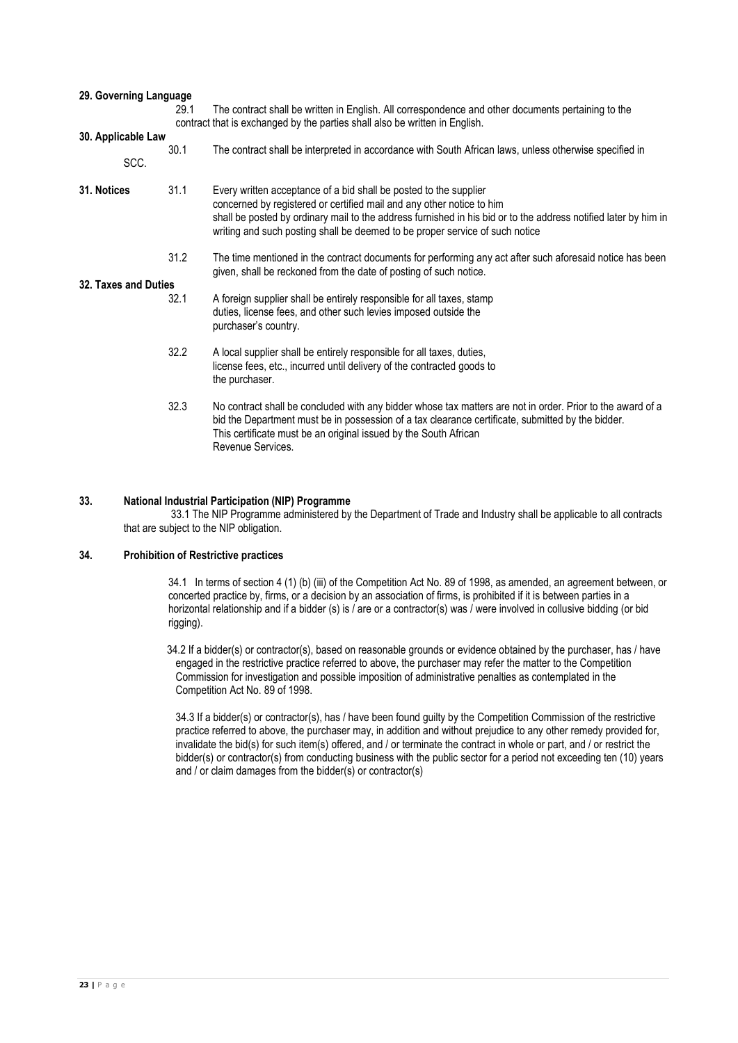| 29. Governing Language     | 29.1 | The contract shall be written in English. All correspondence and other documents pertaining to the<br>contract that is exchanged by the parties shall also be written in English.                                                                                                                                                             |  |  |  |  |  |  |
|----------------------------|------|-----------------------------------------------------------------------------------------------------------------------------------------------------------------------------------------------------------------------------------------------------------------------------------------------------------------------------------------------|--|--|--|--|--|--|
| 30. Applicable Law<br>SCC. | 30.1 | The contract shall be interpreted in accordance with South African laws, unless otherwise specified in                                                                                                                                                                                                                                        |  |  |  |  |  |  |
| 31. Notices                | 31.1 | Every written acceptance of a bid shall be posted to the supplier<br>concerned by registered or certified mail and any other notice to him<br>shall be posted by ordinary mail to the address furnished in his bid or to the address notified later by him in<br>writing and such posting shall be deemed to be proper service of such notice |  |  |  |  |  |  |
|                            | 31.2 | The time mentioned in the contract documents for performing any act after such aforesaid notice has been<br>given, shall be reckoned from the date of posting of such notice.                                                                                                                                                                 |  |  |  |  |  |  |
| 32. Taxes and Duties       |      |                                                                                                                                                                                                                                                                                                                                               |  |  |  |  |  |  |
|                            | 32.1 | A foreign supplier shall be entirely responsible for all taxes, stamp<br>duties, license fees, and other such levies imposed outside the<br>purchaser's country.                                                                                                                                                                              |  |  |  |  |  |  |
|                            | 32.2 | A local supplier shall be entirely responsible for all taxes, duties,<br>license fees, etc., incurred until delivery of the contracted goods to<br>the purchaser.                                                                                                                                                                             |  |  |  |  |  |  |
|                            | 32.3 | No contract shall be concluded with any bidder whose tax matters are not in order. Prior to the award of a<br>bid the Department must be in possession of a tax clearance certificate, submitted by the bidder.<br>This certificate must be an original issued by the South African<br>Revenue Services.                                      |  |  |  |  |  |  |

#### **33. National Industrial Participation (NIP) Programme**

33.1 The NIP Programme administered by the Department of Trade and Industry shall be applicable to all contracts that are subject to the NIP obligation.

#### **34. Prohibition of Restrictive practices**

34.1 In terms of section 4 (1) (b) (iii) of the Competition Act No. 89 of 1998, as amended, an agreement between, or concerted practice by, firms, or a decision by an association of firms, is prohibited if it is between parties in a horizontal relationship and if a bidder (s) is / are or a contractor(s) was / were involved in collusive bidding (or bid rigging).

34.2 If a bidder(s) or contractor(s), based on reasonable grounds or evidence obtained by the purchaser, has / have engaged in the restrictive practice referred to above, the purchaser may refer the matter to the Competition Commission for investigation and possible imposition of administrative penalties as contemplated in the Competition Act No. 89 of 1998.

34.3 If a bidder(s) or contractor(s), has / have been found guilty by the Competition Commission of the restrictive practice referred to above, the purchaser may, in addition and without prejudice to any other remedy provided for, invalidate the bid(s) for such item(s) offered, and / or terminate the contract in whole or part, and / or restrict the bidder(s) or contractor(s) from conducting business with the public sector for a period not exceeding ten (10) years and / or claim damages from the bidder(s) or contractor(s)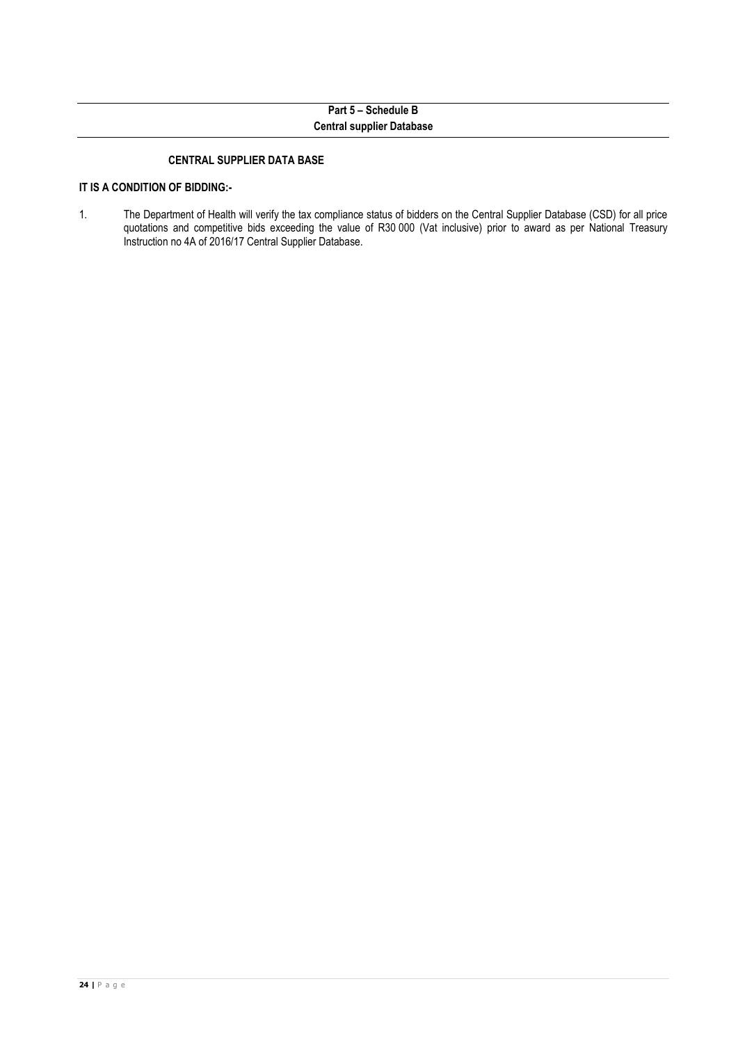# **Part 5 – Schedule B Central supplier Database**

### **CENTRAL SUPPLIER DATA BASE**

# **IT IS A CONDITION OF BIDDING:-**

1. The Department of Health will verify the tax compliance status of bidders on the Central Supplier Database (CSD) for all price quotations and competitive bids exceeding the value of R30 000 (Vat inclusive) prior to award as per National Treasury Instruction no 4A of 2016/17 Central Supplier Database.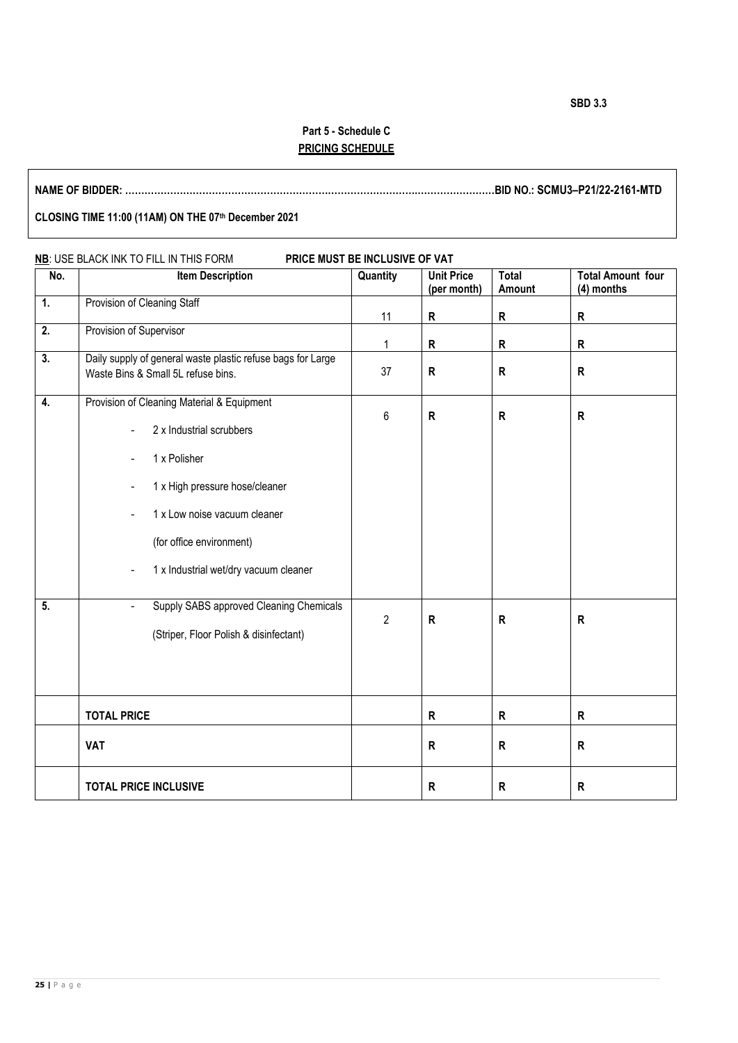# **Part 5 - Schedule C PRICING SCHEDULE**

**NAME OF BIDDER: ……………………………………………………………………………….……………………BID NO.: SCMU3–P21/22-2161-MTD**

# **CLOSING TIME 11:00 (11AM) ON THE 07th December 2021**

| No.              | <b>Item Description</b>                                                                                                                                                                                                                                                                                               | Quantity       | <b>Unit Price</b> | <b>Total</b> | <b>Total Amount four</b> |
|------------------|-----------------------------------------------------------------------------------------------------------------------------------------------------------------------------------------------------------------------------------------------------------------------------------------------------------------------|----------------|-------------------|--------------|--------------------------|
|                  |                                                                                                                                                                                                                                                                                                                       |                | (per month)       | Amount       | (4) months               |
| $\overline{1}$ . | Provision of Cleaning Staff                                                                                                                                                                                                                                                                                           | 11             | R                 | R            | $\mathsf{R}$             |
| 2.               | Provision of Supervisor                                                                                                                                                                                                                                                                                               | 1              | R                 | R            | R                        |
| 3.               | Daily supply of general waste plastic refuse bags for Large<br>Waste Bins & Small 5L refuse bins.                                                                                                                                                                                                                     | 37             | $\mathsf R$       | $\mathsf{R}$ | R                        |
| 4.               | Provision of Cleaning Material & Equipment<br>2 x Industrial scrubbers<br>1 x Polisher<br>$\overline{\phantom{a}}$<br>1 x High pressure hose/cleaner<br>$\qquad \qquad \blacksquare$<br>1 x Low noise vacuum cleaner<br>$\overline{\phantom{a}}$<br>(for office environment)<br>1 x Industrial wet/dry vacuum cleaner | 6              | R                 | ${\sf R}$    | $\mathsf{R}$             |
| $\overline{5}$ . | Supply SABS approved Cleaning Chemicals<br>$\blacksquare$<br>(Striper, Floor Polish & disinfectant)                                                                                                                                                                                                                   | $\overline{2}$ | $\mathsf R$       | ${\sf R}$    | R                        |
|                  | <b>TOTAL PRICE</b>                                                                                                                                                                                                                                                                                                    |                | R                 | R            | R                        |
|                  | <b>VAT</b>                                                                                                                                                                                                                                                                                                            |                | R                 | R            | R                        |
|                  | <b>TOTAL PRICE INCLUSIVE</b>                                                                                                                                                                                                                                                                                          |                | R                 | $\mathsf{R}$ | $\mathsf{R}$             |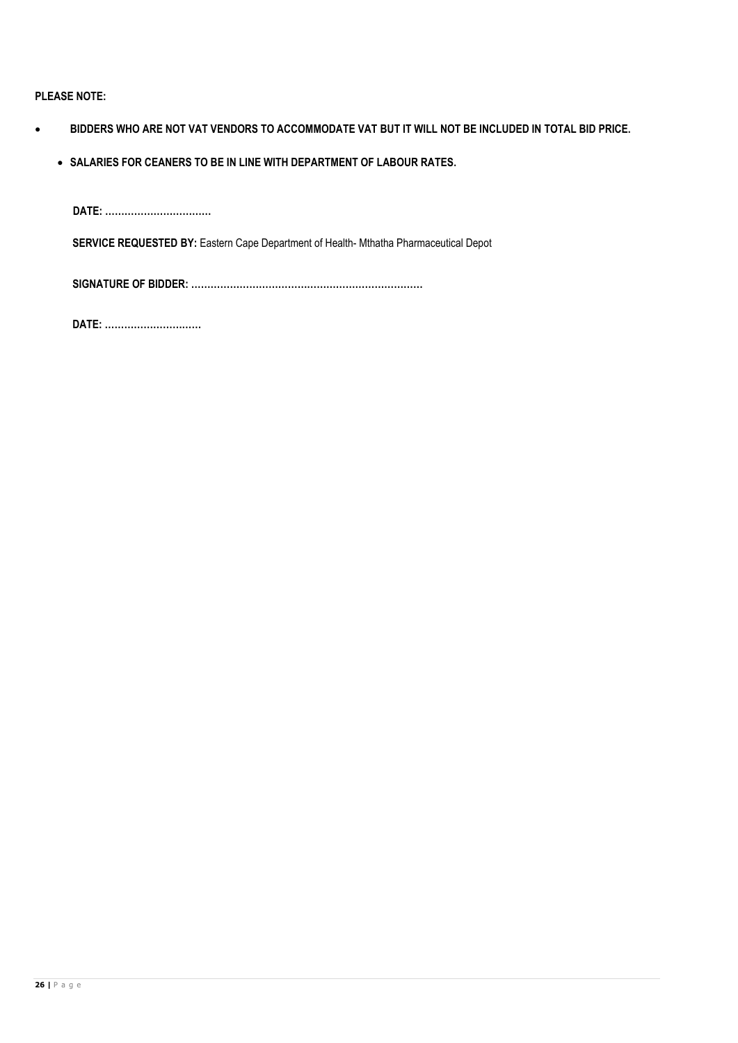# **PLEASE NOTE:**

- **BIDDERS WHO ARE NOT VAT VENDORS TO ACCOMMODATE VAT BUT IT WILL NOT BE INCLUDED IN TOTAL BID PRICE.**
	- **SALARIES FOR CEANERS TO BE IN LINE WITH DEPARTMENT OF LABOUR RATES.**

**DATE: …………………………… SERVICE REQUESTED BY:** Eastern Cape Department of Health- Mthatha Pharmaceutical Depot

 **SIGNATURE OF BIDDER: ………………………………………………………………**

 **DATE: …………………………**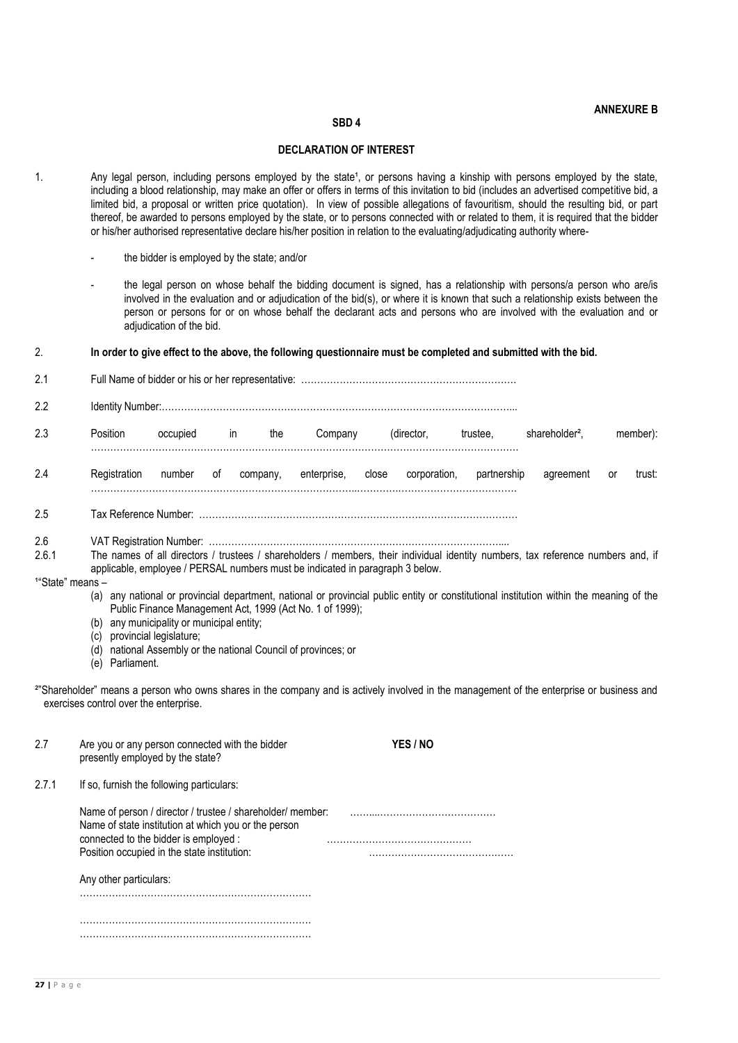### **ANNEXURE B**

### **SBD 4**

#### **DECLARATION OF INTEREST**

- 1. Any legal person, including persons employed by the state<sup>1</sup>, or persons having a kinship with persons employed by the state, including a blood relationship, may make an offer or offers in terms of this invitation to bid (includes an advertised competitive bid, a limited bid, a proposal or written price quotation). In view of possible allegations of favouritism, should the resulting bid, or part thereof, be awarded to persons employed by the state, or to persons connected with or related to them, it is required that the bidder or his/her authorised representative declare his/her position in relation to the evaluating/adjudicating authority where-
	- the bidder is employed by the state; and/or
	- the legal person on whose behalf the bidding document is signed, has a relationship with persons/a person who are/is involved in the evaluation and or adjudication of the bid(s), or where it is known that such a relationship exists between the person or persons for or on whose behalf the declarant acts and persons who are involved with the evaluation and or adjudication of the bid.
- 2. **In order to give effect to the above, the following questionnaire must be completed and submitted with the bid.**

| 2.1                                          |                                                                                                                                                                                                            |                                                                                                                                                                                                                                                                                                                                                                                                                                                                                                                                                                                           |               |          |             |            |              |             |                            |              |  |
|----------------------------------------------|------------------------------------------------------------------------------------------------------------------------------------------------------------------------------------------------------------|-------------------------------------------------------------------------------------------------------------------------------------------------------------------------------------------------------------------------------------------------------------------------------------------------------------------------------------------------------------------------------------------------------------------------------------------------------------------------------------------------------------------------------------------------------------------------------------------|---------------|----------|-------------|------------|--------------|-------------|----------------------------|--------------|--|
| 2.2                                          |                                                                                                                                                                                                            |                                                                                                                                                                                                                                                                                                                                                                                                                                                                                                                                                                                           |               |          |             |            |              |             |                            |              |  |
| 2.3                                          | Position                                                                                                                                                                                                   | occupied                                                                                                                                                                                                                                                                                                                                                                                                                                                                                                                                                                                  | $\mathsf{in}$ | the      | Company     | (director, | trustee,     |             | shareholder <sup>2</sup> , | member):     |  |
| 2.4                                          | Registration                                                                                                                                                                                               | number                                                                                                                                                                                                                                                                                                                                                                                                                                                                                                                                                                                    | of            | company, | enterprise, | close      | corporation, | partnership | agreement                  | trust:<br>or |  |
| 2.5                                          |                                                                                                                                                                                                            |                                                                                                                                                                                                                                                                                                                                                                                                                                                                                                                                                                                           |               |          |             |            |              |             |                            |              |  |
| 2.6<br>2.6.1<br><sup>1"</sup> State" means - |                                                                                                                                                                                                            | The names of all directors / trustees / shareholders / members, their individual identity numbers, tax reference numbers and, if<br>applicable, employee / PERSAL numbers must be indicated in paragraph 3 below.<br>(a) any national or provincial department, national or provincial public entity or constitutional institution within the meaning of the<br>Public Finance Management Act, 1999 (Act No. 1 of 1999);<br>(b) any municipality or municipal entity;<br>(c) provincial legislature;<br>(d) national Assembly or the national Council of provinces; or<br>(e) Parliament. |               |          |             |            |              |             |                            |              |  |
|                                              | <sup>2</sup> "Shareholder" means a person who owns shares in the company and is actively involved in the management of the enterprise or business and<br>exercises control over the enterprise.            |                                                                                                                                                                                                                                                                                                                                                                                                                                                                                                                                                                                           |               |          |             |            |              |             |                            |              |  |
| 2.7                                          | Are you or any person connected with the bidder<br>presently employed by the state?                                                                                                                        |                                                                                                                                                                                                                                                                                                                                                                                                                                                                                                                                                                                           |               |          |             | YES / NO   |              |             |                            |              |  |
| 2.7.1                                        | If so, furnish the following particulars:                                                                                                                                                                  |                                                                                                                                                                                                                                                                                                                                                                                                                                                                                                                                                                                           |               |          |             |            |              |             |                            |              |  |
|                                              | Name of person / director / trustee / shareholder/ member:<br>Name of state institution at which you or the person<br>connected to the bidder is employed :<br>Position occupied in the state institution: |                                                                                                                                                                                                                                                                                                                                                                                                                                                                                                                                                                                           |               |          |             |            |              |             |                            |              |  |
|                                              | Any other particulars:                                                                                                                                                                                     |                                                                                                                                                                                                                                                                                                                                                                                                                                                                                                                                                                                           |               |          |             |            |              |             |                            |              |  |
|                                              |                                                                                                                                                                                                            |                                                                                                                                                                                                                                                                                                                                                                                                                                                                                                                                                                                           |               |          |             |            |              |             |                            |              |  |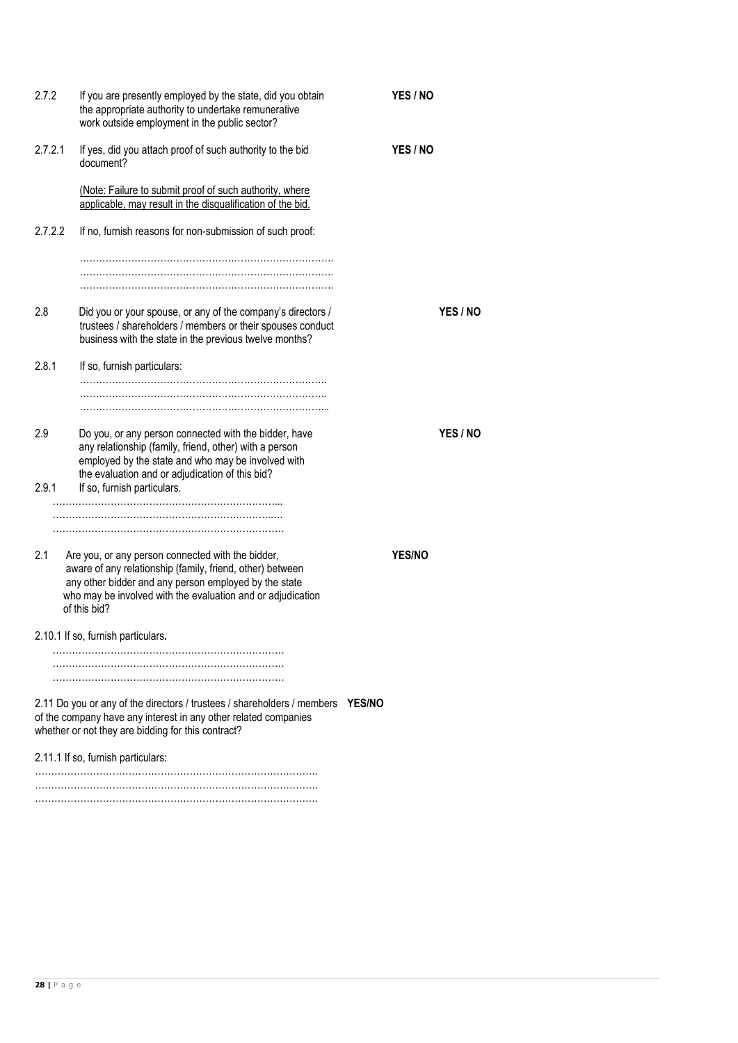| 2.7.2        | If you are presently employed by the state, did you obtain<br>the appropriate authority to undertake remunerative<br>work outside employment in the public sector?                                                                                      |               | YES / NO      |                 |  |  |
|--------------|---------------------------------------------------------------------------------------------------------------------------------------------------------------------------------------------------------------------------------------------------------|---------------|---------------|-----------------|--|--|
| 2.7.2.1      | If yes, did you attach proof of such authority to the bid<br>document?                                                                                                                                                                                  |               | YES / NO      |                 |  |  |
|              | (Note: Failure to submit proof of such authority, where<br>applicable, may result in the disqualification of the bid.                                                                                                                                   |               |               |                 |  |  |
| 2.7.2.2      | If no, furnish reasons for non-submission of such proof:                                                                                                                                                                                                |               |               |                 |  |  |
|              |                                                                                                                                                                                                                                                         |               |               |                 |  |  |
|              |                                                                                                                                                                                                                                                         |               |               |                 |  |  |
| 2.8          | Did you or your spouse, or any of the company's directors /<br>trustees / shareholders / members or their spouses conduct<br>business with the state in the previous twelve months?                                                                     |               |               | YES / NO        |  |  |
| 2.8.1        | If so, furnish particulars:                                                                                                                                                                                                                             |               |               |                 |  |  |
|              |                                                                                                                                                                                                                                                         |               |               |                 |  |  |
| 2.9<br>2.9.1 | Do you, or any person connected with the bidder, have<br>any relationship (family, friend, other) with a person<br>employed by the state and who may be involved with<br>the evaluation and or adjudication of this bid?<br>If so, furnish particulars. |               |               | <b>YES / NO</b> |  |  |
|              |                                                                                                                                                                                                                                                         |               |               |                 |  |  |
|              |                                                                                                                                                                                                                                                         |               |               |                 |  |  |
| 2.1          | Are you, or any person connected with the bidder,<br>aware of any relationship (family, friend, other) between<br>any other bidder and any person employed by the state<br>who may be involved with the evaluation and or adjudication<br>of this bid?  |               | <b>YES/NO</b> |                 |  |  |
|              | 2.10.1 If so, furnish particulars.                                                                                                                                                                                                                      |               |               |                 |  |  |
|              |                                                                                                                                                                                                                                                         |               |               |                 |  |  |
|              |                                                                                                                                                                                                                                                         |               |               |                 |  |  |
|              | 2.11 Do you or any of the directors / trustees / shareholders / members<br>of the company have any interest in any other related companies<br>whether or not they are bidding for this contract?                                                        | <b>YES/NO</b> |               |                 |  |  |
|              | 2.11.1 If so, furnish particulars:                                                                                                                                                                                                                      |               |               |                 |  |  |
|              |                                                                                                                                                                                                                                                         |               |               |                 |  |  |
|              |                                                                                                                                                                                                                                                         |               |               |                 |  |  |
|              |                                                                                                                                                                                                                                                         |               |               |                 |  |  |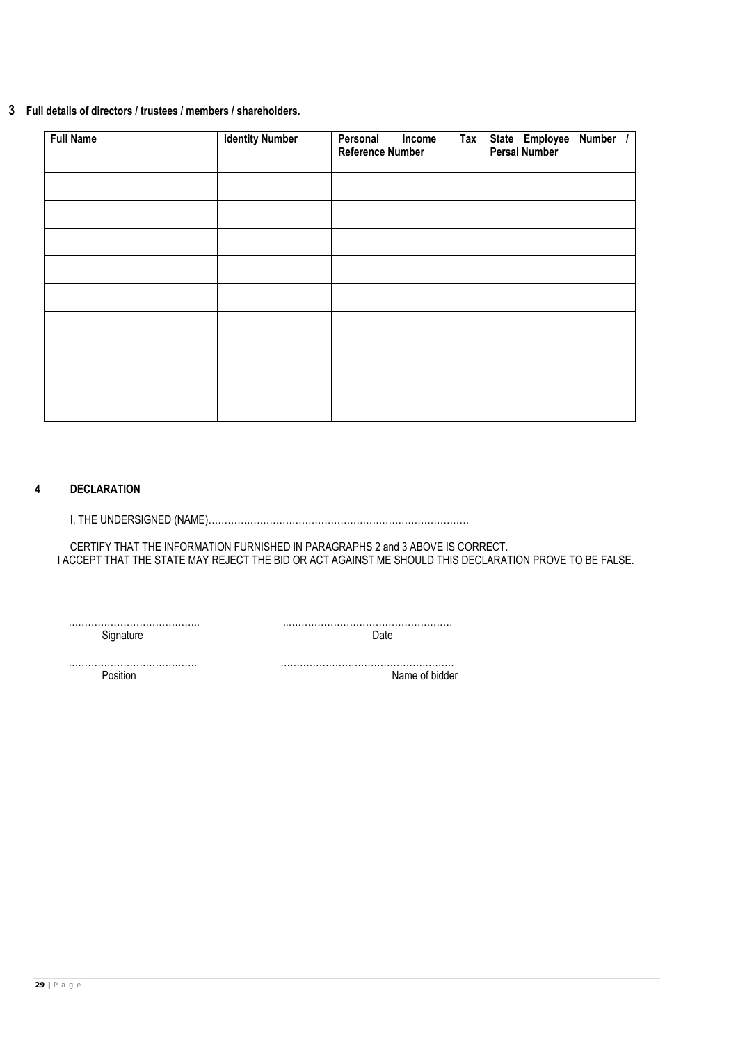# **3 Full details of directors / trustees / members / shareholders.**

| <b>Full Name</b> | <b>Identity Number</b> | Personal<br>$\overline{a}$<br>Income<br><b>Reference Number</b> | State Employee Number /<br>Persal Number |
|------------------|------------------------|-----------------------------------------------------------------|------------------------------------------|
|                  |                        |                                                                 |                                          |
|                  |                        |                                                                 |                                          |
|                  |                        |                                                                 |                                          |
|                  |                        |                                                                 |                                          |
|                  |                        |                                                                 |                                          |
|                  |                        |                                                                 |                                          |
|                  |                        |                                                                 |                                          |
|                  |                        |                                                                 |                                          |
|                  |                        |                                                                 |                                          |

# **4 DECLARATION**

I, THE UNDERSIGNED (NAME)………………………………………………………………………

CERTIFY THAT THE INFORMATION FURNISHED IN PARAGRAPHS 2 and 3 ABOVE IS CORRECT. I ACCEPT THAT THE STATE MAY REJECT THE BID OR ACT AGAINST ME SHOULD THIS DECLARATION PROVE TO BE FALSE.

………………………………….. ..…………………………………………… Signature Date **Date** 

…………………………………. ………………………………………………

Name of bidder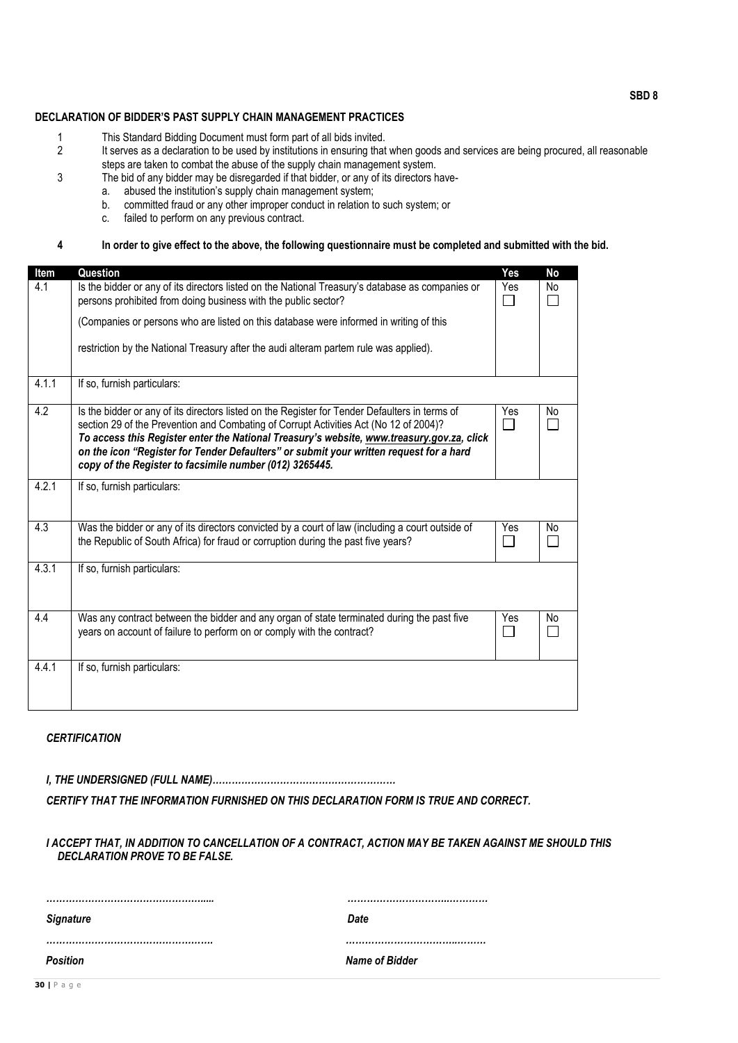# **DECLARATION OF BIDDER'S PAST SUPPLY CHAIN MANAGEMENT PRACTICES**

- 1 This Standard Bidding Document must form part of all bids invited.<br>2 It serves as a declaration to be used by institutions in ensuring that
- It serves as a declaration to be used by institutions in ensuring that when goods and services are being procured, all reasonable steps are taken to combat the abuse of the supply chain management system.
- 3 The bid of any bidder may be disregarded if that bidder, or any of its directors have-<br>a. abused the institution's supply chain management system;
	- abused the institution's supply chain management system;
		- b. committed fraud or any other improper conduct in relation to such system; or
		- c. failed to perform on any previous contract.

#### **4 In order to give effect to the above, the following questionnaire must be completed and submitted with the bid.**

| Item  | Question                                                                                                                                                                                                                                                                                                                                                                                                                                  | Yes                 | No |
|-------|-------------------------------------------------------------------------------------------------------------------------------------------------------------------------------------------------------------------------------------------------------------------------------------------------------------------------------------------------------------------------------------------------------------------------------------------|---------------------|----|
| 4.1   | Is the bidder or any of its directors listed on the National Treasury's database as companies or<br>persons prohibited from doing business with the public sector?                                                                                                                                                                                                                                                                        | Yes<br>$\mathsf{L}$ | No |
|       | (Companies or persons who are listed on this database were informed in writing of this                                                                                                                                                                                                                                                                                                                                                    |                     |    |
|       | restriction by the National Treasury after the audi alteram partem rule was applied).                                                                                                                                                                                                                                                                                                                                                     |                     |    |
| 4.1.1 | If so, furnish particulars:                                                                                                                                                                                                                                                                                                                                                                                                               |                     |    |
| 4.2   | Is the bidder or any of its directors listed on the Register for Tender Defaulters in terms of<br>section 29 of the Prevention and Combating of Corrupt Activities Act (No 12 of 2004)?<br>To access this Register enter the National Treasury's website, www.treasury.gov.za, click<br>on the icon "Register for Tender Defaulters" or submit your written request for a hard<br>copy of the Register to facsimile number (012) 3265445. | Yes                 | No |
| 4.2.1 | If so, furnish particulars:                                                                                                                                                                                                                                                                                                                                                                                                               |                     |    |
| 4.3   | Was the bidder or any of its directors convicted by a court of law (including a court outside of<br>the Republic of South Africa) for fraud or corruption during the past five years?                                                                                                                                                                                                                                                     | Yes<br>П            | No |
| 4.3.1 | If so, furnish particulars:                                                                                                                                                                                                                                                                                                                                                                                                               |                     |    |
| 4.4   | Was any contract between the bidder and any organ of state terminated during the past five<br>years on account of failure to perform on or comply with the contract?                                                                                                                                                                                                                                                                      | Yes                 | No |
| 4.4.1 | If so, furnish particulars:                                                                                                                                                                                                                                                                                                                                                                                                               |                     |    |

## *CERTIFICATION*

*I, THE UNDERSIGNED (FULL NAME)…………………………………………………*

*CERTIFY THAT THE INFORMATION FURNISHED ON THIS DECLARATION FORM IS TRUE AND CORRECT.*

#### *I ACCEPT THAT, IN ADDITION TO CANCELLATION OF A CONTRACT, ACTION MAY BE TAKEN AGAINST ME SHOULD THIS DECLARATION PROVE TO BE FALSE.*

| <b>Signature</b> | Date           |
|------------------|----------------|
|                  |                |
| <b>Position</b>  | Name of Bidder |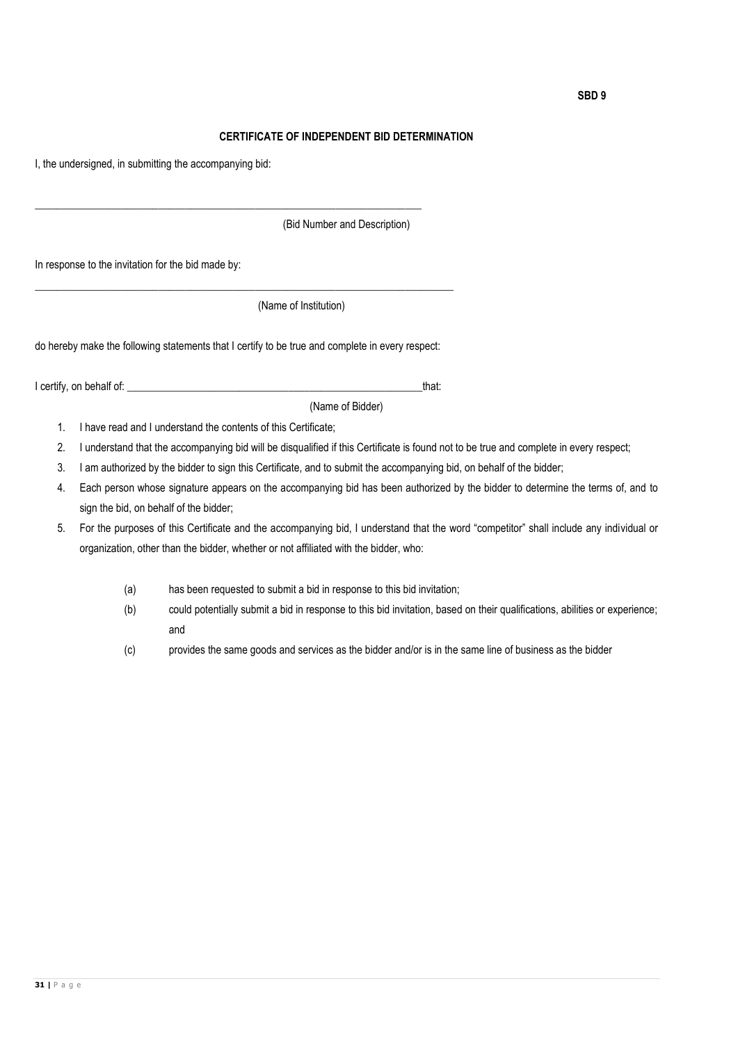#### **CERTIFICATE OF INDEPENDENT BID DETERMINATION**

I, the undersigned, in submitting the accompanying bid:

\_\_\_\_\_\_\_\_\_\_\_\_\_\_\_\_\_\_\_\_\_\_\_\_\_\_\_\_\_\_\_\_\_\_\_\_\_\_\_\_\_\_\_\_\_\_\_\_\_\_\_\_\_\_\_\_\_\_\_\_\_\_\_\_\_\_\_\_\_\_\_\_ (Bid Number and Description) In response to the invitation for the bid made by: \_\_\_\_\_\_\_\_\_\_\_\_\_\_\_\_\_\_\_\_\_\_\_\_\_\_\_\_\_\_\_\_\_\_\_\_\_\_\_\_\_\_\_\_\_\_\_\_\_\_\_\_\_\_\_\_\_\_\_\_\_\_\_\_\_\_\_\_\_\_\_\_\_\_\_\_\_\_ (Name of Institution) do hereby make the following statements that I certify to be true and complete in every respect: I certify, on behalf of: \_\_\_\_\_\_\_\_\_\_\_\_\_\_\_\_\_\_\_\_\_\_\_\_\_\_\_\_\_\_\_\_\_\_\_\_\_\_\_\_\_\_\_\_\_\_\_\_\_\_\_\_\_\_\_that: (Name of Bidder) 1. I have read and I understand the contents of this Certificate; 2. I understand that the accompanying bid will be disqualified if this Certificate is found not to be true and complete in every respect;

- 3. I am authorized by the bidder to sign this Certificate, and to submit the accompanying bid, on behalf of the bidder;
- 4. Each person whose signature appears on the accompanying bid has been authorized by the bidder to determine the terms of, and to sign the bid, on behalf of the bidder;
- 5. For the purposes of this Certificate and the accompanying bid, I understand that the word "competitor" shall include any individual or organization, other than the bidder, whether or not affiliated with the bidder, who:
	- (a) has been requested to submit a bid in response to this bid invitation;
	- (b) could potentially submit a bid in response to this bid invitation, based on their qualifications, abilities or experience; and
	- (c) provides the same goods and services as the bidder and/or is in the same line of business as the bidder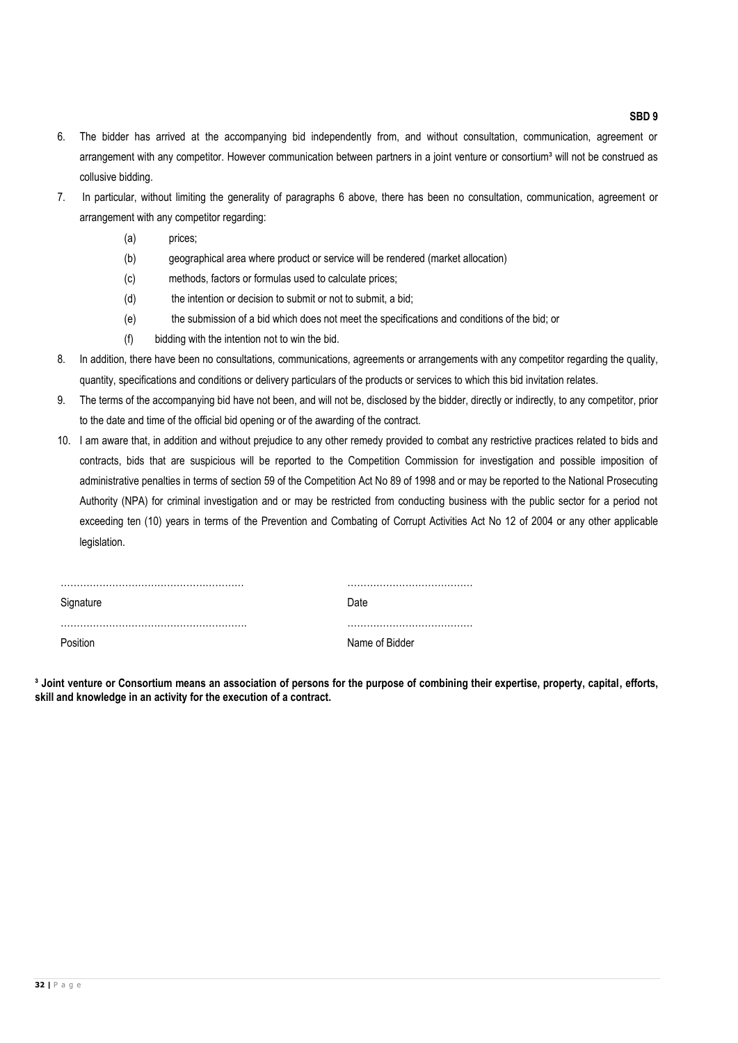6. The bidder has arrived at the accompanying bid independently from, and without consultation, communication, agreement or arrangement with any competitor. However communication between partners in a joint venture or consortium<sup>3</sup> will not be construed as collusive bidding.

- 7. In particular, without limiting the generality of paragraphs 6 above, there has been no consultation, communication, agreement or arrangement with any competitor regarding:
	- (a) prices;
	- (b) geographical area where product or service will be rendered (market allocation)
	- (c) methods, factors or formulas used to calculate prices;
	- (d) the intention or decision to submit or not to submit, a bid;
	- (e) the submission of a bid which does not meet the specifications and conditions of the bid; or
	- (f) bidding with the intention not to win the bid.
- 8. In addition, there have been no consultations, communications, agreements or arrangements with any competitor regarding the quality, quantity, specifications and conditions or delivery particulars of the products or services to which this bid invitation relates.
- 9. The terms of the accompanying bid have not been, and will not be, disclosed by the bidder, directly or indirectly, to any competitor, prior to the date and time of the official bid opening or of the awarding of the contract.
- 10. I am aware that, in addition and without prejudice to any other remedy provided to combat any restrictive practices related to bids and contracts, bids that are suspicious will be reported to the Competition Commission for investigation and possible imposition of administrative penalties in terms of section 59 of the Competition Act No 89 of 1998 and or may be reported to the National Prosecuting Authority (NPA) for criminal investigation and or may be restricted from conducting business with the public sector for a period not exceeding ten (10) years in terms of the Prevention and Combating of Corrupt Activities Act No 12 of 2004 or any other applicable legislation.

| Signature | Date           |
|-----------|----------------|
|           |                |
| Position  | Name of Bidder |

**³ Joint venture or Consortium means an association of persons for the purpose of combining their expertise, property, capital, efforts, skill and knowledge in an activity for the execution of a contract.**

**SBD 9**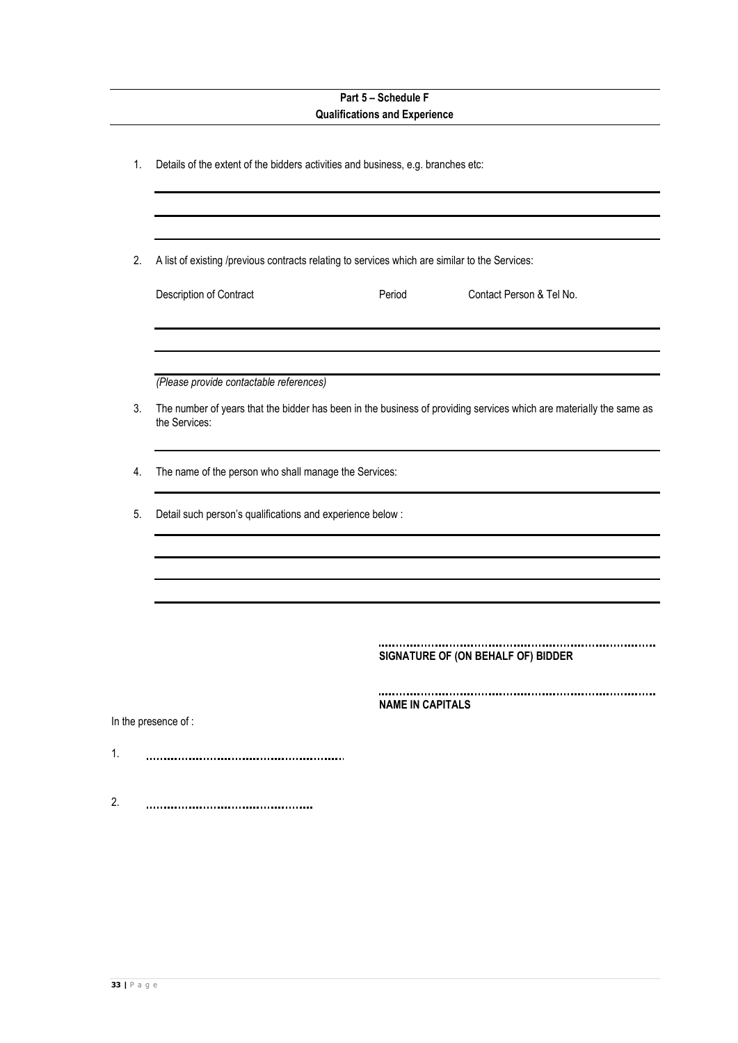|    | Part 5 - Schedule F<br><b>Qualifications and Experience</b>                                                                                                    |
|----|----------------------------------------------------------------------------------------------------------------------------------------------------------------|
| 1. | Details of the extent of the bidders activities and business, e.g. branches etc:                                                                               |
|    |                                                                                                                                                                |
| 2. | A list of existing /previous contracts relating to services which are similar to the Services:                                                                 |
|    | Contact Person & Tel No.<br>Description of Contract<br>Period                                                                                                  |
|    |                                                                                                                                                                |
| 3. | (Please provide contactable references)<br>The number of years that the bidder has been in the business of providing services which are materially the same as |
|    | the Services:                                                                                                                                                  |
| 4. | The name of the person who shall manage the Services:                                                                                                          |
| 5. | Detail such person's qualifications and experience below :                                                                                                     |
|    |                                                                                                                                                                |
|    |                                                                                                                                                                |
|    | SIGNATURE OF (ON BEHALF OF) BIDDER                                                                                                                             |
|    | <b>NAME IN CAPITALS</b>                                                                                                                                        |
|    | In the presence of :                                                                                                                                           |
| 1. |                                                                                                                                                                |
| 2. |                                                                                                                                                                |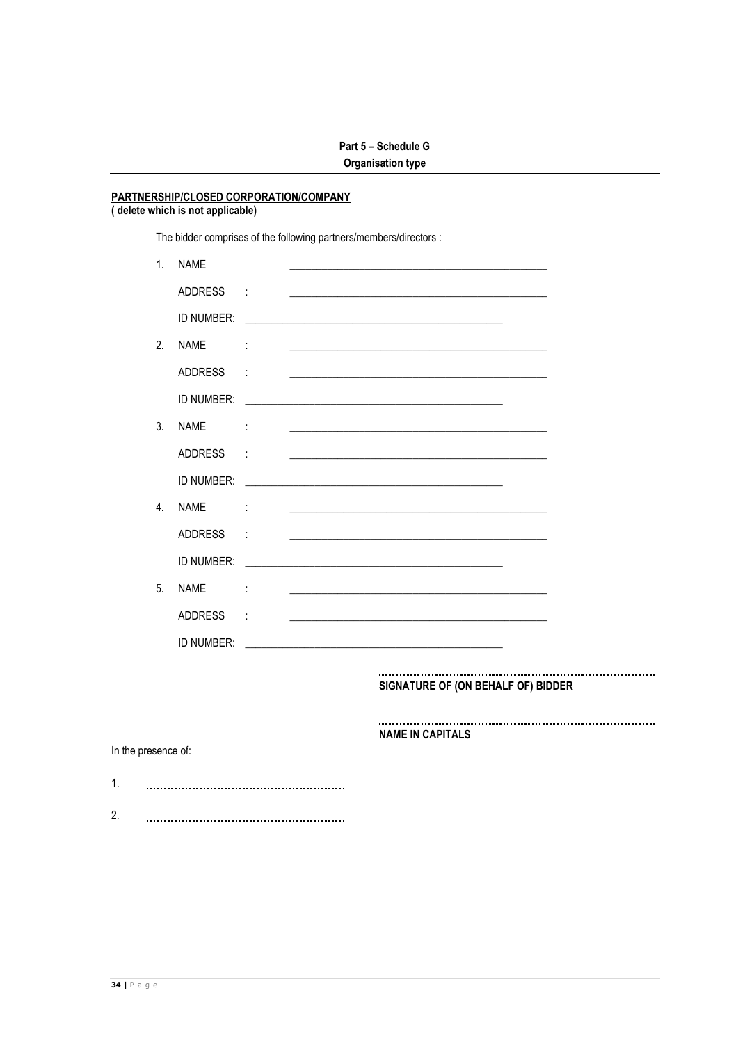### PARTNERSHIP/CLOSED CORPORATION/COMPANY (delete which is not applicable)

The bidder comprises of the following partners/members/directors :

| 1 <sub>1</sub>   | <b>NAME</b>    |                      |                                                                                                                                                                                                                               |  |
|------------------|----------------|----------------------|-------------------------------------------------------------------------------------------------------------------------------------------------------------------------------------------------------------------------------|--|
|                  | <b>ADDRESS</b> | t                    |                                                                                                                                                                                                                               |  |
|                  | ID NUMBER:     |                      |                                                                                                                                                                                                                               |  |
| 2.               | <b>NAME</b>    | $\ddot{\cdot}$       | <u> 1989 - Johann Barbara, martin amerikan basar dan berasal dan berasal dalam basar dalam basar dalam basar dala</u>                                                                                                         |  |
|                  | <b>ADDRESS</b> | $\ddot{\phantom{0}}$ |                                                                                                                                                                                                                               |  |
|                  | ID NUMBER:     |                      |                                                                                                                                                                                                                               |  |
| 3 <sub>l</sub>   | <b>NAMF</b>    | ÷                    |                                                                                                                                                                                                                               |  |
|                  | <b>ADDRESS</b> | $\ddot{\cdot}$       |                                                                                                                                                                                                                               |  |
|                  | ID NUMBER:     |                      |                                                                                                                                                                                                                               |  |
| $\overline{4}$ . | <b>NAMF</b>    | ÷                    |                                                                                                                                                                                                                               |  |
|                  | <b>ADDRESS</b> | t                    |                                                                                                                                                                                                                               |  |
|                  | ID NUMBER:     |                      |                                                                                                                                                                                                                               |  |
| 5.               | <b>NAME</b>    | ÷                    | the control of the control of the control of the control of the control of the control of the control of the control of the control of the control of the control of the control of the control of the control of the control |  |
|                  | <b>ADDRESS</b> | $\ddot{\phantom{a}}$ | <u> 1989 - John Stein, Amerikaansk politiker (</u>                                                                                                                                                                            |  |
|                  | ID NUMBER:     |                      |                                                                                                                                                                                                                               |  |

#### SIGNATURE OF (ON BEHALF OF) BIDDER

**NAME IN CAPITALS** 

#### In the presence of: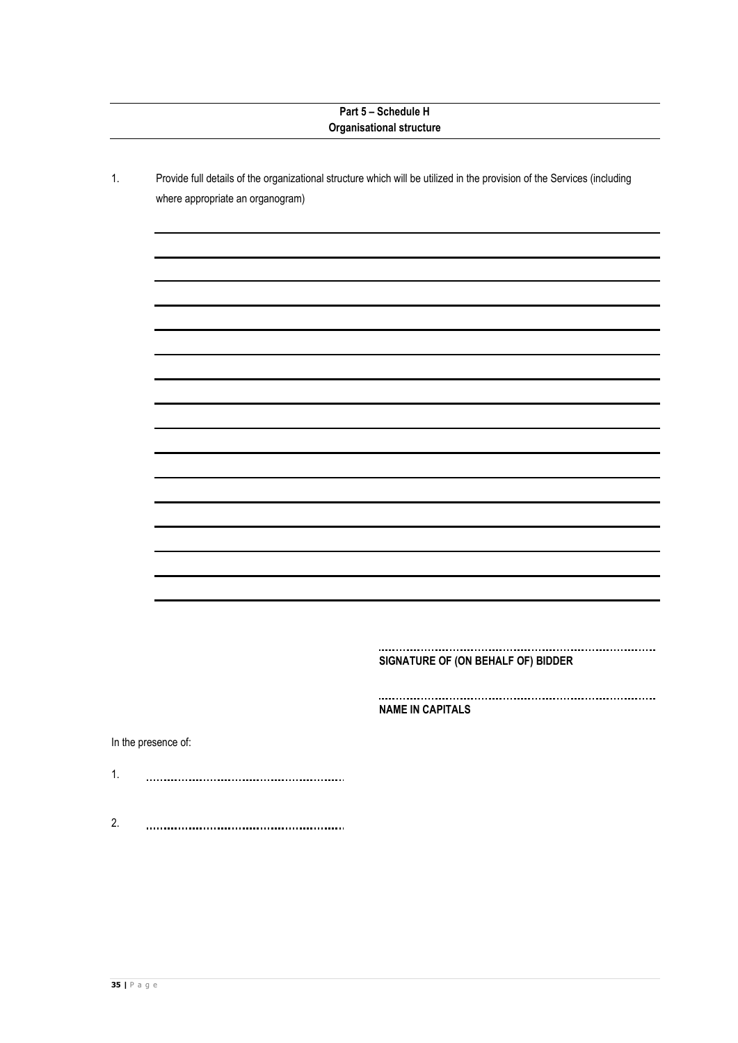|    |                                  | Part 5 - Schedule H<br><b>Organisational structure</b>                                                                  |
|----|----------------------------------|-------------------------------------------------------------------------------------------------------------------------|
| 1. | where appropriate an organogram) | Provide full details of the organizational structure which will be utilized in the provision of the Services (including |
|    |                                  |                                                                                                                         |
|    |                                  |                                                                                                                         |
|    |                                  |                                                                                                                         |
|    |                                  |                                                                                                                         |
|    |                                  |                                                                                                                         |
|    |                                  |                                                                                                                         |
|    |                                  |                                                                                                                         |
|    |                                  |                                                                                                                         |
|    |                                  |                                                                                                                         |
|    |                                  |                                                                                                                         |
|    |                                  |                                                                                                                         |
|    |                                  | SIGNATURE OF (ON BEHALF OF) BIDDER                                                                                      |
|    |                                  | <b>NAME IN CAPITALS</b>                                                                                                 |
|    | In the presence of:              |                                                                                                                         |
| 1. |                                  |                                                                                                                         |
| 2. |                                  |                                                                                                                         |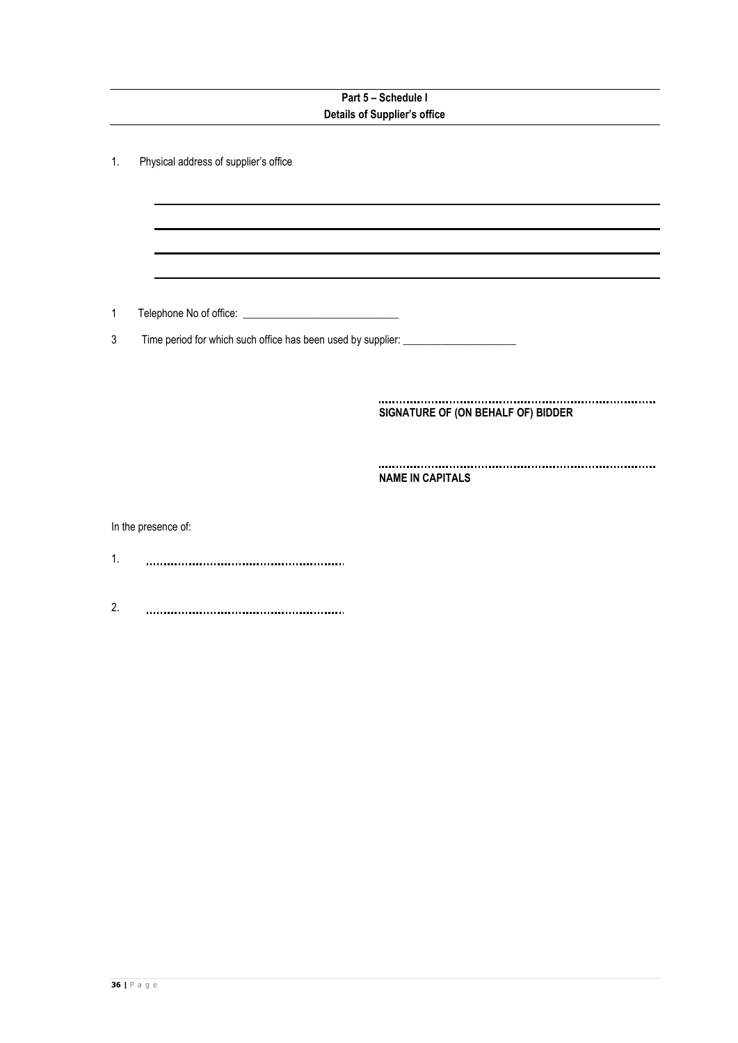|    | Part 5 - Schedule I                                                               |                                    |  |  |  |  |
|----|-----------------------------------------------------------------------------------|------------------------------------|--|--|--|--|
|    | <b>Details of Supplier's office</b>                                               |                                    |  |  |  |  |
| 1. | Physical address of supplier's office                                             |                                    |  |  |  |  |
| 1  |                                                                                   |                                    |  |  |  |  |
| 3  | Time period for which such office has been used by supplier: ____________________ |                                    |  |  |  |  |
|    |                                                                                   |                                    |  |  |  |  |
|    |                                                                                   | SIGNATURE OF (ON BEHALF OF) BIDDER |  |  |  |  |
|    |                                                                                   | <b>NAME IN CAPITALS</b>            |  |  |  |  |
|    | In the presence of:                                                               |                                    |  |  |  |  |
| 1. |                                                                                   |                                    |  |  |  |  |
| 2. |                                                                                   |                                    |  |  |  |  |
|    |                                                                                   |                                    |  |  |  |  |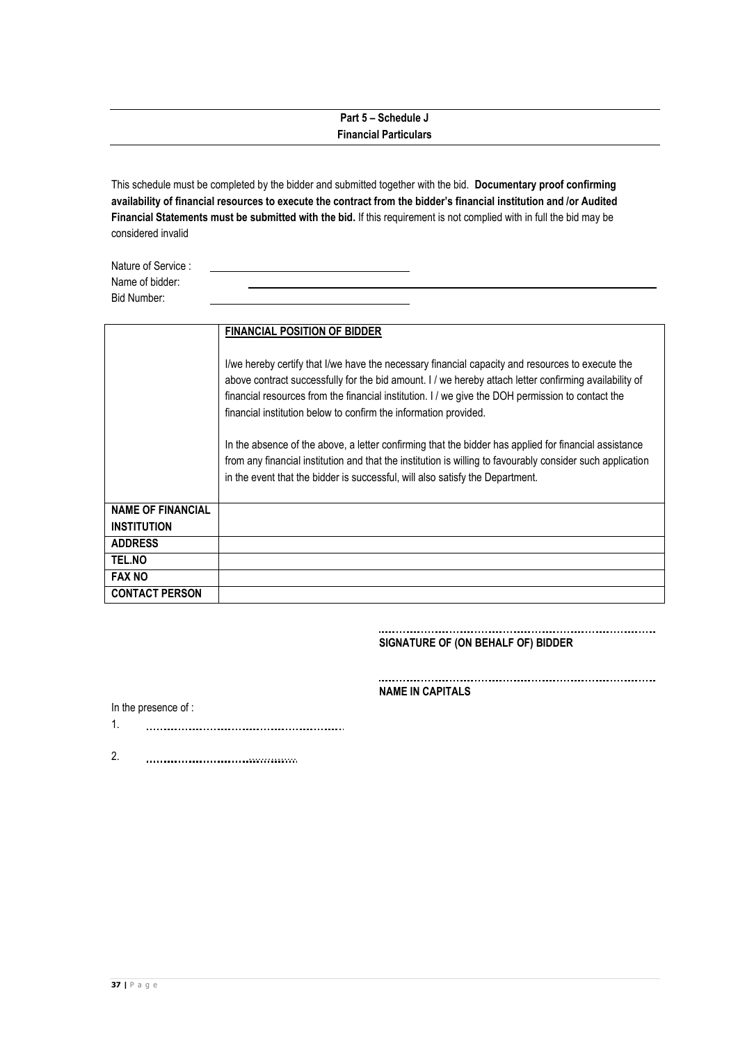# **Part 5 – Schedule J Financial Particulars**

This schedule must be completed by the bidder and submitted together with the bid. **Documentary proof confirming availability of financial resources to execute the contract from the bidder's financial institution and /or Audited Financial Statements must be submitted with the bid.** If this requirement is not complied with in full the bid may be considered invalid

| Nature of Service : |  |  |  |  |
|---------------------|--|--|--|--|
| Name of bidder:     |  |  |  |  |
| Bid Number:         |  |  |  |  |

|                          | <b>FINANCIAL POSITION OF BIDDER</b>                                                                                                                                                                                                                                                                                                                                                 |
|--------------------------|-------------------------------------------------------------------------------------------------------------------------------------------------------------------------------------------------------------------------------------------------------------------------------------------------------------------------------------------------------------------------------------|
|                          | I/we hereby certify that I/we have the necessary financial capacity and resources to execute the<br>above contract successfully for the bid amount. I / we hereby attach letter confirming availability of<br>financial resources from the financial institution. I / we give the DOH permission to contact the<br>financial institution below to confirm the information provided. |
|                          | In the absence of the above, a letter confirming that the bidder has applied for financial assistance<br>from any financial institution and that the institution is willing to favourably consider such application<br>in the event that the bidder is successful, will also satisfy the Department.                                                                                |
| <b>NAME OF FINANCIAL</b> |                                                                                                                                                                                                                                                                                                                                                                                     |
| <b>INSTITUTION</b>       |                                                                                                                                                                                                                                                                                                                                                                                     |
| <b>ADDRESS</b>           |                                                                                                                                                                                                                                                                                                                                                                                     |
| <b>TEL.NO</b>            |                                                                                                                                                                                                                                                                                                                                                                                     |
| <b>FAX NO</b>            |                                                                                                                                                                                                                                                                                                                                                                                     |
| <b>CONTACT PERSON</b>    |                                                                                                                                                                                                                                                                                                                                                                                     |

#### **SIGNATURE OF (ON BEHALF OF) BIDDER**

**NAME IN CAPITALS**

In the presence of :

- 1.
- 2. ……………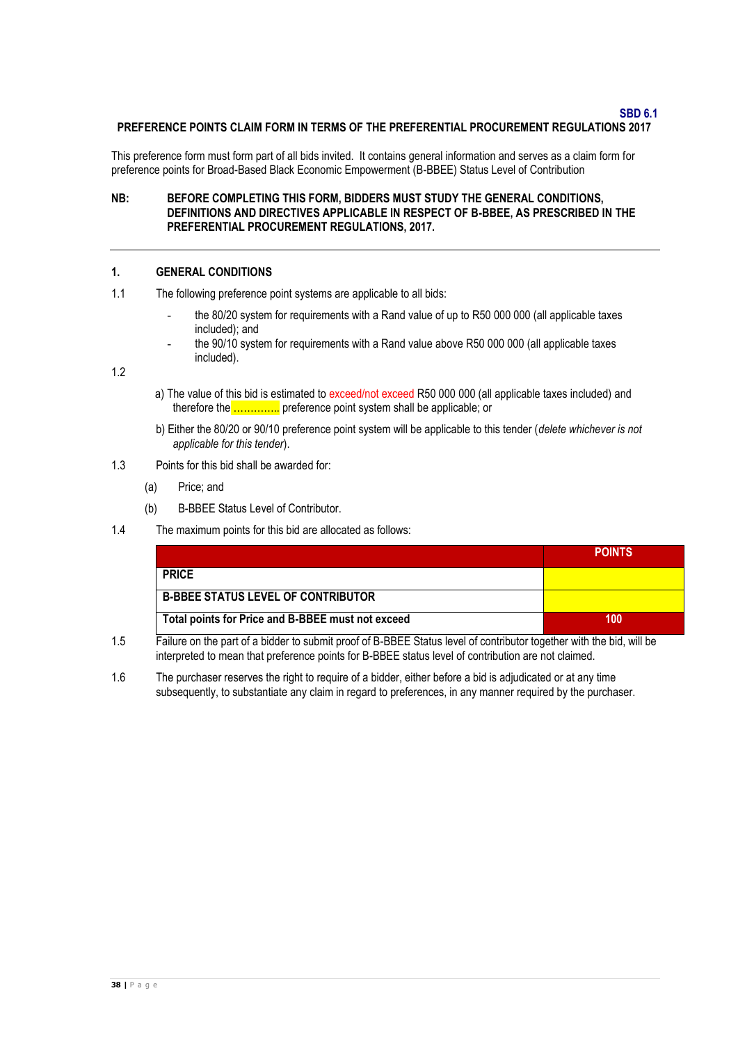**SBD 6.1**

### **PREFERENCE POINTS CLAIM FORM IN TERMS OF THE PREFERENTIAL PROCUREMENT REGULATIONS 2017**

This preference form must form part of all bids invited. It contains general information and serves as a claim form for preference points for Broad-Based Black Economic Empowerment (B-BBEE) Status Level of Contribution

### **NB: BEFORE COMPLETING THIS FORM, BIDDERS MUST STUDY THE GENERAL CONDITIONS, DEFINITIONS AND DIRECTIVES APPLICABLE IN RESPECT OF B-BBEE, AS PRESCRIBED IN THE PREFERENTIAL PROCUREMENT REGULATIONS, 2017.**

#### **1. GENERAL CONDITIONS**

- 1.1 The following preference point systems are applicable to all bids:
	- the 80/20 system for requirements with a Rand value of up to R50 000 000 (all applicable taxes included); and
	- the 90/10 system for requirements with a Rand value above R50 000 000 (all applicable taxes included).

1.2

- a) The value of this bid is estimated to exceed/not exceed R50 000 000 (all applicable taxes included) and therefore the ………….. preference point system shall be applicable; or
- b) Either the 80/20 or 90/10 preference point system will be applicable to this tender (*delete whichever is not applicable for this tender*).
- 1.3 Points for this bid shall be awarded for:
	- (a) Price; and
	- (b) B-BBEE Status Level of Contributor.
- 1.4 The maximum points for this bid are allocated as follows:

|                                                   | <b>POINTS</b> |
|---------------------------------------------------|---------------|
| <b>PRICE</b>                                      |               |
| <b>B-BBEE STATUS LEVEL OF CONTRIBUTOR</b>         |               |
| Total points for Price and B-BBEE must not exceed | 100           |

- 1.5 Failure on the part of a bidder to submit proof of B-BBEE Status level of contributor together with the bid, will be interpreted to mean that preference points for B-BBEE status level of contribution are not claimed.
- 1.6 The purchaser reserves the right to require of a bidder, either before a bid is adjudicated or at any time subsequently, to substantiate any claim in regard to preferences, in any manner required by the purchaser.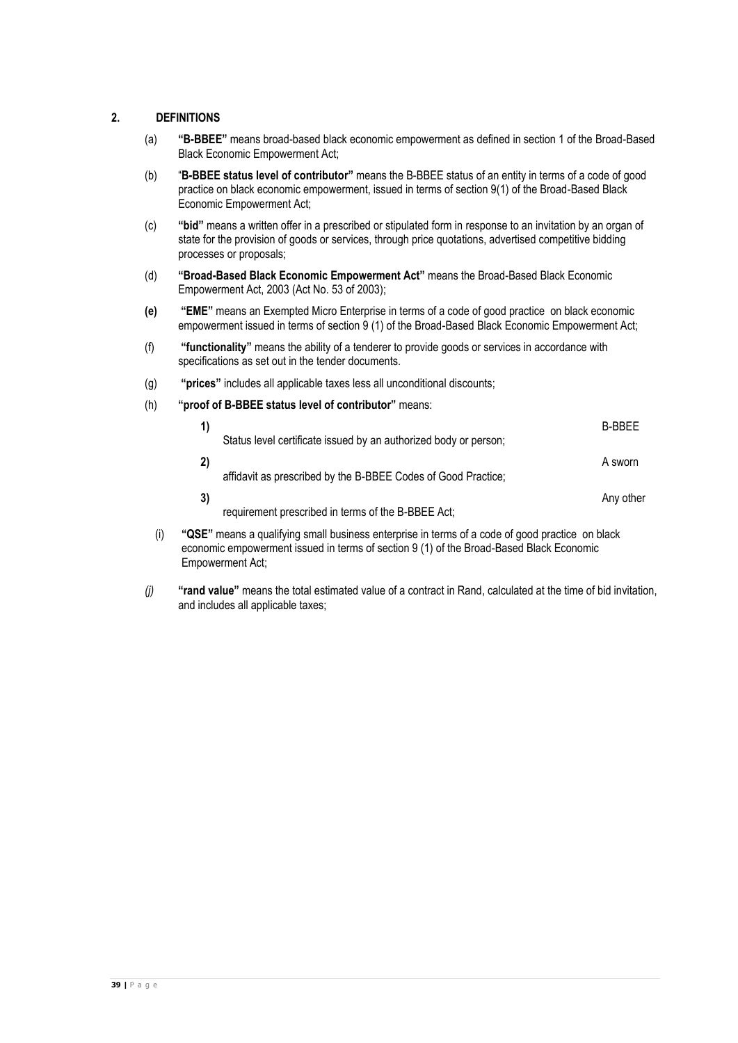# **2. DEFINITIONS**

- (a) **"B-BBEE"** means broad-based black economic empowerment as defined in section 1 of the Broad-Based Black Economic Empowerment Act;
- (b) "**B-BBEE status level of contributor"** means the B-BBEE status of an entity in terms of a code of good practice on black economic empowerment, issued in terms of section 9(1) of the Broad-Based Black Economic Empowerment Act;
- (c) **"bid"** means a written offer in a prescribed or stipulated form in response to an invitation by an organ of state for the provision of goods or services, through price quotations, advertised competitive bidding processes or proposals;
- (d) **"Broad-Based Black Economic Empowerment Act"** means the Broad-Based Black Economic Empowerment Act, 2003 (Act No. 53 of 2003);
- **(e) "EME"** means an Exempted Micro Enterprise in terms of a code of good practice on black economic empowerment issued in terms of section 9 (1) of the Broad-Based Black Economic Empowerment Act;
- (f) **"functionality"** means the ability of a tenderer to provide goods or services in accordance with specifications as set out in the tender documents.
- (g) **"prices"** includes all applicable taxes less all unconditional discounts;
- (h) **"proof of B-BBEE status level of contributor"** means:

|     |    |                                                                                                 | <b>B-BBFF</b> |
|-----|----|-------------------------------------------------------------------------------------------------|---------------|
|     |    | Status level certificate issued by an authorized body or person;                                |               |
|     |    |                                                                                                 | A sworn       |
|     |    | affidavit as prescribed by the B-BBEE Codes of Good Practice;                                   |               |
|     | 3) |                                                                                                 | Any other     |
|     |    | requirement prescribed in terms of the B-BBEE Act;                                              |               |
| (i) |    | "QSE" means a qualifying small business enterprise in terms of a code of good practice on black |               |

- economic empowerment issued in terms of section 9 (1) of the Broad-Based Black Economic Empowerment Act;
- *(j)* **"rand value"** means the total estimated value of a contract in Rand, calculated at the time of bid invitation, and includes all applicable taxes;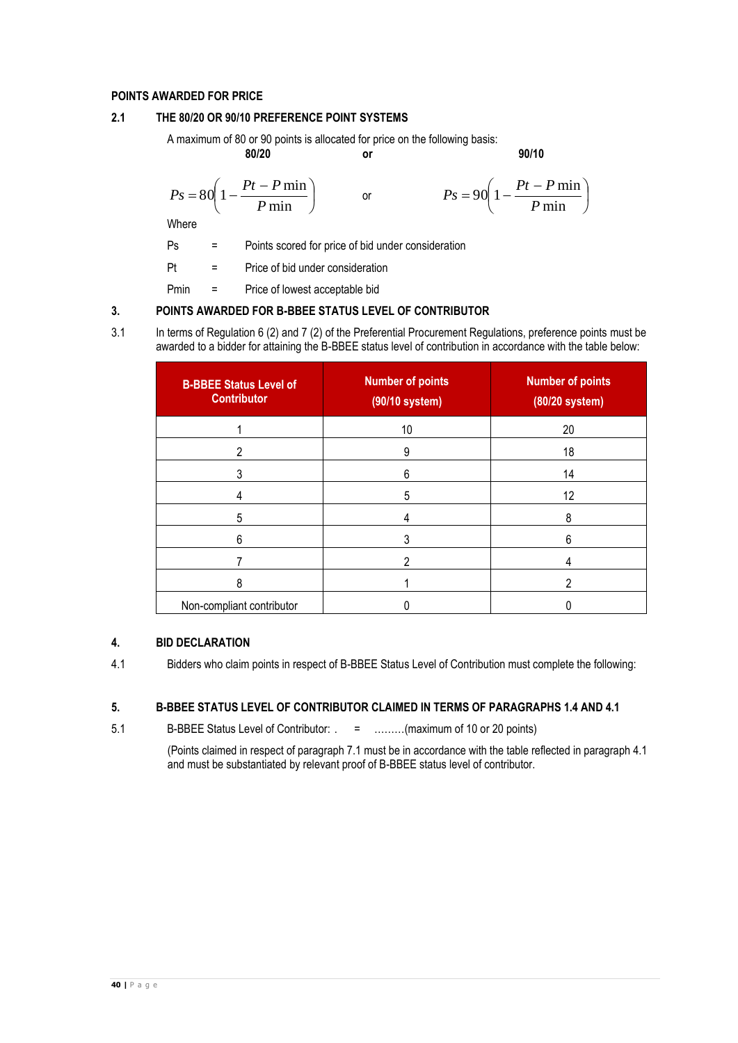# **POINTS AWARDED FOR PRICE**

# **2.1 THE 80/20 OR 90/10 PREFERENCE POINT SYSTEMS**

A maximum of 80 or 90 points is allocated for price on the following basis:

**80/20 or 90/10**

$$
P_S = 80 \left( 1 - \frac{Pt - P \min}{P} \right) \qquad \text{or}
$$

$$
Ps = 90\left(1 - \frac{Pt - P \min P}{ \min}\right)
$$

Where

L  $\setminus$ 

Ps = Points scored for price of bid under consideration

 $\bigg)$ 

Pt = Price of bid under consideration

min

*P*

Pmin = Price of lowest acceptable bid

# **3. POINTS AWARDED FOR B-BBEE STATUS LEVEL OF CONTRIBUTOR**

3.1 In terms of Regulation 6 (2) and 7 (2) of the Preferential Procurement Regulations, preference points must be awarded to a bidder for attaining the B-BBEE status level of contribution in accordance with the table below:

| <b>B-BBEE Status Level of</b><br><b>Contributor</b> | <b>Number of points</b><br>(90/10 system) | <b>Number of points</b><br>(80/20 system) |
|-----------------------------------------------------|-------------------------------------------|-------------------------------------------|
|                                                     | 10                                        | 20                                        |
| 2                                                   | 9                                         | 18                                        |
| 3                                                   | 6                                         | 14                                        |
|                                                     | 5                                         | 12                                        |
| 5                                                   |                                           | 8                                         |
| 6                                                   |                                           | 6                                         |
|                                                     | っ                                         |                                           |
| 8                                                   |                                           | n                                         |
| Non-compliant contributor                           |                                           |                                           |

# **4. BID DECLARATION**

4.1 Bidders who claim points in respect of B-BBEE Status Level of Contribution must complete the following:

# **5. B-BBEE STATUS LEVEL OF CONTRIBUTOR CLAIMED IN TERMS OF PARAGRAPHS 1.4 AND 4.1**

5.1 B-BBEE Status Level of Contributor: . = ………(maximum of 10 or 20 points)

(Points claimed in respect of paragraph 7.1 must be in accordance with the table reflected in paragraph 4.1 and must be substantiated by relevant proof of B-BBEE status level of contributor.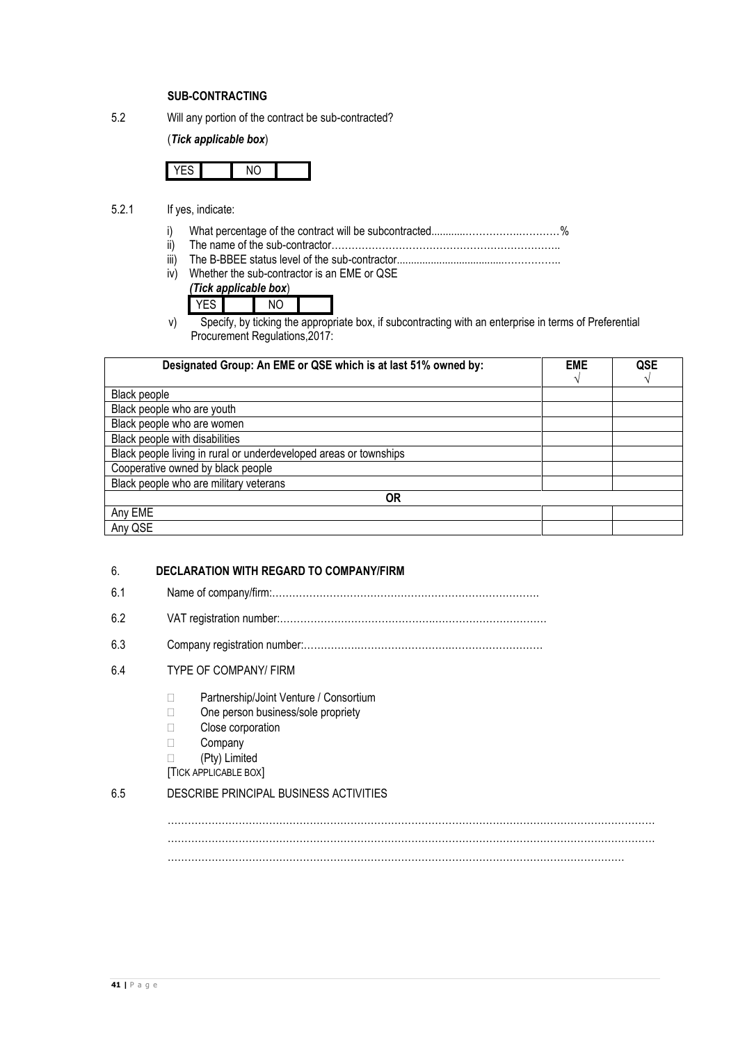## **SUB-CONTRACTING**

5.2 Will any portion of the contract be sub-contracted?

# (*Tick applicable box*)

- 5.2.1 If yes, indicate:
	- i) What percentage of the contract will be subcontracted............…………….…………%
	- ii) The name of the sub-contractor…………………………………………………………..
	- iii) The B-BBEE status level of the sub-contractor......................................……………..

iv) Whether the sub-contractor is an EME or QSE

| (Tick applicable box) |  |
|-----------------------|--|
|                       |  |

v) Specify, by ticking the appropriate box, if subcontracting with an enterprise in terms of Preferential Procurement Regulations,2017:

| Designated Group: An EME or QSE which is at last 51% owned by:    | <b>EME</b> | QSE |  |
|-------------------------------------------------------------------|------------|-----|--|
|                                                                   |            |     |  |
| Black people                                                      |            |     |  |
| Black people who are youth                                        |            |     |  |
| Black people who are women                                        |            |     |  |
| Black people with disabilities                                    |            |     |  |
| Black people living in rural or underdeveloped areas or townships |            |     |  |
| Cooperative owned by black people                                 |            |     |  |
| Black people who are military veterans                            |            |     |  |
| 0R                                                                |            |     |  |
| Any EME                                                           |            |     |  |
| Any QSE                                                           |            |     |  |

### 6. **DECLARATION WITH REGARD TO COMPANY/FIRM**

- 6.1 Name of company/firm:…………………………………………………………………….
- 6.2 VAT registration number:……………………………………….……………………………
- 6.3 Company registration number:…………….……………………….………………………

# 6.4 TYPE OF COMPANY/ FIRM

- □ Partnership/Joint Venture / Consortium
- □ One person business/sole propriety
- **Close corporation**
- Company
- (Pty) Limited

[TICK APPLICABLE BOX]

# 6.5 DESCRIBE PRINCIPAL BUSINESS ACTIVITIES

……………………………………………………………………………………………………………………………… ………………………………………………………………………………………………………………………